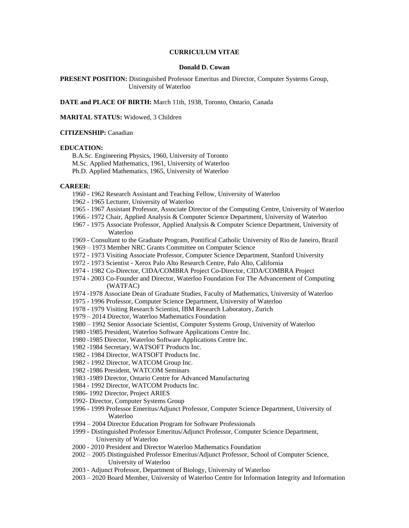# **CURRICULUM VITAE**

#### **Donald D. Cowan**

**PRESENT POSITION:** Distinguished Professor Emeritus and Director, Computer Systems Group, University of Waterloo

**DATE and PLACE OF BIRTH:** March 11th, 1938, Toronto, Ontario, Canada

**MARITAL STATUS:** Widowed, 3 Children

### **CITIZENSHIP:** Canadian

### **EDUCATION:**

B.A.Sc. Engineering Physics, 1960, University of Toronto M.Sc. Applied Mathematics, 1961, University of Waterloo Ph.D. Applied Mathematics, 1965, University of Waterloo

### **CAREER:**

- 1960 1962 Research Assistant and Teaching Fellow, University of Waterloo
- 1962 1965 Lecturer, University of Waterloo
- 1965 1967 Assistant Professor, Associate Director of the Computing Centre, University of Waterloo
- 1966 1972 Chair, Applied Analysis & Computer Science Department, University of Waterloo
- 1967 1975 Associate Professor, Applied Analysis & Computer Science Department, University of Waterloo
- 1969 Consultant to the Graduate Program, Pontifical Catholic University of Rio de Janeiro, Brazil
- 1969 1973 Member NRC Grants Committee on Computer Science
- 1972 1973 Visiting Associate Professor, Computer Science Department, Stanford University
- 1972 1973 Scientist Xerox Palo Alto Research Centre, Palo Alto, California
- 1974 1982 Co-Director, CIDA/COMBRA Project Co-Director, CIDA/COMBRA Project
- 1974 2003 Co-Founder and Director, Waterloo Foundation For The Advancement of Computing (WATFAC)
- 1974 -1978 Associate Dean of Graduate Studies, Faculty of Mathematics, University of Waterloo
- 1975 1996 Professor, Computer Science Department, University of Waterloo
- 1978 1979 Visiting Research Scientist, IBM Research Laboratory, Zurich
- 1979 2014 Director, Waterloo Mathematics Foundation
- 1980 1992 Senior Associate Scientist, Computer Systems Group, University of Waterloo
- 1980 -1985 President, Waterloo Software Applications Centre Inc.
- 1980 -1985 Director, Waterloo Software Applications Centre Inc.
- 1982 -1984 Secretary, WATSOFT Products Inc.
- 1982 1984 Director, WATSOFT Products Inc.
- 1982 1992 Director, WATCOM Group Inc.
- 1982 -1986 President, WATCOM Seminars
- 1983 -1989 Director, Ontario Centre for Advanced Manufacturing
- 1984 1992 Director, WATCOM Products Inc.
- 1986- 1992 Director, Project ARIES
- 1992- Director, Computer Systems Group
- 1996 1999 Professor Emeritus/Adjunct Professor, Computer Science Department, University of Waterloo
- 1994 2004 Director Education Program for Software Professionals
- 1999 Distinguished Professor Emeritus/Adjunct Professor, Computer Science Department, University of Waterloo
- 2000 2010 President and Director Waterloo Mathematics Foundation
- 2002 2005 Distinguished Professor Emeritus/Adjunct Professor, School of Computer Science, University of Waterloo
- 2003 Adjunct Professor, Department of Biology, University of Waterloo
- 2003 2020 Board Member, University of Waterloo Centre for Information Integrity and Information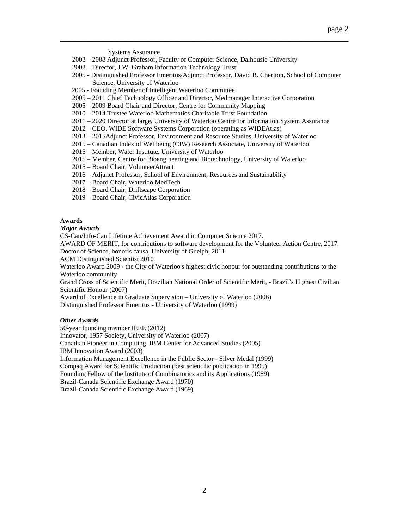Systems Assurance

- 2003 2008 Adjunct Professor, Faculty of Computer Science, Dalhousie University
- 2002 Director, J.W. Graham Information Technology Trust
- 2005 Distinguished Professor Emeritus/Adjunct Professor, David R. Cheriton, School of Computer Science, University of Waterloo

\_\_\_\_\_\_\_\_\_\_\_\_\_\_\_\_\_\_\_\_\_\_\_\_\_\_\_\_\_\_\_\_\_\_\_\_\_\_\_\_\_\_\_\_\_\_\_\_\_\_\_\_\_\_\_\_\_\_\_\_\_\_\_\_\_\_\_\_\_\_\_\_

- 2005 Founding Member of Intelligent Waterloo Committee
- 2005 2011 Chief Technology Officer and Director, Medmanager Interactive Corporation
- 2005 2009 Board Chair and Director, Centre for Community Mapping
- 2010 2014 Trustee Waterloo Mathematics Charitable Trust Foundation
- 2011 2020 Director at large, University of Waterloo Centre for Information System Assurance
- 2012 CEO, WIDE Software Systems Corporation (operating as WIDEAtlas)
- 2013 2015Adjunct Professor, Environment and Resource Studies, University of Waterloo
- 2015 Canadian Index of Wellbeing (CIW) Research Associate, University of Waterloo
- 2015 Member, Water Institute, University of Waterloo
- 2015 Member, Centre for Bioengineering and Biotechnology, University of Waterloo
- 2015 Board Chair, VolunteerAttract
- 2016 Adjunct Professor, School of Environment, Resources and Sustainability
- 2017 Board Chair, Waterloo MedTech
- 2018 Board Chair, Driftscape Corporation
- 2019 Board Chair, CivicAtlas Corporation

### **Awards**

### *Major Awards*

CS-Can/Info-Can Lifetime Achievement Award in Computer Science 2017.

AWARD OF MERIT, for contributions to software development for the Volunteer Action Centre, 2017. Doctor of Science, honoris causa, University of Guelph, 2011

ACM Distinguished Scientist 2010

Waterloo Award 2009 **-** the City of Waterloo's highest civic honour for outstanding contributions to the Waterloo community

Grand Cross of Scientific Merit, Brazilian National Order of Scientific Merit, - Brazil's Highest Civilian Scientific Honour (2007)

Award of Excellence in Graduate Supervision – University of Waterloo (2006) Distinguished Professor Emeritus - University of Waterloo (1999)

### *Other Awards*

50-year founding member IEEE (2012) Innovator, 1957 Society, University of Waterloo (2007) Canadian Pioneer in Computing, IBM Center for Advanced Studies (2005) IBM Innovation Award (2003) Information Management Excellence in the Public Sector - Silver Medal (1999) Compaq Award for Scientific Production (best scientific publication in 1995) Founding Fellow of the Institute of Combinatorics and its Applications (1989) Brazil-Canada Scientific Exchange Award (1970) Brazil-Canada Scientific Exchange Award (1969)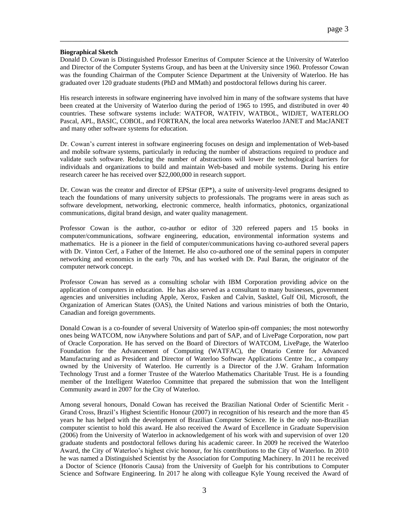## **Biographical Sketch**

Donald D. Cowan is Distinguished Professor Emeritus of Computer Science at the University of Waterloo and Director of the Computer Systems Group, and has been at the University since 1960. Professor Cowan was the founding Chairman of the Computer Science Department at the University of Waterloo. He has graduated over 120 graduate students (PhD and MMath) and postdoctoral fellows during his career.

\_\_\_\_\_\_\_\_\_\_\_\_\_\_\_\_\_\_\_\_\_\_\_\_\_\_\_\_\_\_\_\_\_\_\_\_\_\_\_\_\_\_\_\_\_\_\_\_\_\_\_\_\_\_\_\_\_\_\_\_\_\_\_\_\_\_\_\_\_\_\_\_

His research interests in software engineering have involved him in many of the software systems that have been created at the University of Waterloo during the period of 1965 to 1995, and distributed in over 40 countries. These software systems include: WATFOR, WATFIV, WATBOL, WIDJET, WATERLOO Pascal, APL, BASIC, COBOL, and FORTRAN, the local area networks Waterloo JANET and MacJANET and many other software systems for education.

Dr. Cowan's current interest in software engineering focuses on design and implementation of Web-based and mobile software systems, particularly in reducing the number of abstractions required to produce and validate such software. Reducing the number of abstractions will lower the technological barriers for individuals and organizations to build and maintain Web-based and mobile systems. During his entire research career he has received over \$22,000,000 in research support.

Dr. Cowan was the creator and director of EPStar (EP\*), a suite of university-level programs designed to teach the foundations of many university subjects to professionals. The programs were in areas such as software development, networking, electronic commerce, health informatics, photonics, organizational communications, digital brand design, and water quality management.

Professor Cowan is the author, co-author or editor of 320 refereed papers and 15 books in computer/communications, software engineering, education, environmental information systems and mathematics. He is a pioneer in the field of computer/communications having co-authored several papers with Dr. Vinton Cerf, a Father of the Internet. He also co-authored one of the seminal papers in computer networking and economics in the early 70s, and has worked with Dr. Paul Baran, the originator of the computer network concept.

Professor Cowan has served as a consulting scholar with IBM Corporation providing advice on the application of computers in education. He has also served as a consultant to many businesses, government agencies and universities including Apple, Xerox, Fasken and Calvin, Sasktel, Gulf Oil, Microsoft, the Organization of American States (OAS), the United Nations and various ministries of both the Ontario, Canadian and foreign governments.

Donald Cowan is a co-founder of several University of Waterloo spin-off companies; the most noteworthy ones being WATCOM, now iAnywhere Solutions and part of SAP, and of LivePage Corporation, now part of Oracle Corporation. He has served on the Board of Directors of WATCOM, LivePage, the Waterloo Foundation for the Advancement of Computing (WATFAC), the Ontario Centre for Advanced Manufacturing and as President and Director of Waterloo Software Applications Centre Inc., a company owned by the University of Waterloo. He currently is a Director of the J.W. Graham Information Technology Trust and a former Trustee of the Waterloo Mathematics Charitable Trust. He is a founding member of the Intelligent Waterloo Committee that prepared the submission that won the Intelligent Community award in 2007 for the City of Waterloo.

Among several honours, Donald Cowan has received the Brazilian National Order of Scientific Merit - Grand Cross, Brazil's Highest Scientific Honour (2007) in recognition of his research and the more than 45 years he has helped with the development of Brazilian Computer Science. He is the only non-Brazilian computer scientist to hold this award. He also received the Award of Excellence in Graduate Supervision (2006) from the University of Waterloo in acknowledgement of his work with and supervision of over 120 graduate students and postdoctoral fellows during his academic career. In 2009 he received the Waterloo Award, the City of Waterloo's highest civic honour, for his contributions to the City of Waterloo. In 2010 he was named a Distinguished Scientist by the Association for Computing Machinery. In 2011 he received a Doctor of Science (Honoris Causa) from the University of Guelph for his contributions to Computer Science and Software Engineering. In 2017 he along with colleague Kyle Young received the Award of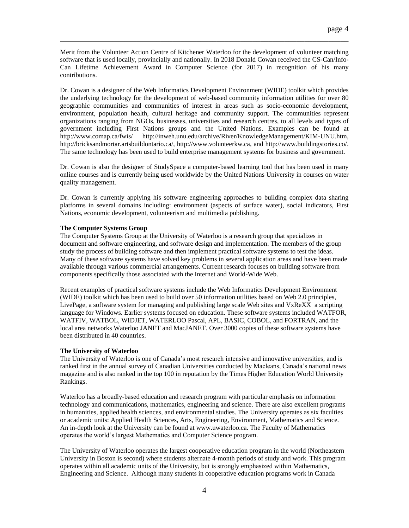Merit from the Volunteer Action Centre of Kitchener Waterloo for the development of volunteer matching software that is used locally, provincially and nationally. In 2018 Donald Cowan received the CS-Can/Info-Can Lifetime Achievement Award in Computer Science (for 2017) in recognition of his many contributions.

\_\_\_\_\_\_\_\_\_\_\_\_\_\_\_\_\_\_\_\_\_\_\_\_\_\_\_\_\_\_\_\_\_\_\_\_\_\_\_\_\_\_\_\_\_\_\_\_\_\_\_\_\_\_\_\_\_\_\_\_\_\_\_\_\_\_\_\_\_\_\_\_

Dr. Cowan is a designer of the Web Informatics Development Environment (WIDE) toolkit which provides the underlying technology for the development of web-based community information utilities for over 80 geographic communities and communities of interest in areas such as socio-economic development, environment, population health, cultural heritage and community support. The communities represent organizations ranging from NGOs, businesses, universities and research centres, to all levels and types of government including First Nations groups and the United Nations. Examples can be found at http://www.comap.ca/fwis/ http://inweh.unu.edu/archive/River/KnowledgeManagement/KIM-UNU.htm, http://inweh.unu.edu/archive/River/KnowledgeManagement/KIM-UNU.htm, http://bricksandmortar.artsbuildontario.ca/, http://www.volunteerkw.ca, and http://www.buildingstories.co/. The same technology has been used to build enterprise management systems for business and government.

Dr. Cowan is also the designer of StudySpace a computer-based learning tool that has been used in many online courses and is currently being used worldwide by the United Nations University in courses on water quality management.

Dr. Cowan is currently applying his software engineering approaches to building complex data sharing platforms in several domains including: environment (aspects of surface water), social indicators, First Nations, economic development, volunteerism and multimedia publishing.

### **The Computer Systems Group**

The Computer Systems Group at the University of Waterloo is a research group that specializes in document and software engineering, and software design and implementation. The members of the group study the process of building software and then implement practical software systems to test the ideas. Many of these software systems have solved key problems in several application areas and have been made available through various commercial arrangements. Current research focuses on building software from components specifically those associated with the Internet and World-Wide Web.

Recent examples of practical software systems include the Web Informatics Development Environment (WIDE) toolkit which has been used to build over 50 information utilities based on Web 2.0 principles, LivePage, a software system for managing and publishing large scale Web sites and VxReXX a scripting language for Windows. Earlier systems focused on education. These software systems included WATFOR, WATFIV, WATBOL, WIDJET, WATERLOO Pascal, APL, BASIC, COBOL, and FORTRAN, and the local area networks Waterloo JANET and MacJANET. Over 3000 copies of these software systems have been distributed in 40 countries.

### **The University of Waterloo**

The University of Waterloo is one of Canada's most research intensive and innovative universities, and is ranked first in the annual survey of Canadian Universities conducted by Macleans, Canada's national news magazine and is also ranked in the top 100 in reputation by the Times Higher Education World University Rankings.

Waterloo has a broadly-based education and research program with particular emphasis on information technology and communications, mathematics, engineering and science. There are also excellent programs in humanities, applied health sciences, and environmental studies. The University operates as six faculties or academic units: Applied Health Sciences, Arts, Engineering, Environment, Mathematics and Science. An in-depth look at the University can be found at www.uwaterloo.ca. The Faculty of Mathematics operates the world's largest Mathematics and Computer Science program.

The University of Waterloo operates the largest cooperative education program in the world (Northeastern University in Boston is second) where students alternate 4-month periods of study and work. This program operates within all academic units of the University, but is strongly emphasized within Mathematics, Engineering and Science. Although many students in cooperative education programs work in Canada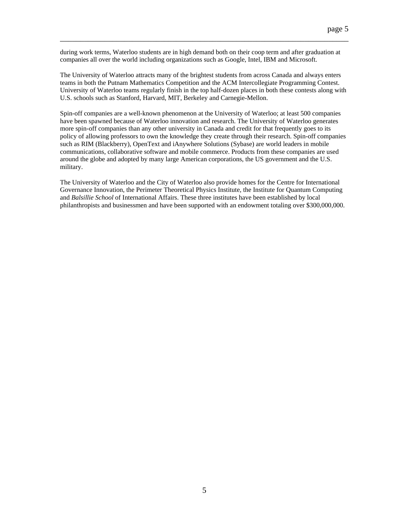during work terms, Waterloo students are in high demand both on their coop term and after graduation at companies all over the world including organizations such as Google, Intel, IBM and Microsoft.

\_\_\_\_\_\_\_\_\_\_\_\_\_\_\_\_\_\_\_\_\_\_\_\_\_\_\_\_\_\_\_\_\_\_\_\_\_\_\_\_\_\_\_\_\_\_\_\_\_\_\_\_\_\_\_\_\_\_\_\_\_\_\_\_\_\_\_\_\_\_\_\_

The University of Waterloo attracts many of the brightest students from across Canada and always enters teams in both the Putnam Mathematics Competition and the ACM Intercollegiate Programming Contest. University of Waterloo teams regularly finish in the top half-dozen places in both these contests along with U.S. schools such as Stanford, Harvard, MIT, Berkeley and Carnegie-Mellon.

Spin-off companies are a well-known phenomenon at the University of Waterloo; at least 500 companies have been spawned because of Waterloo innovation and research. The University of Waterloo generates more spin-off companies than any other university in Canada and credit for that frequently goes to its policy of allowing professors to own the knowledge they create through their research. Spin-off companies such as RIM (Blackberry), OpenText and iAnywhere Solutions (Sybase) are world leaders in mobile communications, collaborative software and mobile commerce. Products from these companies are used around the globe and adopted by many large American corporations, the US government and the U.S. military.

The University of Waterloo and the City of Waterloo also provide homes for the Centre for International Governance Innovation, the Perimeter Theoretical Physics Institute, the Institute for Quantum Computing and *Balsillie School* of International Affairs. These three institutes have been established by local philanthropists and businessmen and have been supported with an endowment totaling over \$300,000,000.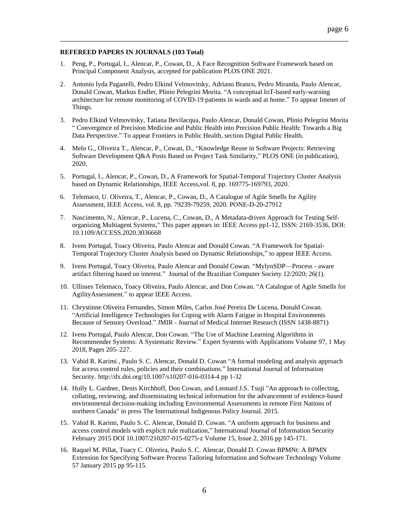### **REFEREED PAPERS IN JOURNALS (103 Total)**

- 1. Peng, P., Portugal, I., Alencar, P., Cowan, D., A Face Recognition Software Framework based on Principal Component Analysis, accepted for publication PLOS ONE 2021.
- 2. Antonio Iyda Paganelli, Pedro Elkind Velmovitsky, Adriano Branco, Pedro Miranda, Paulo Alencar, Donald Cowan, Markus Endler, Plinio Pelegrini Morita. "A conceptual IoT-based early-warning architecture for remote monitoring of COVID-19 patients in wards and at home." To appear Intenet of Things.

- 3. Pedro Elkind Velmovitsky, Tatiana Bevilacqua, Paulo Alencar, Donald Cowan, Plinio Pelegrini Morita " Convergence of Precision Medicine and Public Health into Precision Public Health: Towards a Big Data Perspective." To appear Frontiers in Public Health, section Digital Public Health.
- 4. Melo G., Oliveira T., Alencar, P., Cowan, D., "Knowledge Reuse in Software Projects: Retrieving Software Development Q&A Posts Based on Project Task Similarity," PLOS ONE (in publication), 2020.
- 5. Portugal, I., Alencar, P., Cowan, D., A Framework for Spatial-Temporal Trajectory Cluster Analysis based on Dynamic Relationships, IEEE Access,vol. 8, pp. 169775-169793, 2020.
- 6. Telemaco, U. Oliveira, T., Alencar, P., Cowan, D., A Catalogue of Agile Smells for Agility Assessment, IEEE Access, vol. 8, pp. 79239-79259, 2020. PONE-D-20-27912
- 7. Nascimento, N., Alencar, P., Lucena, C., Cowan, D., A Metadata-driven Approach for Testing Selforganizing Multiagent Systems," This paper appears in: IEEE Access pp1-12, ISSN: 2169-3536, DOI: 10.1109/ACCESS.2020.3036668
- 8. Ivens Portugal, Toacy Oliveira, Paulo Alencar and Donald Cowan. "A Framework for Spatial-Temporal Trajectory Cluster Analysis based on Dynamic Relationships," to appear IEEE Access.
- 9. Ivens Portugal, Toacy Oliveira, Paulo Alencar and Donald Cowan. "MylynSDP—Process aware artifact filtering based on interest." Journal of the Brazilian Computer Society 12/2020; 26(1).
- 10. Ullisses Telemaco, Toacy Oliveira, Paulo Alencar, and Don Cowan. "A Catalogue of Agile Smells for AgilityAssessment." to appear IEEE Access.
- 11. Chrystinne Oliveira Fernandes, Simon Miles, Carlos José Pereira De Lucena, Donald Cowan. "Artificial Intelligence Technologies for Coping with Alarm Fatigue in Hospital Environments Because of Sensory Overload." JMIR - Journal of Medical Internet Research (ISSN 1438-8871)
- 12. Ivens Portugal, Paulo Alencar, Don Cowan. "The Use of Machine Learning Algorithms in Recommender Systems: A Systematic Review." Expert Systems with Applications Volume 97, 1 May 2018, Pages 205–227.
- 13. Vahid R. Karimi , Paulo S. C. Alencar, Donald D. Cowan "A formal modeling and analysis approach for access control rules, policies and their combinations." International Journal of Information Security. http://dx.doi.org/10.1007/s10207-016-0314-4 pp 1-32
- 14. Holly L. Gardner, Denis Kirchhoff, Don Cowan, and Leonard J.S. Tsuji "An approach to collecting, collating, reviewing, and disseminating technical information for the advancement of evidence-based environmental decision-making including Environmental Assessments in remote First Nations of northern Canada" in press The International Indigenous Policy Journal. 2015.
- 15. Vahid R. Karimi, Paulo S. C. Alencar, Donald D. Cowan. "A uniform approach for business and access control models with explicit rule realization," International Journal of Information Security February 2015 DOI 10.1007/210207-015-0275-z Volume 15, Issue 2, 2016 pp 145-171.
- 16. Raquel M. Pillat, Toacy C. Oliveira, [Paulo S. C. Alencar,](http://www.informatik.uni-trier.de/~ley/pers/hd/a/Alencar:Paulo_S=_C=.html) [Donald D. Cowan](http://www.informatik.uni-trier.de/~ley/pers/hd/c/Cowan:Donald_D=.html) BPMNt: A BPMN Extension for Specifying Software Process Tailoring Information and Software Technology Volume 57 January 2015 pp 95-115.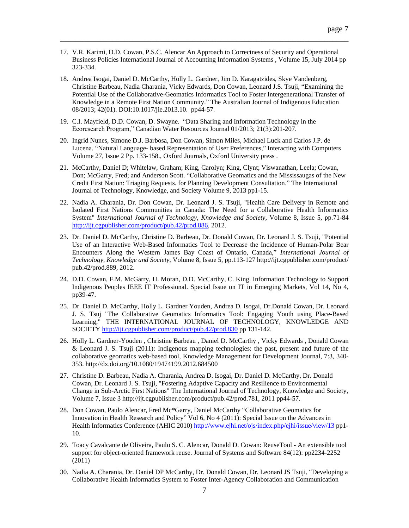17. V.R. Karimi, D.D. Cowan, P.S.C. Alencar An Approach to Correctness of Security and Operational Business Policies [International Journal of Accounting Information Systems ,](http://www.journals.elsevier.com/international-journal-of-accounting-information-systems/) Volume 15, July 2014 pp 323-334.

- 18. Andrea Isogai, Daniel D. McCarthy, Holly L. Gardner, Jim D. Karagatzides, Skye Vandenberg, Christine Barbeau, Nadia Charania, Vicky Edwards, Don Cowan, Leonard J.S. Tsuji, "Examining the Potential Use of the Collaborative-Geomatics Informatics Tool to Foster Intergenerational Transfer of Knowledge in a Remote First Nation Community." The Australian Journal of Indigenous Education 08/2013; 42(01). DOI:10.1017/jie.2013.10. pp44-57.
- 19. C.I. Mayfield, D.D. Cowan, D. Swayne. "Data Sharing and Information Technology in the Ecoresearch Program," Canadian Water Resources Journal 01/2013; 21(3):201-207.
- 20. Ingrid Nunes, Simone D.J. Barbosa, Don Cowan, Simon Miles, Michael Luck and Carlos J.P. de Lucena. "Natural Language- based Representation of User Preferences," [Interacting with Computers](http://iwc.oxfordjournals.org/) [Volume 27,](http://iwc.oxfordjournals.org/content/27/2.toc) Issue 2 Pp. 133-158., Oxford Journals, Oxford University press .
- 21. McCarthy, Daniel D; Whitelaw, Graham; King, Carolyn; King, Clynt; Viswanathan, Leela; Cowan, Don; McGarry, Fred; and Anderson Scott. "Collaborative Geomatics and the Mississaugas of the New Credit First Nation: Triaging Requests. for Planning Development Consultation." The International Journal of Technology, Knowledge, and Society Volume 9, 2013 pp1-15.
- 22. Nadia A. Charania, Dr. Don Cowan, Dr. Leonard J. S. Tsuji, "Health Care Delivery in Remote and Isolated First Nations Communities in Canada: The Need for a Collaborative Health Informatics System" *International Journal of Technology, Knowledge and Society*, [Volume 8,](http://ijt.cgpublisher.com/product/pub.42/prod.818) [Issue 5,](http://ijt.cgpublisher.com/product/pub.42/prod.879) pp.71-84 [http://ijt.cgpublisher.com/product/pub.42/prod.886,](http://ijt.cgpublisher.com/product/pub.42/prod.886) 2012.
- 23. Dr. Daniel D. McCarthy, Christine D. Barbeau, Dr. Donald Cowan, Dr. Leonard J. S. Tsuji, "Potential Use of an Interactive Web-Based Informatics Tool to Decrease the Incidence of Human-Polar Bear Encounters Along the Western James Bay Coast of Ontario, Canada," *International Journal of Technology, Knowledge and Society*[, Volume 8,](http://ijt.cgpublisher.com/product/pub.42/prod.818) [Issue 5,](http://ijt.cgpublisher.com/product/pub.42/prod.879) pp.113-127 http://ijt.cgpublisher.com/product/ pub.42/prod.889, 2012.
- 24. D.D. Cowan, F.M. McGarry, H. Moran, D.D. McCarthy, C. King. Information Technology to Support Indigenous Peoples IEEE IT Professional. Special Issue on IT in Emerging Markets, Vol 14, No 4, pp39-47.
- 25. Dr. Daniel D. McCarthy, Holly L. Gardner Youden, Andrea D. Isogai, Dr.Donald Cowan, Dr. Leonard J. S. Tsuj "The Collaborative Geomatics Informatics Tool: Engaging Youth using Place-Based Learning," THE INTERNATIONAL JOURNAL OF TECHNOLOGY, KNOWLEDGE AND SOCIET[Y http://ijt.cgpublisher.com/product/pub.42/prod.830](http://ijt.cgpublisher.com/product/pub.42/prod.830) pp 131-142.
- 26. Holly L. Gardner-Youden , Christine Barbeau , Daniel D. McCarthy , Vicky Edwards , Donald Cowan & Leonard J. S. Tsuji (2011): Indigenous mapping technologies: the past, present and future of the collaborative geomatics web-based tool, Knowledge Management for Development Journal, 7:3, 340- 353. http://dx.doi.org/10.1080/19474199.2012.684500
- 27. Christine D. Barbeau, Nadia A. Charania, Andrea D. Isogai, Dr. Daniel D. McCarthy, Dr. Donald Cowan, Dr. Leonard J. S. Tsuji, "Fostering Adaptive Capacity and Resilience to Environmental Change in Sub-Arctic First Nations" The International Journal of Technology, Knowledge and Society, Volume 7, Issue 3 [http://ijt.cgpublisher.com/product/pub.42/prod.781,](http://ijt.cgpublisher.com/product/pub.42/prod.781) 2011 pp44-57.
- 28. Don Cowan, Paulo Alencar, Fred Mc\*Garry, Daniel McCarthy "Collaborative Geomatics for Innovation in Health Research and Policy" Vol 6, No 4 (2011): Special Issue on the Advances in Health Informatics Conference (AHIC 2010[\) http://www.ejhi.net/ojs/index.php/ejhi/issue/view/13](http://www.ejhi.net/ojs/index.php/ejhi/issue/view/13) pp1- 10.
- 29. Toacy Cavalcante de Oliveira, [Paulo S. C. Alencar,](http://www.informatik.uni-trier.de/~ley/pers/hd/a/Alencar:Paulo_S=_C=.html) [Donald D. Cowan:](http://www.informatik.uni-trier.de/~ley/pers/hd/c/Cowan:Donald_D=.html) ReuseTool An extensible tool support for object-oriented framework reuse. [Journal of Systems and Software 84\(](http://www.informatik.uni-trier.de/~ley/db/journals/jss/jss84.html#OliveiraAC11)12): pp2234-2252 (2011)
- 30. Nadia A. Charania, Dr. Daniel DP McCarthy, Dr. Donald Cowan, Dr. Leonard JS Tsuji, "Developing a Collaborative Health Informatics System to Foster Inter-Agency Collaboration and Communication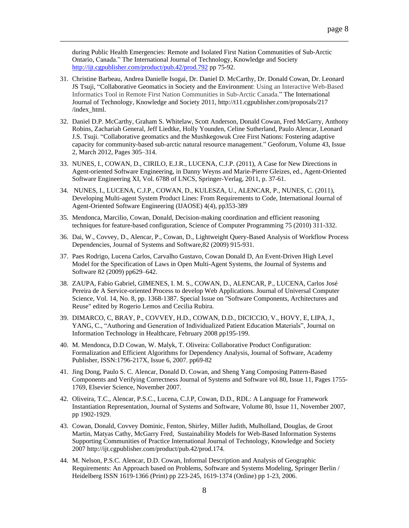during Public Health Emergencies: Remote and Isolated First Nation Communities of Sub-Arctic Ontario, Canada." The International Journal of Technology, Knowledge and Society <http://ijt.cgpublisher.com/product/pub.42/prod.792> pp 75-92.

- 31. Christine Barbeau, Andrea Danielle Isogai, Dr. Daniel D. McCarthy, Dr. Donald Cowan, Dr. Leonard JS Tsuji, "Collaborative Geomatics in Society and the Environment: Using an Interactive Web-Based Informatics Tool in Remote First Nation Communities in Sub-Arctic Canada." The International Journal of Technology, Knowledge and Society 2011, http://t11.cgpublisher.com/proposals/217 /index\_html.
- 32. Daniel D.P. McCarthy, Graham S. Whitelaw, Scott Anderson, Donald Cowan, Fred McGarry, Anthony Robins, Zachariah General, Jeff Liedtke, Holly Younden, Celine Sutherland, Paulo Alencar, Leonard J.S. Tsuji. "Collaborative geomatics and the Mushkegowuk Cree First Nations: Fostering adaptive capacity for community-based sub-arctic natural resource management." Geoforum, Volume 43, Issue 2, March 2012, Pages 305–314.
- 33. NUNES, I., COWAN, D., CIRILO, E.J.R., LUCENA, C.J.P. (2011), A Case for New Directions in Agent-oriented Software Engineering, in Danny Weyns and Marie-Pierre Gleizes, ed., Agent-Oriented Software Engineering XI, Vol. 6788 of LNCS, Springer-Verlag, 2011, p. 37-61.
- 34. NUNES, I., LUCENA, C.J.P., COWAN, D., KULESZA, U., ALENCAR, P., NUNES, C. (2011), Developing Multi-agent System Product Lines: From Requirements to Code, International Journal of Agent-Oriented Software Engineering (IJAOSE) 4(4), pp353-389
- 35. Mendonca, Marcilio, Cowan, Donald, Decision-making coordination and efficient reasoning techniques for feature-based configuration, Science of Computer Programming 75 (2010) 311-332.
- 36. Dai, W., Covvey, D., Alencar, P., Cowan, D., Lightweight Query-Based Analysis of Workflow Process Dependencies, Journal of Systems and Software,82 (2009) 915-931.
- 37. Paes Rodrigo, Lucena Carlos, Carvalho Gustavo, Cowan Donald D, An Event-Driven High Level Model for the Specification of Laws in Open Multi-Agent Systems, the Journal of Systems and Software 82 (2009) pp629–642.
- 38. ZAUPA, Fabio Gabriel, GIMENES, I. M. S., COWAN, D., ALENCAR, P., LUCENA, Carlos José Pereira de A Service-oriented Process to develop Web Applications. Journal of Universal Computer Science, Vol. 14, No. 8, pp. 1368-1387. Special Issue on "Software Components, Architectures and Reuse" edited by Rogerio Lemos and Cecilia Rubira.
- 39. DIMARCO, C, BRAY, P., COVVEY, H.D., COWAN, D.D., DICICCIO, V., HOVY, E, LIPA, J., YANG, C., "Authoring and Generation of Individualized Patient Education Materials", Journal on Information Technology in Healthcare, February 2008 pp195-199.
- 40. M. Mendonca, D.D Cowan, W. Malyk, T. Oliveira: Collaborative Product Configuration: Formalization and Efficient Algorithms for Dependency Analysis, Journal of Software, Academy Publisher, ISSN:1796-217X, Issue 6, 2007. pp69-82
- 41. Jing Dong, Paulo S. C. Alencar, Donald D. Cowan, and Sheng Yang Composing Pattern-Based Components and Verifying Correctness Journal of Systems and Software vol 80, Issue 11, Pages 1755- 1769, Elsevier Science, November 2007.
- 42. Oliveira, T.C., Alencar, P.S.C., Lucena, C.J.P, Cowan, D.D., RDL: A Language for Framework Instantiation Representation, Journal of Systems and Software, Volume 80, Issue 11, November 2007, pp 1902-1929.
- 43. Cowan, Donald, Covvey Dominic, Fenton, Shirley, Miller Judith, Mulholland, Douglas, de Groot Martin, Matyas Cathy, McGarry Fred, Sustainability Models for Web-Based Information Systems Supporting Communities of Practice International Journal of Technology, Knowledge and Society 2007 http://ijt.cgpublisher.com/product/pub.42/prod.174.
- 44. M. Nelson, P.S.C. Alencar, D.D. Cowan, Informal Description and Analysis of Geographic Requirements: An Approach based on Problems, Software and Systems Modeling, Springer Berlin / Heidelberg ISSN 1619-1366 (Print) pp 223-245, 1619-1374 (Online) pp 1-23, 2006.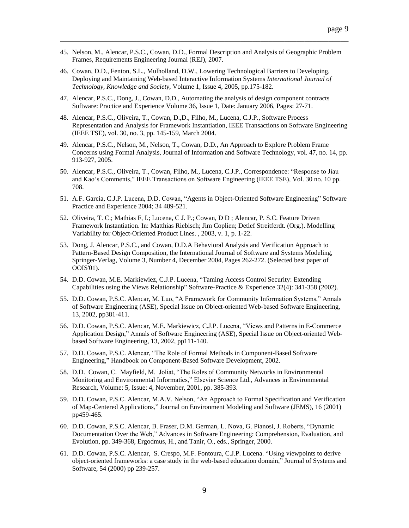45. Nelson, M., Alencar, P.S.C., Cowan, D.D., Formal Description and Analysis of Geographic Problem Frames, Requirements Engineering Journal (REJ), 2007.

- 46. Cowan, D.D., Fenton, S.L., Mulholland, D.W., Lowering Technological Barriers to Developing, Deploying and Maintaining Web-based Interactive Information Systems *International Journal of Technology, Knowledge and Society*, Volume 1, Issue 4, 2005, pp.175-182.
- 47. Alencar, P.S.C., Dong, J., Cowan, D.D., Automating the analysis of design component contracts Software: Practice and Experience Volume 36, Issue 1, Date: January 2006, Pages: 27-71.
- 48. Alencar, P.S.C., Oliveira, T., Cowan, D.,D., Filho, M., Lucena, C.J.P., Software Process Representation and Analysis for Framework Instantiation, IEEE Transactions on Software Engineering (IEEE TSE), vol. 30, no. 3, pp. 145-159, March 2004.
- 49. Alencar, P.S.C., Nelson, M., Nelson, T., Cowan, D.D., An Approach to Explore Problem Frame Concerns using Formal Analysis, Journal of Information and Software Technology, vol. 47, no. 14, pp. 913-927, 2005.
- 50. Alencar, P.S.C., Oliveira, T., Cowan, Filho, M., Lucena, C.J.P., Correspondence: "Response to Jiau and Kao's Comments," IEEE Transactions on Software Engineering (IEEE TSE), Vol. 30 no. 10 pp. 708.
- 51. A.F. Garcia, C.J.P. Lucena, D.D. Cowan, "Agents in Object-Oriented Software Engineering" Software Practice and Experience 2004; 34 489-521.
- 52. Oliveira, T. C.; Mathias F, I.; Lucena, C J. P.; Cowan, D D ; Alencar, P. S.C. Feature Driven Framework Instantiation. In: Matthias Riebisch; Jim Coplien; Detlef Streitferdt. (Org.). Modelling Variability for Object-Oriented Product Lines. , 2003, v. 1, p. 1-22.
- 53. Dong, J. Alencar, P.S.C., and Cowan, D.D.A Behavioral Analysis and Verification Approach to Pattern-Based Design Composition, the International Journal of Software and Systems Modeling, Springer-Verlag, Volume 3, Number 4, December 2004, Pages 262-272. (Selected best paper of OOIS'01).
- 54. D.D. Cowan, M.E. Markiewiez, C.J.P. Lucena, "Taming Access Control Security: Extending Capabilities using the Views Relationship" Software-Practice & Experience 32(4): 341-358 (2002).
- 55. D.D. Cowan, P.S.C. Alencar, M. Luo, "A Framework for Community Information Systems," Annals of Software Engineering (ASE), Special Issue on Object-oriented Web-based Software Engineering, 13, 2002, pp381-411.
- 56. D.D. Cowan, P.S.C. Alencar, M.E. Markiewicz, C.J.P. Lucena, "Views and Patterns in E-Commerce Application Design," Annals of Software Engineering (ASE), Special Issue on Object-oriented Webbased Software Engineering, 13, 2002, pp111-140.
- 57. D.D. Cowan, P.S.C. Alencar, "The Role of Formal Methods in Component-Based Software Engineering," Handbook on Component-Based Software Development, 2002.
- 58. D.D. Cowan, C. Mayfield, M. Joliat, "The Roles of Community Networks in Environmental Monitoring and Environmental Informatics," Elsevier Science Ltd., Advances in Environmental Research, Volume: 5, Issue: 4, November, 2001, pp. 385-393.
- 59. D.D. Cowan, P.S.C. Alencar, M.A.V. Nelson, "An Approach to Formal Specification and Verification of Map-Centered Applications," Journal on Environment Modeling and Software (JEMS), 16 (2001) pp459-465.
- 60. D.D. Cowan, P.S.C. Alencar, B. Fraser, D.M. German, L. Nova, G. Pianosi, J. Roberts, "Dynamic Documentation Over the Web," Advances in Software Engineering: Comprehension, Evaluation, and Evolution, pp. 349-368, Ergodmus, H., and Tanir, O., eds., Springer, 2000.
- 61. D.D. Cowan, P.S.C. Alencar, S. Crespo, M.F. Fontoura, C.J.P. Lucena. "Using viewpoints to derive object-oriented frameworks: a case study in the web-based education domain," Journal of Systems and Software, 54 (2000) pp 239-257.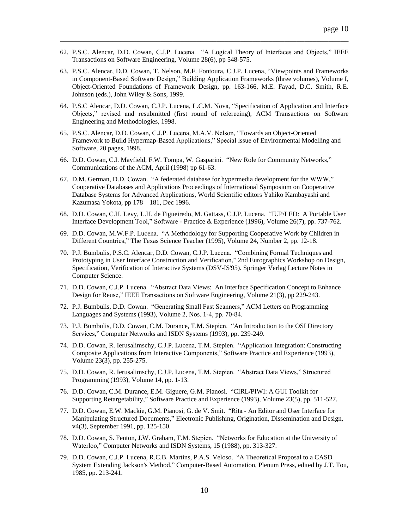62. P.S.C. Alencar, D.D. Cowan, C.J.P. Lucena. "A Logical Theory of Interfaces and Objects," IEEE Transactions on Software Engineering, Volume 28(6), pp 548-575.

- 63. P.S.C. Alencar, D.D. Cowan, T. Nelson, M.F. Fontoura, C.J.P. Lucena, "Viewpoints and Frameworks in Component-Based Software Design," Building Application Frameworks (three volumes), Volume I, Object-Oriented Foundations of Framework Design, pp. 163-166, M.E. Fayad, D.C. Smith, R.E. Johnson (eds.), John Wiley & Sons, 1999.
- 64. P.S.C Alencar, D.D. Cowan, C.J.P. Lucena, L.C.M. Nova, "Specification of Application and Interface Objects," revised and resubmitted (first round of refereeing), ACM Transactions on Software Engineering and Methodologies, 1998.
- 65. P.S.C. Alencar, D.D. Cowan, C.J.P. Lucena, M.A.V. Nelson, "Towards an Object-Oriented Framework to Build Hypermap-Based Applications," Special issue of Environmental Modelling and Software, 20 pages, 1998.
- 66. D.D. Cowan, C.I. Mayfield, F.W. Tompa, W. Gasparini. "New Role for Community Networks," Communications of the ACM, April (1998) pp 61-63.
- 67. D.M. German, D.D. Cowan. "A federated database for hypermedia development for the WWW," Cooperative Databases and Applications Proceedings of International Symposium on Cooperative Database Systems for Advanced Applications, World Scientific editors Yahiko Kambayashi and Kazumasa Yokota, pp 178—181, Dec 1996.
- 68. D.D. Cowan, C.H. Levy, L.H. de Figueiredo, M. Gattass, C.J.P. Lucena. "IUP/LED: A Portable User Interface Development Tool," Software - Practice & Experience (1996), Volume 26(7), pp. 737-762.
- 69. D.D. Cowan, M.W.F.P. Lucena. "A Methodology for Supporting Cooperative Work by Children in Different Countries," The Texas Science Teacher (1995), Volume 24, Number 2, pp. 12-18.
- 70. P.J. Bumbulis, P.S.C. Alencar, D.D. Cowan, C.J.P. Lucena. "Combining Formal Techniques and Prototyping in User Interface Construction and Verification," 2nd Eurographics Workshop on Design, Specification, Verification of Interactive Systems (DSV-IS'95). Springer Verlag Lecture Notes in Computer Science.
- 71. D.D. Cowan, C.J.P. Lucena. "Abstract Data Views: An Interface Specification Concept to Enhance Design for Reuse," IEEE Transactions on Software Engineering, Volume 21(3), pp 229-243.
- 72. P.J. Bumbulis, D.D. Cowan. "Generating Small Fast Scanners," ACM Letters on Programming Languages and Systems (1993), Volume 2, Nos. 1-4, pp. 70-84.
- 73. P.J. Bumbulis, D.D. Cowan, C.M. Durance, T.M. Stepien. "An Introduction to the OSI Directory Services," Computer Networks and ISDN Systems (1993), pp. 239-249.
- 74. D.D. Cowan, R. Ierusalimschy, C.J.P. Lucena, T.M. Stepien. "Application Integration: Constructing Composite Applications from Interactive Components," Software Practice and Experience (1993), Volume 23(3), pp. 255-275.
- 75. D.D. Cowan, R. Ierusalimschy, C.J.P. Lucena, T.M. Stepien. "Abstract Data Views," Structured Programming (1993), Volume 14, pp. 1-13.
- 76. D.D. Cowan, C.M. Durance, E.M. Giguere, G.M. Pianosi. "CIRL/PIWI: A GUI Toolkit for Supporting Retargetability," Software Practice and Experience (1993), Volume 23(5), pp. 511-527.
- 77. D.D. Cowan, E.W. Mackie, G.M. Pianosi, G. de V. Smit. "Rita An Editor and User Interface for Manipulating Structured Documents," Electronic Publishing, Origination, Dissemination and Design, v4(3), September 1991, pp. 125-150.
- 78. D.D. Cowan, S. Fenton, J.W. Graham, T.M. Stepien. "Networks for Education at the University of Waterloo," Computer Networks and ISDN Systems, 15 (1988), pp. 313-327.
- 79. D.D. Cowan, C.J.P. Lucena, R.C.B. Martins, P.A.S. Veloso. "A Theoretical Proposal to a CASD System Extending Jackson's Method," Computer-Based Automation, Plenum Press, edited by J.T. Tou, 1985, pp. 213-241.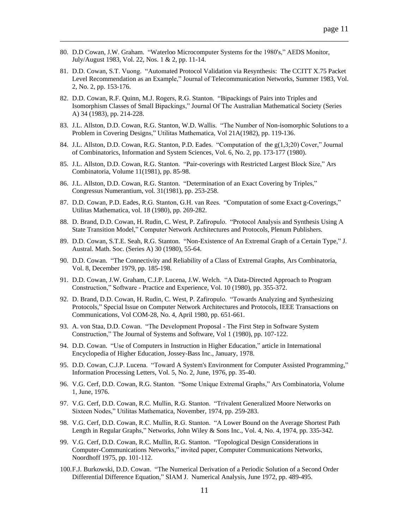- 80. D.D Cowan, J.W. Graham. "Waterloo Microcomputer Systems for the 1980's," AEDS Monitor, July/August 1983, Vol. 22, Nos. 1 & 2, pp. 11-14.
- 81. D.D. Cowan, S.T. Vuong. "Automated Protocol Validation via Resynthesis: The CCITT X.75 Packet Level Recommendation as an Example," Journal of Telecommunication Networks, Summer 1983, Vol. 2, No. 2, pp. 153-176.

- 82. D.D. Cowan, R.F. Quinn, M.J. Rogers, R.G. Stanton. "Bipackings of Pairs into Triples and Isomorphism Classes of Small Bipackings," Journal Of The Australian Mathematical Society (Series A) 34 (1983), pp. 214-228.
- 83. J.L. Allston, D.D. Cowan, R.G. Stanton, W.D. Wallis. "The Number of Non-isomorphic Solutions to a Problem in Covering Designs," Utilitas Mathematica, Vol 21A(1982), pp. 119-136.
- 84. J.L. Allston, D.D. Cowan, R.G. Stanton, P.D. Eades. "Computation of the g(1,3;20) Cover," Journal of Combinatorics, Information and System Sciences, Vol. 6, No. 2, pp. 173-177 (1980).
- 85. J.L. Allston, D.D. Cowan, R.G. Stanton. "Pair-coverings with Restricted Largest Block Size," Ars Combinatoria, Volume 11(1981), pp. 85-98.
- 86. J.L. Allston, D.D. Cowan, R.G. Stanton. "Determination of an Exact Covering by Triples," Congressus Numerantium, vol. 31(1981), pp. 253-258.
- 87. D.D. Cowan, P.D. Eades, R.G. Stanton, G.H. van Rees. "Computation of some Exact g-Coverings," Utilitas Mathematica, vol. 18 (1980), pp. 269-282.
- 88. D. Brand, D.D. Cowan, H. Rudin, C. West, P. Zafiropulo. "Protocol Analysis and Synthesis Using A State Transition Model," Computer Network Architectures and Protocols, Plenum Publishers.
- 89. D.D. Cowan, S.T.E. Seah, R.G. Stanton. "Non-Existence of An Extremal Graph of a Certain Type," J. Austral. Math. Soc. (Series A) 30 (1980), 55-64.
- 90. D.D. Cowan. "The Connectivity and Reliability of a Class of Extremal Graphs, Ars Combinatoria, Vol. 8, December 1979, pp. 185-198.
- 91. D.D. Cowan, J.W. Graham, C.J.P. Lucena, J.W. Welch. "A Data-Directed Approach to Program Construction," Software - Practice and Experience, Vol. 10 (1980), pp. 355-372.
- 92. D. Brand, D.D. Cowan, H. Rudin, C. West, P. Zafiropulo. "Towards Analyzing and Synthesizing Protocols," Special Issue on Computer Network Architectures and Protocols, IEEE Transactions on Communications, Vol COM-28, No. 4, April 1980, pp. 651-661.
- 93. A. von Staa, D.D. Cowan. "The Development Proposal The First Step in Software System Construction," The Journal of Systems and Software, Vol 1 (1980), pp. 107-122.
- 94. D.D. Cowan. "Use of Computers in Instruction in Higher Education," article in International Encyclopedia of Higher Education, Jossey-Bass Inc., January, 1978.
- 95. D.D. Cowan, C.J.P. Lucena. "Toward A System's Environment for Computer Assisted Programming," Information Processing Letters, Vol. 5, No. 2, June, 1976, pp. 35-40.
- 96. V.G. Cerf, D.D. Cowan, R.G. Stanton. "Some Unique Extremal Graphs," Ars Combinatoria, Volume 1, June, 1976.
- 97. V.G. Cerf, D.D. Cowan, R.C. Mullin, R.G. Stanton. "Trivalent Generalized Moore Networks on Sixteen Nodes," Utilitas Mathematica, November, 1974, pp. 259-283.
- 98. V.G. Cerf, D.D. Cowan, R.C. Mullin, R.G. Stanton. "A Lower Bound on the Average Shortest Path Length in Regular Graphs," Networks, John Wiley & Sons Inc., Vol. 4, No. 4, 1974, pp. 335-342.
- 99. V.G. Cerf, D.D. Cowan, R.C. Mullin, R.G. Stanton. "Topological Design Considerations in Computer-Communications Networks," invited paper, Computer Communications Networks, Noordhoff 1975, pp. 101-112.
- 100.F.J. Burkowski, D.D. Cowan. "The Numerical Derivation of a Periodic Solution of a Second Order Differential Difference Equation," SIAM J. Numerical Analysis, June 1972, pp. 489-495.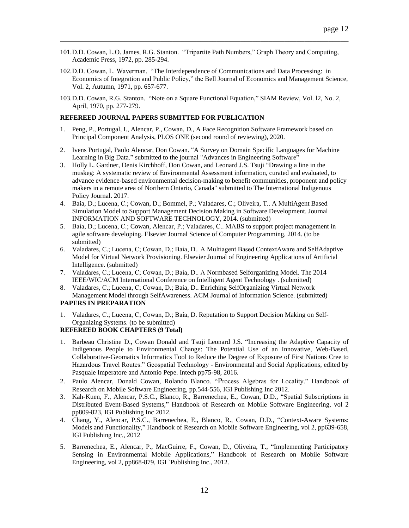101.D.D. Cowan, L.O. James, R.G. Stanton. "Tripartite Path Numbers," Graph Theory and Computing, Academic Press, 1972, pp. 285-294.

\_\_\_\_\_\_\_\_\_\_\_\_\_\_\_\_\_\_\_\_\_\_\_\_\_\_\_\_\_\_\_\_\_\_\_\_\_\_\_\_\_\_\_\_\_\_\_\_\_\_\_\_\_\_\_\_\_\_\_\_\_\_\_\_\_\_\_\_\_\_\_\_

- 102.D.D. Cowan, L. Waverman. "The Interdependence of Communications and Data Processing: in Economics of Integration and Public Policy," the Bell Journal of Economics and Management Science, Vol. 2, Autumn, 1971, pp. 657-677.
- 103.D.D. Cowan, R.G. Stanton. "Note on a Square Functional Equation," SIAM Review, Vol. l2, No. 2, April, 1970, pp. 277-279.

# **REFEREED JOURNAL PAPERS SUBMITTED FOR PUBLICATION**

- 1. Peng, P., Portugal, I., Alencar, P., Cowan, D., A Face Recognition Software Framework based on Principal Component Analysis, PLOS ONE (second round of reviewing), 2020.
- 2. Ivens Portugal, Paulo Alencar, Don Cowan. "A Survey on Domain Specific Languages for Machine Learning in Big Data." submitted to the journal "Advances in Engineering Software"
- 3. Holly L. Gardner, Denis Kirchhoff, Don Cowan, and Leonard J.S. Tsuji "Drawing a line in the muskeg: A systematic review of Environmental Assessment information, curated and evaluated, to advance evidence-based environmental decision-making to benefit communities, proponent and policy makers in a remote area of Northern Ontario, Canada" submitted to The International Indigenous Policy Journal. 2017.
- 4. Baia, D.; Lucena, C.; Cowan, D.; Bommel, P.; Valadares, C.; Oliveira, T.. A MultiAgent Based Simulation Model to Support Management Decision Making in Software Development. Journal INFORMATION AND SOFTWARE TECHNOLOGY, 2014. (submitted)
- 5. Baia, D.; Lucena, C.; Cowan, Alencar, P.; Valadares, C.. MABS to support project management in agile software developing. Elsevier Journal Science of Computer Programming, 2014. (to be submitted)
- 6. Valadares, C.; Lucena, C; Cowan, D.; Baia, D.. A Multiagent Based ContextAware and SelfAdaptive Model for Virtual Network Provisioning. Elsevier Journal of Engineering Applications of Artificial Intelligence. (submitted)
- 7. Valadares, C.; Lucena, C; Cowan, D.; Baia, D.. A Normbased Selforganizing Model. The 2014 IEEE/WIC/ACM International Conference on Intelligent Agent Technology . (submitted)
- 8. Valadares, C.; Lucena, C; Cowan, D.; Baia, D.. Enriching SelfOrganizing Virtual Network Management Model through SelfAwareness. ACM Journal of Information Science. (submitted)

# **PAPERS IN PREPARATION**

1. Valadares, C.; Lucena, C; Cowan, D.; Baia, D. Reputation to Support Decision Making on Self-Organizing Systems. (to be submitted)

### **REFEREED BOOK CHAPTERS (9 Total)**

- 1. Barbeau Christine D., Cowan Donald and Tsuji Leonard J.S. "Increasing the Adaptive Capacity of Indigenous People to Environmental Change: The Potential Use of an Innovative, Web-Based, Collaborative-Geomatics Informatics Tool to Reduce the Degree of Exposure of First Nations Cree to Hazardous Travel Routes." Geospatial Technology - Environmental and Social Applications, edited by Pasquale Imperatore and Antonio Pepe. Intech pp75-98, 2016.
- 2. [Paulo Alencar,](https://www.researchgate.net/profile/Paulo_Alencar) [Donald Cowan,](https://www.researchgate.net/scientific-contributions/2125488995_Donald_Cowan) [Rolando Blanco.](https://www.researchgate.net/scientific-contributions/70057993_Rolando_Blanco) "Process Algebras for Locality." Handbook of Research on Mobile Software Engineering, pp.544-556, IGI Publishing Inc 2012.
- 3. Kah-Kuen, F., Alencar, P.S.C., Blanco, R., Barrenechea, E., Cowan, D.D., "Spatial Subscriptions in Distributed Event-Based Systems," Handbook of Research on Mobile Software Engineering, vol 2 pp809-823, IGI Publishing Inc 2012.
- 4. Chang, Y., Alencar, P.S.C., Barrenechea, E., Blanco, R., Cowan, D.D., "Context-Aware Systems: Models and Functionality," Handbook of Research on Mobile Software Engineering, vol 2, pp639-658, IGI Publishing Inc., 2012
- 5. Barrenechea, E., Alencar, P., MacGuirre, F., Cowan, D., Oliveira, T., "Implementing Participatory Sensing in Environmental Mobile Applications," Handbook of Research on Mobile Software Engineering, vol 2, pp868-879, IGI `Publishing Inc., 2012.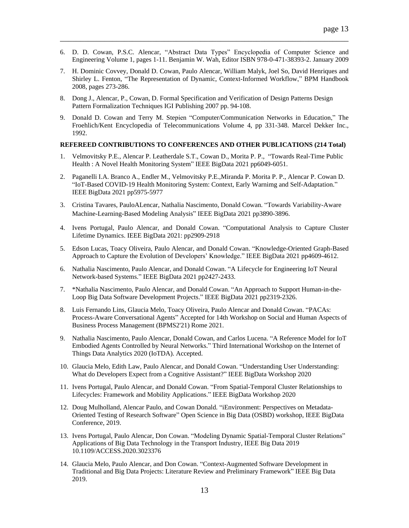6. D. D. Cowan, P.S.C. Alencar, "Abstract Data Types" Encyclopedia of Computer Science and Engineering Volume 1, pages 1-11. Benjamin W. Wah, Editor ISBN 978-0-471-38393-2. January 2009

\_\_\_\_\_\_\_\_\_\_\_\_\_\_\_\_\_\_\_\_\_\_\_\_\_\_\_\_\_\_\_\_\_\_\_\_\_\_\_\_\_\_\_\_\_\_\_\_\_\_\_\_\_\_\_\_\_\_\_\_\_\_\_\_\_\_\_\_\_\_\_\_

- 7. H. Dominic Covvey, Donald D. Cowan, Paulo Alencar, William Malyk, Joel So, David Henriques and Shirley L. Fenton, "The Representation of Dynamic, Context-Informed Workflow," BPM Handbook 2008, pages 273-286.
- 8. Dong J., Alencar, P., Cowan, D. Formal Specification and Verification of Design Patterns Design Pattern Formalization Techniques IGI Publishing 2007 pp. 94-108.
- 9. Donald D. Cowan and Terry M. Stepien "Computer/Communication Networks in Education," The Froehlich/Kent Encyclopedia of Telecommunications Volume 4, pp 331-348. Marcel Dekker Inc., 1992.

# **REFEREED CONTRIBUTIONS TO CONFERENCES AND OTHER PUBLICATIONS (214 Total)**

- 1. Velmovitsky P.E., Alencar P. Leatherdale S.T., Cowan D., Morita P. P., "Towards Real-Time Public Health : A Novel Health Monitoring System" IEEE BigData 2021 pp6049-6051.
- 2. Paganelli I.A. Branco A., Endler M., Velmovitsky P.E.,Miranda P. Morita P. P., Alencar P. Cowan D. "IoT-Based COVID-19 Health Monitoring System: Context, Early Warnimg and Self-Adaptation." IEEE BigData 2021 pp5975-5977
- 3. Cristina Tavares, PauloALencar, Nathalia Nascimento, Donald Cowan. "Towards Variability-Aware Machine-Learning-Based Modeling Analysis" IEEE BigData 2021 pp3890-3896.
- 4. Ivens Portugal, Paulo Alencar, and Donald Cowan. "Computational Analysis to Capture Cluster Lifetime Dynamics. [IEEE BigData 2021:](https://dblp.org/db/conf/bigdataconf/bigdataconf2021.html#PortugalAC21) pp2909-2918
- 5. Edson Lucas, Toacy Oliveira, Paulo Alencar, and Donald Cowan. "Knowledge-Oriented Graph-Based Approach to Capture the Evolution of Developers' Knowledge." IEEE BigData 2021 pp4609-4612.
- 6. Nathalia Nascimento, Paulo Alencar, and Donald Cowan. "A Lifecycle for Engineering IoT Neural Network-based Systems." IEEE BigData 2021 pp2427-2433.
- 7. \*Nathalia Nascimento, Paulo Alencar, and Donald Cowan. "An Approach to Support Human-in-the-Loop Big Data Software Development Projects." IEEE BigData 2021 pp2319-2326.
- 8. Luis Fernando Lins, Glaucia Melo, Toacy Oliveira, Paulo Alencar and Donald Cowan. "PACAs: Process-Aware Conversational Agents" Accepted for 14th Workshop on Social and Human Aspects of Business Process Management (BPMS2'21) Rome 2021.
- 9. Nathalia Nascimento, Paulo Alencar, Donald Cowan, and Carlos Lucena. "A Reference Model for IoT Embodied Agents Controlled by Neural Networks." Third International Workshop on the Internet of Things Data Analytics 2020 (IoTDA). Accepted.
- 10. Glaucia Melo, Edith Law, Paulo Alencar, and Donald Cowan. "Understanding User Understanding: What do Developers Expect from a Cognitive Assistant?" IEEE BigData Workshop 2020
- 11. Ivens Portugal, Paulo Alencar, and Donald Cowan. "From Spatial-Temporal Cluster Relationships to Lifecycles: Framework and Mobility Applications." IEEE BigData Workshop 2020
- 12. Doug Mulholland, Alencar Paulo, and Cowan Donald. "iEnvironment: Perspectives on Metadata-Oriented Testing of Research Software" Open Science in Big Data (OSBD) workshop, IEEE BigData Conference, 2019.
- 13. Ivens Portugal, Paulo Alencar, Don Cowan. "Modeling Dynamic Spatial-Temporal Cluster Relations" Applications of Big Data Technology in the Transport Industry, IEEE Big Data 2019 10.1109/ACCESS.2020.3023376
- 14. Glaucia Melo, Paulo Alencar, and Don Cowan. "Context-Augmented Software Development in Traditional and Big Data Projects: Literature Review and Preliminary Framework" IEEE Big Data 2019.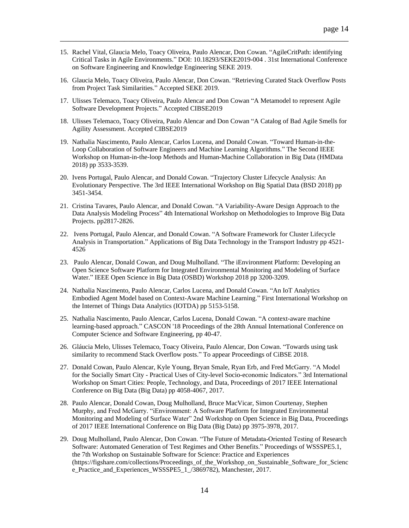15. Rachel Vital, Glaucia Melo, Toacy Oliveira, Paulo Alencar, Don Cowan. "AgileCritPath: identifying Critical Tasks in Agile Environments." DOI: [10.18293/SEKE2019-004](https://www.researchgate.net/deref/http%3A%2F%2Fdx.doi.org%2F10.18293%2FSEKE2019-004?_sg%5B0%5D=NasFwcTbt5zjqNDTTCGo_u43EpDsc4MsEklMqSr9U8GmJ0HbB_XjJgYRfSTKY3evrIne4gUNoiKDo0NpcifRBS7-tg.tcYqQcOj-A3TdU1jYsjhJtFpQ32GWqE1A8c0X6cldI4HJTz9QLlnZ0R0Fniigz5gukfsZaY-gRG5kIx_k3cY8w) . 31st International Conference on Software Engineering and Knowledge Engineering SEKE 2019.

- 16. Glaucia Melo, Toacy Oliveira, Paulo Alencar, Don Cowan. "Retrieving Curated Stack Overflow Posts from Project Task Similarities." Accepted SEKE 2019.
- 17. Ulisses Telemaco, Toacy Oliveira, Paulo Alencar and Don Cowan "A Metamodel to represent Agile Software Development Projects." Accepted CIBSE2019
- 18. Ulisses Telemaco, Toacy Oliveira, Paulo Alencar and Don Cowan "A Catalog of Bad Agile Smells for Agility Assessment. Accepted CIBSE2019
- 19. Nathalia Nascimento, Paulo Alencar, Carlos Lucena, and Donald Cowan. "Toward Human-in-the-Loop Collaboration of Software Engineers and Machine Learning Algorithms." [The Second IEEE](file:///D:/documents/workshops/WS13/overview.htm)  [Workshop on Human-in-the-loop Methods and Human-Machine Collaboration in Big Data \(HMData](file:///D:/documents/workshops/WS13/overview.htm)  [2018\)](file:///D:/documents/workshops/WS13/overview.htm) pp 3533-3539.
- 20. Ivens Portugal, Paulo Alencar, and Donald Cowan. "Trajectory Cluster Lifecycle Analysis: An Evolutionary Perspective. The 3rd IEEE International Workshop on Big Spatial Data (BSD 2018) pp 3451-3454.
- 21. Cristina Tavares, Paulo Alencar, and Donald Cowan. "A Variability-Aware Design Approach to the Data Analysis Modeling Process" 4th International Workshop on Methodologies to Improve Big Data Projects. pp2817-2826.
- 22. Ivens Portugal, Paulo Alencar, and Donald Cowan. "A Software Framework for Cluster Lifecycle Analysis in Transportation." Applications of Big Data Technology in the Transport Industry pp 4521- 4526
- 23. Paulo Alencar, Donald Cowan, and Doug Mulholland. "The iEnvironment Platform: Developing an Open Science Software Platform for Integrated Environmental Monitoring and Modeling of Surface Water." IEEE [Open Science in Big](file:///D:/documents/workshops/WS9/overview.htm) Data (OSBD) Workshop 2018 pp 3200-3209.
- 24. Nathalia Nascimento, Paulo Alencar, Carlos Lucena, and Donald Cowan. "An IoT Analytics Embodied Agent Model based on Context-Aware Machine Learning." First International Workshop on the Internet of Things Data Analytics (IOTDA) pp 5153-5158.
- 25. [Nathalia Nascimento,](https://dl.acm.org/results.cfm?query=persons.authors.personName:%28%22Nathalia%20Nascimento%22%29%20OR%20acmdlPersonName:%28%22Nathalia%20Nascimento%22%29) [Paulo Alencar,](https://dl.acm.org/results.cfm?query=persons.authors.personName:%28%22Paulo%20Alencar%22%29%20OR%20acmdlPersonName:%28%22Paulo%20Alencar%22%29) [Carlos Lucena,](https://dl.acm.org/results.cfm?query=persons.authors.personName:%28%22Carlos%20Lucena%22%29%20OR%20acmdlPersonName:%28%22Carlos%20Lucena%22%29) [Donald Cowan.](https://dl.acm.org/results.cfm?query=persons.authors.personName:%28%22Donald%20Cowan%22%29%20OR%20acmdlPersonName:%28%22Donald%20Cowan%22%29) "A context-aware machine learning-based approach." CASCON '18 Proceedings of the 28th Annual International Conference on Computer Science and Software Engineering, pp 40-47.
- 26. Gláucia Melo, Ulisses Telemaco, Toacy Oliveira, Paulo Alencar, Don Cowan. "Towards using task similarity to recommend Stack Overflow posts." To appear Proceedings of CiBSE 2018.
- 27. Donald Cowan, Paulo Alencar, Kyle Young, Bryan Smale, Ryan Erb, and Fred McGarry. "A Model for the Socially Smart City - Practical Uses of City-level Socio-economic Indicators." 3rd International Workshop on Smart Cities: People, Technology, and Data, Proceedings of 2017 IEEE International Conference on Big Data (Big Data) pp 4058-4067, 2017.
- 28. Paulo Alencar, Donald Cowan, Doug Mulholland, Bruce MacVicar, Simon Courtenay, Stephen Murphy, and Fred McGarry. "iEnvironment: A Software Platform for Integrated Environmental Monitoring and Modeling of Surface Water" 2nd Workshop on Open Science in Big Data, Proceedings of 2017 IEEE International Conference on Big Data (Big Data) pp 3975-3978, 2017.
- 29. Doug Mulholland, Paulo Alencar, Don Cowan. "The Future of Metadata‐Oriented Testing of Research Software: Automated Generation of Test Regimes and Other Benefits." Proceedings of WSSSPE5.1, the 7th Workshop on Sustainable Software for Science: Practice and Experiences (https://figshare.com/collections/Proceedings\_of\_the\_Workshop\_on\_Sustainable\_Software\_for\_Scienc e Practice and Experiences WSSSPE5 1 /3869782), Manchester, 2017.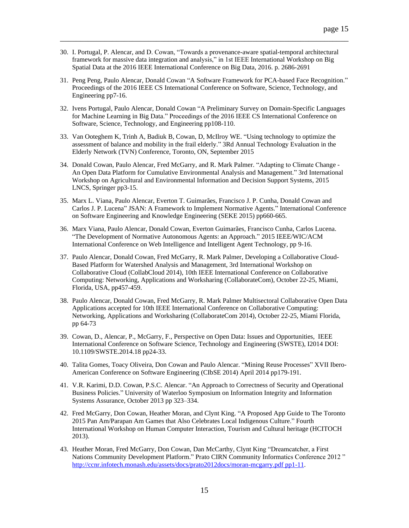30. I. Portugal, P. Alencar, and D. Cowan, "Towards a provenance-aware spatial-temporal architectural framework for massive data integration and analysis," in 1st IEEE International Workshop on Big Spatial Data at the 2016 IEEE International Conference on Big Data, 2016. p. 2686-2691

- 31. Peng Peng, Paulo Alencar, Donald Cowan "A Software Framework for PCA-based Face Recognition." Proceedings of the 2016 IEEE CS International Conference on Software, Science, Technology, and Engineering pp7-16.
- 32. Ivens Portugal, Paulo Alencar, Donald Cowan "A Preliminary Survey on Domain-Specific Languages for Machine Learning in Big Data." Proceedings of the 2016 IEEE CS International Conference on Software, Science, Technology, and Engineering pp108-110.
- 33. Van Ooteghem K, Trinh A, Badiuk B, Cowan, D, McIlroy WE. "Using technology to optimize the assessment of balance and mobility in the frail elderly." 3Rd Annual Technology Evaluation in the Elderly Network (TVN) Conference, Toronto, ON, September 2015
- 34. Donald Cowan, Paulo Alencar, Fred McGarry, and R. Mark Palmer. "Adapting to Climate Change An Open Data Platform for Cumulative Environmental Analysis and Management." 3rd International Workshop on Agricultural and Environmental Information and Decision Support Systems, 2015 LNCS, Springer pp3-15.
- 35. Marx L. Viana, Paulo Alencar, Everton T. Guimarães, Francisco J. P. Cunha, Donald Cowan and Carlos J. P. Lucena" JSAN: A Framework to Implement Normative Agents." International Conference on Software Engineering and Knowledge Engineering (SEKE 2015) pp660-665.
- 36. Marx Viana, Paulo Alencar, Donald Cowan, Everton Guimarães, Francisco Cunha, Carlos Lucena. "The Development of Normative Autonomous Agents: an Approach." 2015 IEEE/WIC/ACM International Conference on Web Intelligence and Intelligent Agent Technology, pp 9-16.
- 37. Paulo Alencar, Donald Cowan, Fred McGarry, R. Mark Palmer, Developing a Collaborative Cloud-Based Platform for Watershed Analysis and Management, 3rd International Workshop on Collaborative Cloud (CollabCloud 2014), 10th IEEE International Conference on Collaborative Computing: Networking, Applications and Worksharing (CollaborateCom), October 22-25, Miami, Florida, USA, pp457-459.
- 38. Paulo Alencar, Donald Cowan, Fred McGarry, R. Mark Palmer Multisectoral Collaborative Open Data Applications accepted for 10th IEEE International Conference on Collaborative Computing: Networking, Applications and Worksharing (CollaborateCom 2014), October 22-25, Miami Florida, pp 64-73
- 39. Cowan, D., Alencar, P., McGarry, F., Perspective on Open Data: Issues and Opportunities, IEEE International Conference on Software Science, Technology and Engineering (SWSTE), I2014 DOI: [10.1109/SWSTE.2014.18](http://dx.doi.org/10.1109/SWSTE.2014.18) pp24-33.
- 40. Talita Gomes, Toacy Oliveira, Don Cowan and Paulo Alencar. "Mining Reuse Processes" XVII Ibero-American Conference on Software Engineering (CIbSE 2014) April 2014 pp179-191.
- 41. V.R. Karimi, D.D. Cowan, P.S.C. Alencar. "An Approach to Correctness of Security and Operational Business Policies." University of Waterloo Symposium on Information Integrity and Information Systems Assurance, October 2013 pp 323–334.
- 42. Fred McGarry, Don Cowan, Heather Moran, and Clynt King. "A Proposed App Guide to The Toronto 2015 Pan Am/Parapan Am Games that Also Celebrates Local Indigenous Culture." Fourth International Workshop on Human Computer Interaction, Tourism and Cultural heritage (HCITOCH 2013).
- 43. Heather Moran, Fred McGarry, Don Cowan, Dan McCarthy, Clynt King "Dreamcatcher, a First Nations Community Development Platform." Prato CIRN Community Informatics Conference 2012 " [http://ccnr.infotech.monash.edu/assets/docs/prato2012docs/moran-mcgarry.pdf pp1-11.](http://ccnr.infotech.monash.edu/assets/docs/prato2012docs/moran-mcgarry.pdf%20pp1-11)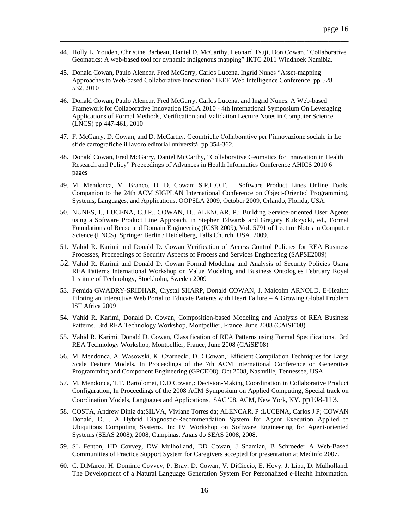44. Holly L. Youden, Christine Barbeau, Daniel D. McCarthy, Leonard Tsuji, Don Cowan. "Collaborative Geomatics: A web-based tool for dynamic indigenous mapping" IKTC 2011 Windhoek Namibia.

- 45. Donald Cowan, Paulo Alencar, Fred McGarry, Carlos Lucena, Ingrid Nunes "Asset-mapping Approaches to Web-based Collaborative Innovation" IEEE Web Intelligence Conference, pp 528 – 532, 2010
- 46. Donald Cowan, Paulo Alencar, Fred McGarry, Carlos Lucena, and Ingrid Nunes. A Web-based Framework for Collaborative Innovation ISoLA 2010 - 4th International Symposium On Leveraging Applications of Formal Methods, Verification and Validation [Lecture Notes in Computer](http://www.springer.com/computer/lncs?SGWID=0-164-0-0-0) Science [\(LNCS\)](http://www.springer.com/computer/lncs?SGWID=0-164-0-0-0) pp 447-461, 2010
- 47. F. McGarry, D. Cowan, and D. McCarthy. Geomtriche Collaborative per l'innovazione sociale in Le sfide cartografiche il lavoro editorial università. pp 354-362.
- 48. Donald Cowan, Fred McGarry, Daniel McCarthy, "Collaborative Geomatics for Innovation in Health Research and Policy" Proceedings of Advances in Health Informatics Conference AHICS 2010 6 pages
- 49. M. Mendonca, M. Branco, D. D. Cowan: S.P.L.O.T. Software Product Lines Online Tools, Companion to the 24th ACM SIGPLAN International Conference on Object-Oriented Programming, Systems, Languages, and Applications, OOPSLA 2009, October 2009, Orlando, Florida, USA.
- 50. NUNES, I., LUCENA, C.J.P., COWAN, D., ALENCAR, P.; Building Service-oriented User Agents using a Software Product Line Approach, in Stephen Edwards and Gregory Kulczycki, ed., Formal Foundations of Reuse and Domain Engineering (ICSR 2009), Vol. 5791 of Lecture Notes in Computer Science (LNCS), Springer Berlin / Heidelberg, Falls Church, USA, 2009.
- 51. Vahid R. Karimi and Donald D. Cowan Verification of Access Control Policies for REA Business Processes, Proceedings of Security Aspects of Process and Services Engineering (SAPSE2009)
- 52. Vahid R. Karimi and Donald D. Cowan Formal Modeling and Analysis of Security Policies Using REA Patterns International Workshop on Value Modeling and Business Ontologies February Royal Institute of Technology, Stockholm, Sweden 2009
- 53. Femida GWADRY-SRIDHAR, Crystal SHARP, Donald COWAN, J. Malcolm ARNOLD, E-Health: Piloting an Interactive Web Portal to Educate Patients with Heart Failure – A Growing Global Problem IST Africa 2009
- 54. Vahid R. Karimi, Donald D. Cowan, [Composition-based Modeling and Analysis of REA Business](http://www.managementinformation.ugent.be/REAworkshop2008/Vrkarimi_REA_1.pdf)  [Patterns.](http://www.managementinformation.ugent.be/REAworkshop2008/Vrkarimi_REA_1.pdf) 3rd REA Technology Workshop, Montpellier, France, June 2008 (CAiSE'08)
- 55. Vahid R. Karimi, Donald D. Cowan, [Classification of REA Patterns using Formal](http://www.managementinformation.ugent.be/REAworkshop2008/Vrkarimi_REA_2.pdf) Specifications. 3rd REA Technology Workshop, Montpellier, France, June 2008 (CAiSE'08)
- 56. M. Mendonca, A. Wasowski, K. Czarnecki, D.D Cowan,: Efficient Compilation Techniques for Large Scale Feature Models. In Proceedings of the 7th ACM International Conference on Generative Programming and Component Engineering (GPCE'08). Oct 2008, Nashville, Tennessee, USA.
- 57. M. Mendonca, T.T. Bartolomei, D.D Cowan,: Decision-Making Coordination in Collaborative Product Configuration, In Proceedings of the 2008 ACM Symposium on Applied Computing, Special track on Coordination Models, Languages and Applications, SAC '08. ACM, New York, NY. pp108-113.
- 58. COSTA, Andrew Diniz da[;SILVA, Viviane Torres da;](http://lattes.cnpq.br/7802814360038820) ALENCAR, P [;LUCENA, Carlos J P;](http://lattes.cnpq.br/2491891766759477) COWAN Donald, D. . A Hybrid Diagnostic-Recommendation System for Agent Execution Applied to Ubiquitous Computing Systems. In: IV Workshop on Software Engineering for Agent-oriented Systems (SEAS 2008), 2008, Campinas. Anais do SEAS 2008, 2008.
- 59. SL Fenton, HD Covvey, DW Mulholland, DD Cowan, J Shamian, B Schroeder A Web-Based Communities of Practice Support System for Caregivers accepted for presentation at Medinfo 2007.
- 60. C. DiMarco, H. Dominic Covvey, P. Bray, D. Cowan, V. DiCiccio, E. Hovy, J. Lipa, D. Mulholland. The Development of a Natural Language Generation System For Personalized e-Health Information.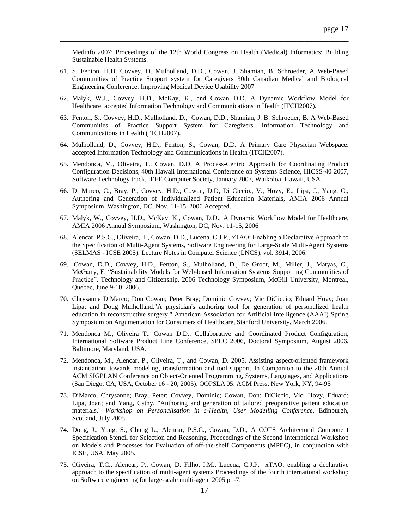Medinfo 2007: Proceedings of the 12th World Congress on Health (Medical) Informatics; Building Sustainable Health Systems.

61. S. Fenton, H.D. Covvey, D. Mulholland, D.D., Cowan, J. Shamian, B. Schroeder, A Web-Based Communities of Practice Support system for Caregivers 30th Canadian Medical and Biological Engineering Conference: Improving Medical Device Usability 2007

- 62. Malyk, W.J., Covvey, H.D., McKay, K., and Cowan D.D. A Dynamic Workflow Model for Healthcare. accepted Information Technology and Communications in Health (ITCH2007).
- 63. Fenton, S., Covvey, H.D., Mulholland, D., Cowan, D.D., Shamian, J. B. Schroeder, B. A Web-Based Communities of Practice Support System for Caregivers. Information Technology and Communications in Health (ITCH2007).
- 64. Mulholland, D., Covvey, H.D., Fenton, S., Cowan, D.D. A Primary Care Physician Webspace. accepted Information Technology and Communications in Health (ITCH2007).
- 65. Mendonca, M., Oliveira, T., Cowan, D.D. A Process-Centric Approach for Coordinating Product Configuration Decisions, 40th Hawaii International Conference on Systems Science, HICSS-40 2007, Software Technology track, IEEE Computer Society, January 2007, Waikoloa, Hawaii, USA.
- 66. Di Marco, C., Bray, P., Covvey, H.D., Cowan, D.D, Di Ciccio., V., Hovy, E., Lipa, J., Yang, C., Authoring and Generation of Individualized Patient Education Materials, AMIA 2006 Annual Symposium, Washington, DC, Nov. 11-15, 2006 Accepted.
- 67. Malyk, W., Covvey, H.D., McKay, K., Cowan, D.D., A Dynamic Workflow Model for Healthcare, AMIA 2006 Annual Symposium, Washington, DC, Nov. 11-15, 2006
- 68. Alencar, P.S.C., Oliveira, T., Cowan, D.D., Lucena, C.J.P., xTAO: Enabling a Declarative Approach to the Specification of Multi-Agent Systems, Software Engineering for Large-Scale Multi-Agent Systems (SELMAS - ICSE 2005); Lecture Notes in Computer Science (LNCS), vol. 3914, 2006.
- 69. Cowan, D.D., Covvey, H.D., Fenton, S., Mulholland, D., De Groot, M., Miller, J., Matyas, C., McGarry, F. "Sustainability Models for Web-based Information Systems Supporting Communities of Practice", Technology and Citizenship, 2006 Technology Symposium, McGill University, Montreal, Quebec, June 9-10, 2006.
- 70. Chrysanne DiMarco; Don Cowan; Peter Bray; Dominic Covvey; Vic DiCiccio; Eduard Hovy; Joan Lipa; and Doug Mulholland."A physician's authoring tool for generation of personalized health education in reconstructive surgery." American Association for Artificial Intelligence (AAAI) Spring Symposium on Argumentation for Consumers of Healthcare, Stanford University, March 2006.
- 71. Mendonca M., Oliveira T., Cowan D.D.: Collaborative and Coordinated Product Configuration, International Software Product Line Conference, SPLC 2006, Doctoral Symposium, August 2006, Baltimore, Maryland, USA.
- 72. Mendonca, M., Alencar, P., Oliveira, T., and Cowan, D. 2005. Assisting aspect-oriented framework instantiation: towards modeling, transformation and tool support. In Companion to the 20th Annual ACM SIGPLAN Conference on Object-Oriented Programming, Systems, Languages, and Applications (San Diego, CA, USA, October 16 - 20, 2005). OOPSLA'05. ACM Press, New York, NY, 94-95
- 73. DiMarco, Chrysanne; Bray, Peter; Covvey, Dominic; Cowan, Don; DiCiccio, Vic; Hovy, Eduard; Lipa, Joan; and Yang, Cathy. "Authoring and generation of tailored preoperative patient education materials." *Workshop on Personalisation in e-Health, User Modelling Conference,* Edinburgh, Scotland, July 2005.
- 74. Dong, J., Yang, S., Chung L., Alencar, P.S.C., Cowan, D.D., A COTS Architectural Component Specification Stencil for Selection and Reasoning, Proceedings of the Second International Workshop on Models and Processes for Evaluation of off-the-shelf Components (MPEC), in conjunction with ICSE, USA, May 2005.
- 75. Oliveira, T.C., Alencar, P., Cowan, D. Filho, I.M., Lucena, C.J.P. xTAO: enabling a declarative approach to the specification of multi-agent systems Proceedings of the fourth international workshop on Software engineering for large-scale multi-agent 2005 p1-7.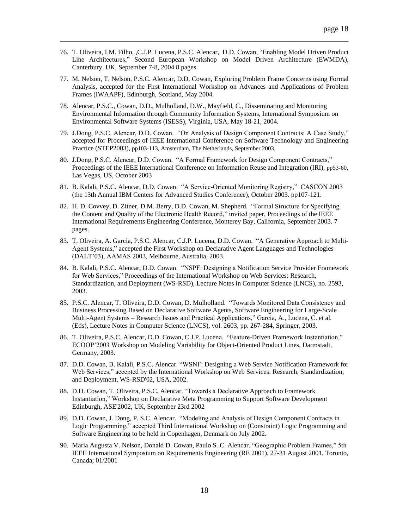76. T. Oliveira, I.M. Filho, ,C.J.P. Lucena, P.S.C. Alencar, D.D. Cowan, "Enabling Model Driven Product Line Architectures," Second European Workshop on Model Driven Architecture (EWMDA), Canterbury, UK, September 7-8, 2004 8 pages.

- 77. M. Nelson, T. Nelson, P.S.C. Alencar, D.D. Cowan, Exploring Problem Frame Concerns using Formal Analysis, accepted for the First International Workshop on Advances and Applications of Problem Frames (IWAAPF), Edinburgh, Scotland, May 2004.
- 78. Alencar, P.S.C., Cowan, D.D., Mulholland, D.W., Mayfield, C., Disseminating and Monitoring Environmental Information through Community Information Systems, International Symposium on Environmental Software Systems (ISESS), Virginia, USA, May 18-21, 2004.
- 79. J.Dong, P.S.C. Alencar, D.D. Cowan. "On Analysis of Design Component Contracts: A Case Study," accepted for Proceedings of IEEE International Conference on Software Technology and Engineering Practice (STEP2003), pp103-113, Amsterdam, The Netherlands, September 2003.
- 80. J.Dong, P.S.C. Alencar, D.D. Cowan. "A Formal Framework for Design Component Contracts," Proceedings of the IEEE International Conference on Information Reuse and Integration (IRI), pp53-60, Las Vegas, US, October 2003
- 81. B. Kalali, P.S.C. Alencar, D.D. Cowan. "A Service-Oriented Monitoring Registry," CASCON 2003 (the 13th Annual IBM Centers for Advanced Studies Conference), October 2003. pp107-121.
- 82. H. D. Covvey, D. Zitner, D.M. Berry, D.D. Cowan, M. Shepherd. "Formal Structure for Specifying the Content and Quality of the Electronic Health Record," invited paper, Proceedings of the IEEE International Requirements Engineering Conference, Monterey Bay, California, September 2003. 7 pages.
- 83. T. Oliveira, A. Garcia, P.S.C. Alencar, C.J.P. Lucena, D.D. Cowan. "A Generative Approach to Multi-Agent Systems," accepted the First Workshop on Declarative Agent Languages and Technologies (DALT'03), AAMAS 2003, Melbourne, Australia, 2003.
- 84. B. Kalali, P.S.C. Alencar, D.D. Cowan. "NSPF: Designing a Notification Service Provider Framework for Web Services," Proceedings of the International Workshop on Web Services: Research, Standardization, and Deployment (WS-RSD), Lecture Notes in Computer Science (LNCS), no. 2593, 2003.
- 85. P.S.C. Alencar, T. Oliveira, D.D. Cowan, D. Mulholland. "Towards Monitored Data Consistency and Business Processing Based on Declarative Software Agents, Software Engineering for Large-Scale Multi-Agent Systems – Research Issues and Practical Applications," Garcia, A., Lucena, C. et al. (Eds), Lecture Notes in Computer Science (LNCS), vol. 2603, pp. 267-284, Springer, 2003.
- 86. T. Oliveira, P.S.C. Alencar, D.D. Cowan, C.J.P. Lucena. "Feature-Driven Framework Instantiation," ECOOP'2003 Workshop on Modeling Variability for Object-Oriented Product Lines, Darmstadt, Germany, 2003.
- 87. D.D. Cowan, B. Kalali, P.S.C. Alencar. "WSNF: Designing a Web Service Notification Framework for Web Services," accepted by the International Workshop on Web Services: Research, Standardization, and Deployment, WS-RSD'02, USA, 2002.
- 88. D.D. Cowan, T. Oliveira, P.S.C. Alencar. "Towards a Declarative Approach to Framework Instantiation," Workshop on Declarative Meta Programming to Support Software Development Edinburgh, ASE'2002, UK, September 23rd 2002
- 89. D.D. Cowan, J. Dong, P. S.C. Alencar. "Modeling and Analysis of Design Component Contracts in Logic Programming," accepted Third International Workshop on (Constraint) Logic Programming and Software Engineering to be held in Copenhagen, Denmark on July 2002.
- 90. Maria Augusta V. Nelson, [Donald D. Cowan,](https://www.researchgate.net/researcher/70714991_Donald_D_Cowan) [Paulo S. C. Alencar.](https://www.researchgate.net/researcher/69706809_Paulo_S_C_Alencar) "Geographic Problem Frames," 5th IEEE International Symposium on Requirements Engineering (RE 2001), 27-31 August 2001, Toronto, Canada; 01/2001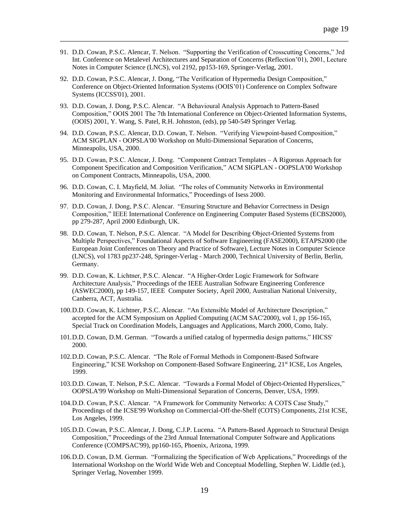91. D.D. Cowan, P.S.C. Alencar, T. Nelson. "Supporting the Verification of Crosscutting Concerns," 3rd Int. Conference on Metalevel Architectures and Separation of Concerns (Reflection'01), 2001, Lecture Notes in Computer Science (LNCS), vol 2192, pp153-169, Springer-Verlag, 2001.

- 92. D.D. Cowan, P.S.C. Alencar, J. Dong, "The Verification of Hypermedia Design Composition," Conference on Object-Oriented Information Systems (OOIS'01) Conference on Complex Software Systems (ICCSS'01), 2001.
- 93. D.D. Cowan, J. Dong, P.S.C. Alencar. "A Behavioural Analysis Approach to Pattern-Based Composition," OOIS 2001 The 7th International Conference on Object-Oriented Information Systems, (OOIS) 2001, Y. Wang, S. Patel, R.H. Johnston, (eds), pp 540-549 Springer Verlag.
- 94. D.D. Cowan, P.S.C. Alencar, D.D. Cowan, T. Nelson. "Verifying Viewpoint-based Composition," ACM SIGPLAN - OOPSLA'00 Workshop on Multi-Dimensional Separation of Concerns, Minneapolis, USA, 2000.
- 95. D.D. Cowan, P.S.C. Alencar, J. Dong. "Component Contract Templates A Rigorous Approach for Component Specification and Composition Verification," ACM SIGPLAN - OOPSLA'00 Workshop on Component Contracts, Minneapolis, USA, 2000.
- 96. D.D. Cowan, C. I. Mayfield, M. Joliat. "The roles of Community Networks in Environmental Monitoring and Environmental Informatics," Proceedings of Isess 2000.
- 97. D.D. Cowan, J. Dong, P.S.C. Alencar. "Ensuring Structure and Behavior Correctness in Design Composition," IEEE International Conference on Engineering Computer Based Systems (ECBS2000), pp 279-287, April 2000 Edinburgh, UK.
- 98. D.D. Cowan, T. Nelson, P.S.C. Alencar. "A Model for Describing Object-Oriented Systems from Multiple Perspectives," Foundational Aspects of Software Engineering (FASE2000), ETAPS2000 (the European Joint Conferences on Theory and Practice of Software), Lecture Notes in Computer Science (LNCS), vol 1783 pp237-248, Springer-Verlag - March 2000, Technical University of Berlin, Berlin, Germany.
- 99. D.D. Cowan, K. Lichtner, P.S.C. Alencar. "A Higher-Order Logic Framework for Software Architecture Analysis," Proceedings of the IEEE Australian Software Engineering Conference (ASWEC2000), pp 149-157, IEEE Computer Society, April 2000, Australian National University, Canberra, ACT, Australia.
- 100.D.D. Cowan, K. Lichtner, P.S.C. Alencar. "An Extensible Model of Architecture Description," accepted for the ACM Symposium on Applied Computing (ACM SAC'2000), vol 1, pp 156-165, Special Track on Coordination Models, Languages and Applications, March 2000, Como, Italy.
- 101.D.D. Cowan, D.M. German. "Towards a unified catalog of hypermedia design patterns," HICSS' 2000.
- 102.D.D. Cowan, P.S.C. Alencar. "The Role of Formal Methods in Component-Based Software Engineering," ICSE Workshop on Component-Based Software Engineering, 21<sup>st</sup> ICSE, Los Angeles, 1999.
- 103.D.D. Cowan, T. Nelson, P.S.C. Alencar. "Towards a Formal Model of Object-Oriented Hyperslices," OOPSLA'99 Workshop on Multi-Dimensional Separation of Concerns, Denver, USA, 1999.
- 104.D.D. Cowan, P.S.C. Alencar. "A Framework for Community Networks: A COTS Case Study," Proceedings of the ICSE'99 Workshop on Commercial-Off-the-Shelf (COTS) Components, 21st ICSE, Los Angeles, 1999.
- 105.D.D. Cowan, P.S.C. Alencar, J. Dong, C.J.P. Lucena. "A Pattern-Based Approach to Structural Design Composition," Proceedings of the 23rd Annual International Computer Software and Applications Conference (COMPSAC'99), pp160-165, Phoenix, Arizona, 1999.
- 106.D.D. Cowan, D.M. German. "Formalizing the Specification of Web Applications," Proceedings of the International Workshop on the World Wide Web and Conceptual Modelling, Stephen W. Liddle (ed.), Springer Verlag, November 1999.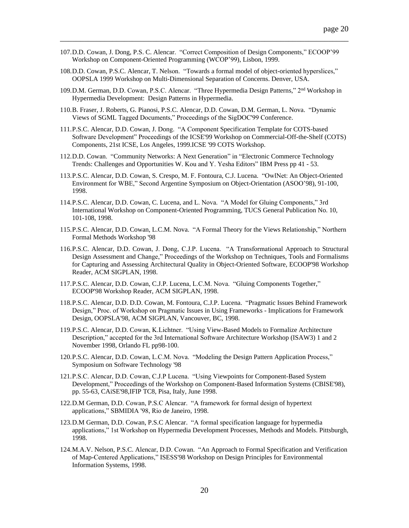107.D.D. Cowan, J. Dong, P.S. C. Alencar. "Correct Composition of Design Components," ECOOP'99 Workshop on Component-Oriented Programming (WCOP'99), Lisbon, 1999.

- 108.D.D. Cowan, P.S.C. Alencar, T. Nelson. "Towards a formal model of object-oriented hyperslices," OOPSLA 1999 Workshop on Multi-Dimensional Separation of Concerns. Denver, USA.
- 109.D.M. German, D.D. Cowan, P.S.C. Alencar. "Three Hypermedia Design Patterns," 2nd Workshop in Hypermedia Development: Design Patterns in Hypermedia.
- 110.B. Fraser, J. Roberts, G. Pianosi, P.S.C. Alencar, D.D. Cowan, D.M. German, L. Nova. "Dynamic Views of SGML Tagged Documents," Proceedings of the SigDOC'99 Conference.
- 111.P.S.C. Alencar, D.D. Cowan, J. Dong. "A Component Specification Template for COTS-based Software Development" Proceedings of the ICSE'99 Workshop on Commercial-Off-the-Shelf (COTS) Components, 21st ICSE, Los Angeles, 1999.ICSE '99 COTS Workshop.
- 112.D.D. Cowan. "Community Networks: A Next Generation" in "Electronic Commerce Technology Trends: Challenges and Opportunities W. Kou and Y. Yesha Editors" IBM Press pp 41 - 53.
- 113.P.S.C. Alencar, D.D. Cowan, S. Crespo, M. F. Fontoura, C.J. Lucena. "OwlNet: An Object-Oriented Environment for WBE," Second Argentine Symposium on Object-Orientation (ASOO'98), 91-100, 1998.
- 114.P.S.C. Alencar, D.D. Cowan, C. Lucena, and L. Nova. "A Model for Gluing Components," 3rd International Workshop on Component-Oriented Programming, TUCS General Publication No. 10, 101-108, 1998.
- 115.P.S.C. Alencar, D.D. Cowan, L.C.M. Nova. "A Formal Theory for the Views Relationship," Northern Formal Methods Workshop '98
- 116.P.S.C. Alencar, D.D. Cowan, J. Dong, C.J.P. Lucena. "A Transformational Approach to Structural Design Assessment and Change," Proceedings of the Workshop on Techniques, Tools and Formalisms for Capturing and Assessing Architectural Quality in Object-Oriented Software, ECOOP'98 Workshop Reader, ACM SIGPLAN, 1998.
- 117.P.S.C. Alencar, D.D. Cowan, C.J.P. Lucena, L.C.M. Nova. "Gluing Components Together," ECOOP'98 Workshop Reader, ACM SIGPLAN, 1998.
- 118.P.S.C. Alencar, D.D. D.D. Cowan, M. Fontoura, C.J.P. Lucena. "Pragmatic Issues Behind Framework Design," Proc. of Workshop on Pragmatic Issues in Using Frameworks - Implications for Framework Design, OOPSLA'98, ACM SIGPLAN, Vancouver, BC, 1998.
- 119.P.S.C. Alencar, D.D. Cowan, K.Lichtner. "Using View-Based Models to Formalize Architecture Description," accepted for the 3rd International Software Architecture Workshop (ISAW3) 1 and 2 November 1998, Orlando FL pp98-100.
- 120.P.S.C. Alencar, D.D. Cowan, L.C.M. Nova. "Modeling the Design Pattern Application Process," Symposium on Software Technology '98
- 121.P.S.C. Alencar, D.D. Cowan, C.J.P Lucena. "Using Viewpoints for Component-Based System Development," Proceedings of the Workshop on Component-Based Information Systems (CBISE'98), pp. 55-63, CAiSE'98,IFIP TC8, Pisa, Italy, June 1998.
- 122.D.M German, D.D. Cowan, P.S.C Alencar. "A framework for formal design of hypertext applications," SBMIDIA '98, Rio de Janeiro, 1998.
- 123.D.M German, D.D. Cowan, P.S.C Alencar. "A formal specification language for hypermedia applications," 1st Workshop on Hypermedia Development Processes, Methods and Models. Pittsburgh, 1998.
- 124.M.A.V. Nelson, P.S.C. Alencar, D.D. Cowan. "An Approach to Formal Specification and Verification of Map-Centered Applications," ISESS'98 Workshop on Design Principles for Environmental Information Systems, 1998.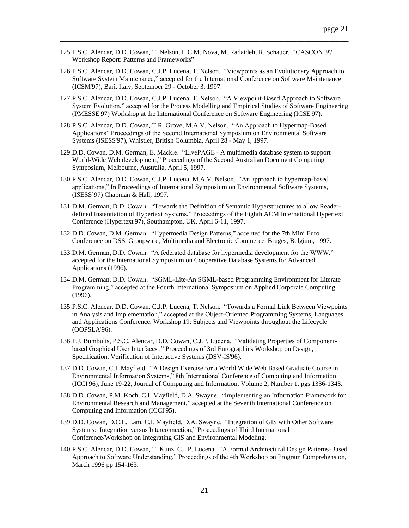- 125.P.S.C. Alencar, D.D. Cowan, T. Nelson, L.C.M. Nova, M. Radaideh, R. Schauer. "CASCON '97 Workshop Report: Patterns and Frameworks"
- 126.P.S.C. Alencar, D.D. Cowan, C.J.P. Lucena, T. Nelson. "Viewpoints as an Evolutionary Approach to Software System Maintenance," accepted for the International Conference on Software Maintenance (ICSM'97), Bari, Italy, September 29 - October 3, 1997.

- 127.P.S.C. Alencar, D.D. Cowan, C.J.P. Lucena, T. Nelson. "A Viewpoint-Based Approach to Software System Evolution," accepted for the Process Modelling and Empirical Studies of Software Engineering (PMESSE'97) Workshop at the International Conference on Software Engineering (ICSE'97).
- 128.P.S.C. Alencar, D.D. Cowan, T.R. Grove, M.A.V. Nelson. "An Approach to Hypermap-Based Applications" Proceedings of the Second International Symposium on Environmental Software Systems (ISESS'97), Whistler, British Columbia, April 28 - May 1, 1997.
- 129.D.D. Cowan, D.M. German, E. Mackie. "LivePAGE A multimedia database system to support World-Wide Web development," Proceedings of the Second Australian Document Computing Symposium, Melbourne, Australia, April 5, 1997.
- 130.P.S.C. Alencar, D.D. Cowan, C.J.P. Lucena, M.A.V. Nelson. "An approach to hypermap-based applications," In Proceedings of International Symposium on Environmental Software Systems, (ISESS'97) Chapman & Hall, 1997.
- 131.D.M. German, D.D. Cowan. "Towards the Definition of Semantic Hyperstructures to allow Readerdefined Instantiation of Hypertext Systems," Proceedings of the Eighth ACM International Hypertext Conference (Hypertext'97), Southampton, UK, April 6-11, 1997.
- 132.D.D. Cowan, D.M. German. "Hypermedia Design Patterns," accepted for the 7th Mini Euro Conference on DSS, Groupware, Multimedia and Electronic Commerce, Bruges, Belgium, 1997.
- 133.D.M. German, D.D. Cowan. "A federated database for hypermedia development for the WWW," accepted for the International Symposium on Cooperative Database Systems for Advanced Applications (1996).
- 134.D.M. German, D.D. Cowan. "SGML-Lite-An SGML-based Programming Environment for Literate Programming," accepted at the Fourth International Symposium on Applied Corporate Computing (1996).
- 135.P.S.C. Alencar, D.D. Cowan, C.J.P. Lucena, T. Nelson. "Towards a Formal Link Between Viewpoints in Analysis and Implementation," accepted at the Object-Oriented Programming Systems, Languages and Applications Conference, Workshop 19: Subjects and Viewpoints throughout the Lifecycle (OOPSLA'96).
- 136.P.J. Bumbulis, P.S.C. Alencar, D.D. Cowan, C.J.P. Lucena. "Validating Properties of Componentbased Graphical User Interfaces ," Proceedings of 3rd Eurographics Workshop on Design, Specification, Verification of Interactive Systems (DSV-IS'96).
- 137.D.D. Cowan, C.I. Mayfield. "A Design Exercise for a World Wide Web Based Graduate Course in Environmental Information Systems," 8th International Conference of Computing and Information (ICCI'96), June 19-22, Journal of Computing and Information, Volume 2, Number 1, pgs 1336-1343.
- 138.D.D. Cowan, P.M. Koch, C.I. Mayfield, D.A. Swayne. "Implementing an Information Framework for Environmental Research and Management," accepted at the Seventh International Conference on Computing and Information (ICCI'95).
- 139.D.D. Cowan, D.C.L. Lam, C.I. Mayfield, D.A. Swayne. "Integration of GIS with Other Software Systems: Integration versus Interconnection," Proceedings of Third International Conference/Workshop on Integrating GIS and Environmental Modeling.
- 140.P.S.C. Alencar, D.D. Cowan, T. Kunz, C.J.P. Lucena. "A Formal Architectural Design Patterns-Based Approach to Software Understanding," Proceedings of the 4th Workshop on Program Comprehension, March 1996 pp 154-163.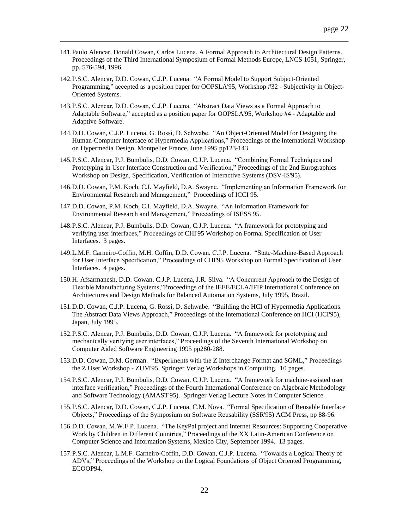141.Paulo Alencar, Donald Cowan, Carlos Lucena. A Formal Approach to Architectural Design Patterns. Proceedings of the Third International Symposium of Formal Methods Europe, LNCS 1051, Springer, pp. 576-594, 1996.

- 142.P.S.C. Alencar, D.D. Cowan, C.J.P. Lucena. "A Formal Model to Support Subject-Oriented Programming," accepted as a position paper for OOPSLA'95, Workshop #32 - Subjectivity in Object-Oriented Systems.
- 143.P.S.C. Alencar, D.D. Cowan, C.J.P. Lucena. "Abstract Data Views as a Formal Approach to Adaptable Software," accepted as a position paper for OOPSLA'95, Workshop #4 - Adaptable and Adaptive Software.
- 144.D.D. Cowan, C.J.P. Lucena, G. Rossi, D. Schwabe. "An Object-Oriented Model for Designing the Human-Computer Interface of Hypermedia Applications," Proceedings of the International Workshop on Hypermedia Design, Montpelier France, June 1995 pp123-143.
- 145.P.S.C. Alencar, P.J. Bumbulis, D.D. Cowan, C.J.P. Lucena. "Combining Formal Techniques and Prototyping in User Interface Construction and Verification," Proceedings of the 2nd Eurographics Workshop on Design, Specification, Verification of Interactive Systems (DSV-IS'95).
- 146.D.D. Cowan, P.M. Koch, C.I. Mayfield, D.A. Swayne. "Implementing an Information Framework for Environmental Research and Management," Proceedings of ICCI 95.
- 147.D.D. Cowan, P.M. Koch, C.I. Mayfield, D.A. Swayne. "An Information Framework for Environmental Research and Management," Proceedings of ISESS 95.
- 148.P.S.C. Alencar, P.J. Bumbulis, D.D. Cowan, C.J.P. Lucena. "A framework for prototyping and verifying user interfaces," Proceedings of CHI'95 Workshop on Formal Specification of User Interfaces. 3 pages.
- 149.L.M.F. Carneiro-Coffin, M.H. Coffin, D.D. Cowan, C.J.P. Lucena. "State-Machine-Based Approach for User Interface Specification," Proceedings of CHI'95 Workshop on Formal Specification of User Interfaces. 4 pages.
- 150.H. Afsarmanesh, D.D. Cowan, C.J.P. Lucena, J.R. Silva. "A Concurrent Approach to the Design of Flexible Manufacturing Systems,"Proceedings of the IEEE/ECLA/IFIP International Conference on Architectures and Design Methods for Balanced Automation Systems, July 1995, Brazil.
- 151.D.D. Cowan, C.J.P. Lucena, G. Rossi, D. Schwabe. "Building the HCI of Hypermedia Applications. The Abstract Data Views Approach," Proceedings of the International Conference on HCI (HCI'95), Japan, July 1995.
- 152.P.S.C. Alencar, P.J. Bumbulis, D.D. Cowan, C.J.P. Lucena. "A framework for prototyping and mechanically verifying user interfaces," Proceedings of the Seventh International Workshop on Computer Aided Software Engineering 1995 pp280-288.
- 153.D.D. Cowan, D.M. German. "Experiments with the Z Interchange Format and SGML," Proceedings the Z User Workshop - ZUM'95, Springer Verlag Workshops in Computing. 10 pages.
- 154.P.S.C. Alencar, P.J. Bumbulis, D.D. Cowan, C.J.P. Lucena. "A framework for machine-assisted user interface verification," Proceedings of the Fourth International Conference on Algebraic Methodology and Software Technology (AMAST'95). Springer Verlag Lecture Notes in Computer Science.
- 155.P.S.C. Alencar, D.D. Cowan, C.J.P. Lucena, C.M. Nova. "Formal Specification of Reusable Interface Objects," Proceedings of the Symposium on Software Reusability (SSR'95) ACM Press, pp 88-96.
- 156.D.D. Cowan, M.W.F.P. Lucena. "The KeyPal project and Internet Resources: Supporting Cooperative Work by Children in Different Countries," Proceedings of the XX Latin-American Conference on Computer Science and Information Systems, Mexico City, September 1994. 13 pages.
- 157.P.S.C. Alencar, L.M.F. Carneiro-Coffin, D.D. Cowan, C.J.P. Lucena. "Towards a Logical Theory of ADVs," Proceedings of the Workshop on the Logical Foundations of Object Oriented Programming, ECOOP94.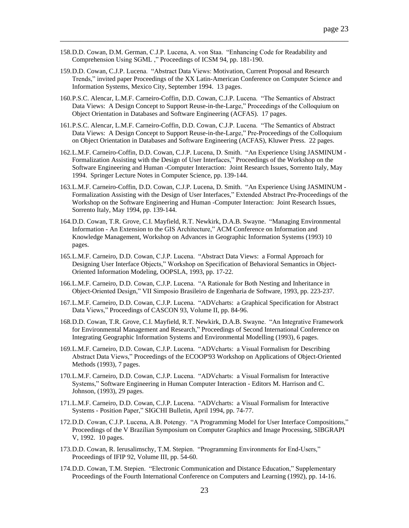- 158.D.D. Cowan, D.M. German, C.J.P. Lucena, A. von Staa. "Enhancing Code for Readability and Comprehension Using SGML ," Proceedings of ICSM 94, pp. 181-190.
- 159.D.D. Cowan, C.J.P. Lucena. "Abstract Data Views: Motivation, Current Proposal and Research Trends," invited paper Proceedings of the XX Latin-American Conference on Computer Science and Information Systems, Mexico City, September 1994. 13 pages.

- 160.P.S.C. Alencar, L.M.F. Carneiro-Coffin, D.D. Cowan, C.J.P. Lucena. "The Semantics of Abstract Data Views: A Design Concept to Support Reuse-in-the-Large," Proceedings of the Colloquium on Object Orientation in Databases and Software Engineering (ACFAS). 17 pages.
- 161.P.S.C. Alencar, L.M.F. Carneiro-Coffin, D.D. Cowan, C.J.P. Lucena. "The Semantics of Abstract Data Views: A Design Concept to Support Reuse-in-the-Large," Pre-Proceedings of the Colloquium on Object Orientation in Databases and Software Engineering (ACFAS), Kluwer Press. 22 pages.
- 162.L.M.F. Carneiro-Coffin, D.D. Cowan, C.J.P. Lucena, D. Smith. "An Experience Using JASMINUM Formalization Assisting with the Design of User Interfaces," Proceedings of the Workshop on the Software Engineering and Human -Computer Interaction: Joint Research Issues, Sorrento Italy, May 1994. Springer Lecture Notes in Computer Science, pp. 139-144.
- 163.L.M.F. Carneiro-Coffin, D.D. Cowan, C.J.P. Lucena, D. Smith. "An Experience Using JASMINUM Formalization Assisting with the Design of User Interfaces," Extended Abstract Pre-Proceedings of the Workshop on the Software Engineering and Human -Computer Interaction: Joint Research Issues, Sorrento Italy, May 1994, pp. 139-144.
- 164.D.D. Cowan, T.R. Grove, C.I. Mayfield, R.T. Newkirk, D.A.B. Swayne. "Managing Environmental Information - An Extension to the GIS Architecture," ACM Conference on Information and Knowledge Management, Workshop on Advances in Geographic Information Systems (1993) 10 pages.
- 165.L.M.F. Carneiro, D.D. Cowan, C.J.P. Lucena. "Abstract Data Views: a Formal Approach for Designing User Interface Objects," Workshop on Specification of Behavioral Semantics in Object-Oriented Information Modeling, OOPSLA, 1993, pp. 17-22.
- 166.L.M.F. Carneiro, D.D. Cowan, C.J.P. Lucena. "A Rationale for Both Nesting and Inheritance in Object-Oriented Design," VII Simposio Brasileiro de Engenharia de Software, 1993, pp. 223-237.
- 167.L.M.F. Carneiro, D.D. Cowan, C.J.P. Lucena. "ADVcharts: a Graphical Specification for Abstract Data Views," Proceedings of CASCON 93, Volume II, pp. 84-96.
- 168.D.D. Cowan, T.R. Grove, C.I. Mayfield, R.T. Newkirk, D.A.B. Swayne. "An Integrative Framework for Environmental Management and Research," Proceedings of Second International Conference on Integrating Geographic Information Systems and Environmental Modelling (1993), 6 pages.
- 169.L.M.F. Carneiro, D.D. Cowan, C.J.P. Lucena. "ADVcharts: a Visual Formalism for Describing Abstract Data Views," Proceedings of the ECOOP'93 Workshop on Applications of Object-Oriented Methods (1993), 7 pages.
- 170.L.M.F. Carneiro, D.D. Cowan, C.J.P. Lucena. "ADVcharts: a Visual Formalism for Interactive Systems," Software Engineering in Human Computer Interaction - Editors M. Harrison and C. Johnson, (1993), 29 pages.
- 171.L.M.F. Carneiro, D.D. Cowan, C.J.P. Lucena. "ADVcharts: a Visual Formalism for Interactive Systems - Position Paper," SIGCHI Bulletin, April 1994, pp. 74-77.
- 172.D.D. Cowan, C.J.P. Lucena, A.B. Potengy. "A Programming Model for User Interface Compositions," Proceedings of the V Brazilian Symposium on Computer Graphics and Image Processing, SIBGRAPI V, 1992. 10 pages.
- 173.D.D. Cowan, R. Ierusalimschy, T.M. Stepien. "Programming Environments for End-Users," Proceedings of IFIP 92, Volume III, pp. 54-60.
- 174.D.D. Cowan, T.M. Stepien. "Electronic Communication and Distance Education," Supplementary Proceedings of the Fourth International Conference on Computers and Learning (1992), pp. 14-16.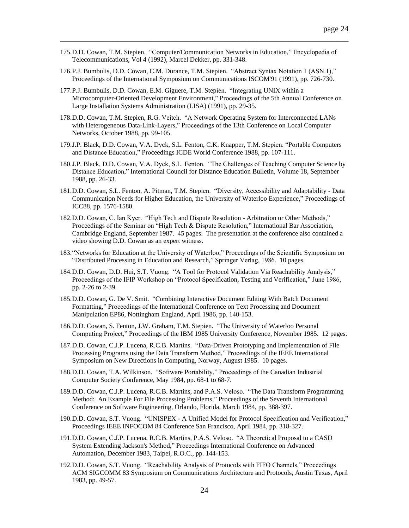175.D.D. Cowan, T.M. Stepien. "Computer/Communication Networks in Education," Encyclopedia of Telecommunications, Vol 4 (1992), Marcel Dekker, pp. 331-348.

- 176.P.J. Bumbulis, D.D. Cowan, C.M. Durance, T.M. Stepien. "Abstract Syntax Notation 1 (ASN.1)," Proceedings of the International Symposium on Communications ISCOM'91 (1991), pp. 726-730.
- 177.P.J. Bumbulis, D.D. Cowan, E.M. Giguere, T.M. Stepien. "Integrating UNIX within a Microcomputer-Oriented Development Environment," Proceedings of the 5th Annual Conference on Large Installation Systems Administration (LISA) (1991), pp. 29-35.
- 178.D.D. Cowan, T.M. Stepien, R.G. Veitch. "A Network Operating System for Interconnected LANs with Heterogeneous Data-Link-Layers," Proceedings of the 13th Conference on Local Computer Networks, October 1988, pp. 99-105.
- 179.J.P. Black, D.D. Cowan, V.A. Dyck, S.L. Fenton, C.K. Knapper, T.M. Stepien. "Portable Computers and Distance Education," Proceedings ICDE World Conference 1988, pp. 107-111.
- 180.J.P. Black, D.D. Cowan, V.A. Dyck, S.L. Fenton. "The Challenges of Teaching Computer Science by Distance Education," International Council for Distance Education Bulletin, Volume 18, September 1988, pp. 26-33.
- 181.D.D. Cowan, S.L. Fenton, A. Pitman, T.M. Stepien. "Diversity, Accessibility and Adaptability Data Communication Needs for Higher Education, the University of Waterloo Experience," Proceedings of ICC88, pp. 1576-1580.
- 182.D.D. Cowan, C. Ian Kyer. "High Tech and Dispute Resolution Arbitration or Other Methods," Proceedings of the Seminar on "High Tech & Dispute Resolution," International Bar Association, Cambridge England, September 1987. 45 pages. The presentation at the conference also contained a video showing D.D. Cowan as an expert witness.
- 183."Networks for Education at the University of Waterloo," Proceedings of the Scientific Symposium on "Distributed Processing in Education and Research," Springer Verlag, 1986. 10 pages.
- 184.D.D. Cowan, D.D. Hui, S.T. Vuong. "A Tool for Protocol Validation Via Reachability Analysis," Proceedings of the IFIP Workshop on "Protocol Specification, Testing and Verification," June 1986, pp. 2-26 to 2-39.
- 185.D.D. Cowan, G. De V. Smit. "Combining Interactive Document Editing With Batch Document Formatting," Proceedings of the International Conference on Text Processing and Document Manipulation EP86, Nottingham England, April 1986, pp. 140-153.
- 186.D.D. Cowan, S. Fenton, J.W. Graham, T.M. Stepien. "The University of Waterloo Personal Computing Project," Proceedings of the IBM 1985 University Conference, November 1985. 12 pages.
- 187.D.D. Cowan, C.J.P. Lucena, R.C.B. Martins. "Data-Driven Prototyping and Implementation of File Processing Programs using the Data Transform Method," Proceedings of the IEEE International Symposium on New Directions in Computing, Norway, August 1985. 10 pages.
- 188.D.D. Cowan, T.A. Wilkinson. "Software Portability," Proceedings of the Canadian Industrial Computer Society Conference, May 1984, pp. 68-1 to 68-7.
- 189.D.D. Cowan, C.J.P. Lucena, R.C.B. Martins, and P.A.S. Veloso. "The Data Transform Programming Method: An Example For File Processing Problems," Proceedings of the Seventh International Conference on Software Engineering, Orlando, Florida, March 1984, pp. 388-397.
- 190.D.D. Cowan, S.T. Vuong. "UNISPEX A Unified Model for Protocol Specification and Verification," Proceedings IEEE INFOCOM 84 Conference San Francisco, April 1984, pp. 318-327.
- 191.D.D. Cowan, C.J.P. Lucena, R.C.B. Martins, P.A.S. Veloso. "A Theoretical Proposal to a CASD System Extending Jackson's Method," Proceedings International Conference on Advanced Automation, December 1983, Taipei, R.O.C., pp. 144-153.
- 192.D.D. Cowan, S.T. Vuong. "Reachability Analysis of Protocols with FIFO Channels," Proceedings ACM SIGCOMM 83 Symposium on Communications Architecture and Protocols, Austin Texas, April 1983, pp. 49-57.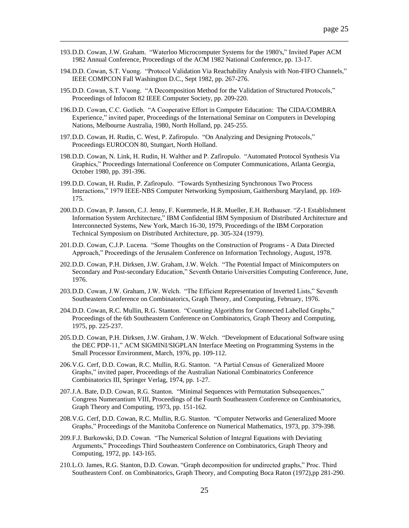193.D.D. Cowan, J.W. Graham. "Waterloo Microcomputer Systems for the 1980's," Invited Paper ACM 1982 Annual Conference, Proceedings of the ACM 1982 National Conference, pp. 13-17.

- 194.D.D. Cowan, S.T. Vuong. "Protocol Validation Via Reachability Analysis with Non-FIFO Channels," IEEE COMPCON Fall Washington D.C., Sept 1982, pp. 267-276.
- 195.D.D. Cowan, S.T. Vuong. "A Decomposition Method for the Validation of Structured Protocols," Proceedings of Infocom 82 IEEE Computer Society, pp. 209-220.
- 196.D.D. Cowan, C.C. Gotlieb. "A Cooperative Effort in Computer Education: The CIDA/COMBRA Experience," invited paper, Proceedings of the International Seminar on Computers in Developing Nations, Melbourne Australia, 1980, North Holland, pp. 245-255.
- 197.D.D. Cowan, H. Rudin, C. West, P. Zafiropulo. "On Analyzing and Designing Protocols," Proceedings EUROCON 80, Stuttgart, North Holland.
- 198.D.D. Cowan, N. Link, H. Rudin, H. Walther and P. Zafiropulo. "Automated Protocol Synthesis Via Graphics," Proceedings International Conference on Computer Communications, Atlanta Georgia, October 1980, pp. 391-396.
- 199.D.D. Cowan, H. Rudin, P. Zafiropulo. "Towards Synthesizing Synchronous Two Process Interactions," 1979 IEEE-NBS Computer Networking Symposium, Gaithersburg Maryland, pp. 169- 175.
- 200.D.D. Cowan, P. Janson, C.J. Jenny, F. Kuemmerle, H.R. Mueller, E.H. Rothauser. "Z-1 Establishment Information System Architecture," IBM Confidential IBM Symposium of Distributed Architecture and Interconnected Systems, New York, March 16-30, 1979, Proceedings of the IBM Corporation Technical Symposium on Distributed Architecture, pp. 305-324 (1979).
- 201.D.D. Cowan, C.J.P. Lucena. "Some Thoughts on the Construction of Programs A Data Directed Approach," Proceedings of the Jerusalem Conference on Information Technology, August, 1978.
- 202.D.D. Cowan, P.H. Dirksen, J.W. Graham, J.W. Welch. "The Potential Impact of Minicomputers on Secondary and Post-secondary Education," Seventh Ontario Universities Computing Conference, June, 1976.
- 203.D.D. Cowan, J.W. Graham, J.W. Welch. "The Efficient Representation of Inverted Lists," Seventh Southeastern Conference on Combinatorics, Graph Theory, and Computing, February, 1976.
- 204.D.D. Cowan, R.C. Mullin, R.G. Stanton. "Counting Algorithms for Connected Labelled Graphs," Proceedings of the 6th Southeastern Conference on Combinatorics, Graph Theory and Computing, 1975, pp. 225-237.
- 205.D.D. Cowan, P.H. Dirksen, J.W. Graham, J.W. Welch. "Development of Educational Software using the DEC PDP-11," ACM SIGMINI/SIGPLAN Interface Meeting on Programming Systems in the Small Processor Environment, March, 1976, pp. 109-112.
- 206.V.G. Cerf, D.D. Cowan, R.C. Mullin, R.G. Stanton. "A Partial Census of Generalized Moore Graphs," invited paper, Proceedings of the Australian National Combinatorics Conference Combinatorics III, Springer Verlag, 1974, pp. 1-27.
- 207.J.A. Bate, D.D. Cowan, R.G. Stanton. "Minimal Sequences with Permutation Subsequences," Congress Numerantium VIII, Proceedings of the Fourth Southeastern Conference on Combinatorics, Graph Theory and Computing, 1973, pp. 151-162.
- 208.V.G. Cerf, D.D. Cowan, R.C. Mullin, R.G. Stanton. "Computer Networks and Generalized Moore Graphs," Proceedings of the Manitoba Conference on Numerical Mathematics, 1973, pp. 379-398.
- 209.F.J. Burkowski, D.D. Cowan. "The Numerical Solution of Integral Equations with Deviating Arguments," Proceedings Third Southeastern Conference on Combinatorics, Graph Theory and Computing, 1972, pp. 143-165.
- 210.L.O. James, R.G. Stanton, D.D. Cowan. "Graph decomposition for undirected graphs," Proc. Third Southeastern Conf. on Combinatorics, Graph Theory, and Computing Boca Raton (1972),pp 281-290.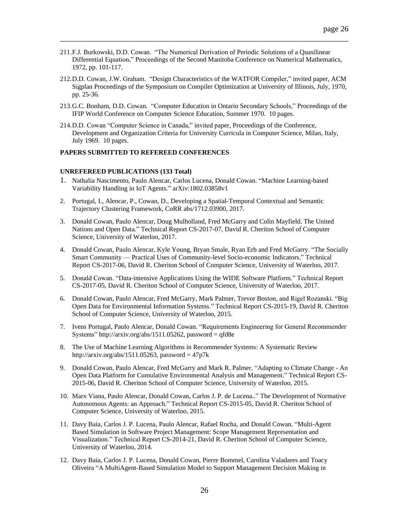211.F.J. Burkowski, D.D. Cowan. "The Numerical Derivation of Periodic Solutions of a Quasilinear Differential Equation," Proceedings of the Second Manitoba Conference on Numerical Mathematics, 1972, pp. 101-117.

\_\_\_\_\_\_\_\_\_\_\_\_\_\_\_\_\_\_\_\_\_\_\_\_\_\_\_\_\_\_\_\_\_\_\_\_\_\_\_\_\_\_\_\_\_\_\_\_\_\_\_\_\_\_\_\_\_\_\_\_\_\_\_\_\_\_\_\_\_\_\_\_

- 212.D.D. Cowan, J.W. Graham. "Design Characteristics of the WATFOR Compiler," invited paper, ACM Sigplan Proceedings of the Symposium on Compiler Optimization at University of Illinois, July, 1970, pp. 25-36.
- 213.G.C. Bonham, D.D. Cowan. "Computer Education in Ontario Secondary Schools," Proceedings of the IFIP World Conference on Computer Science Education, Summer 1970. 10 pages.
- 214.D.D. Cowan "Computer Science in Canada," invited paper, Proceedings of the Conference, Development and Organization Criteria for University Curricula in Computer Science, Milan, Italy, July 1969. 10 pages.

# **PAPERS SUBMITTED TO REFEREED CONFERENCES**

# **UNREFEREED PUBLICATIONS (133 Total)**

- 1. [Nathalia](https://arxiv.org/find/cs/1/au:+Nascimento_N/0/1/0/all/0/1) N[ascimento,](https://arxiv.org/find/cs/1/au:+Nascimento_N/0/1/0/all/0/1) Paulo Alencar, [Carlos Lucena,](https://arxiv.org/find/cs/1/au:+Lucena_C/0/1/0/all/0/1) [Donald Cowan.](https://arxiv.org/find/cs/1/au:+Cowan_D/0/1/0/all/0/1) "Machine Learning-based Variability Handling in IoT Agents." [arXiv:1802.03858v1](https://arxiv.org/abs/1802.03858v1)
- 2. Portugal, I., Alencar, P., Cowan, D., Developing a Spatial-Temporal Contextual and Semantic Trajectory Clustering Framework, CoRR abs/1712.03900, 2017.
- 3. Donald Cowan, Paulo Alencar, Doug Mulholland, Fred McGarry and Colin Mayfield. The United Nations and Open Data." Technical Report CS-2017-07, David R. Cheriton School of Computer Science, University of Waterloo, 2017.
- 4. Donald Cowan, Paulo Alencar, Kyle Young, Bryan Smale, Ryan Erb and Fred McGarry. "The Socially Smart Community — Practical Uses of Community-level Socio-economic Indicators." Technical Report CS-2017-06, David R. Cheriton School of Computer Science, University of Waterloo, 2017.
- 5. Donald Cowan. "Data-intensive Applications Using the WIDE Software Platform." Technical Report CS-2017-05, David R. Cheriton School of Computer Science, University of Waterloo, 2017.
- 6. Donald Cowan, Paulo Alencar, Fred McGarry, Mark Palmer, Trevor Boston, and Rigel Rozanski. "Big Open Data for Environmental Information Systems." Technical Report CS-2015-19, David R. Cheriton School of Computer Science, University of Waterloo, 2015.
- 7. [Ivens Portugal,](http://arxiv.org/find/cs/1/au:+Portugal_I/0/1/0/all/0/1) [Paulo Alencar,](http://arxiv.org/find/cs/1/au:+Alencar_P/0/1/0/all/0/1) [Donald Cowan.](http://arxiv.org/find/cs/1/au:+Cowan_D/0/1/0/all/0/1) "Requirements Engineering for General Recommender Systems" [http://arxiv.org/abs/1511.05262,](http://arxiv.org/abs/1511.05262) password = qfd8e
- 8. The Use of Machine Learning Algorithms in Recommender Systems: A Systematic Review [http://arxiv.org/abs/1511.05263,](http://arxiv.org/abs/1511.05263) password =  $47p7k$
- 9. Donald Cowan, Paulo Alencar, Fred McGarry and Mark R. Palmer. "Adapting to Climate Change An Open Data Platform for Cumulative Environmental Analysis and Management." Technical Report CS-2015-06, David R. Cheriton School of Computer Science, University of Waterloo, 2015.
- 10. Marx Viana, Paulo Alencar, Donald Cowan, Carlos J. P. de Lucena.." The Development of Normative Autonomous Agents: an Approach." Technical Report CS-2015-05, David R. Cheriton School of Computer Science, University of Waterloo, 2015.
- 11. Davy Baia, Carlos J. P. Lucena, Paulo Alencar, Rafael Rocha, and Donald Cowan. "Multi-Agent Based Simulation in Software Project Management: Scope Management Representation and Visualization." Technical Report CS-2014-21, David R. Cheriton School of Computer Science, University of Waterloo, 2014.
- 12. Davy Baia, Carlos J. P. Lucena, Donald Cowan, Pierre Bommel, Carolina Valadares and Toacy Oliveira "A MultiAgent-Based Simulation Model to Support Management Decision Making in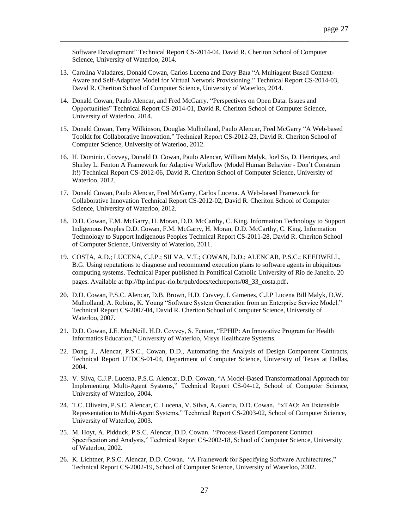Software Development" Technical Report CS-2014-04, David R. Cheriton School of Computer Science, University of Waterloo, 2014.

- 13. Carolina Valadares, Donald Cowan, Carlos Lucena and Davy Baıa "A Multiagent Based Context-Aware and Self-Adaptive Model for Virtual Network Provisioning." Technical Report CS-2014-03, David R. Cheriton School of Computer Science, University of Waterloo, 2014.
- 14. Donald Cowan, Paulo Alencar, and Fred McGarry. "Perspectives on Open Data: Issues and Opportunities" Technical Report CS-2014-01, David R. Cheriton School of Computer Science, University of Waterloo, 2014.
- 15. Donald Cowan, Terry Wilkinson, Douglas Mulholland, Paulo Alencar, Fred McGarry "A Web-based Toolkit for Collaborative Innovation." Technical Report CS-2012-23, David R. Cheriton School of Computer Science, University of Waterloo, 2012.
- 16. H. Dominic. Covvey, Donald D. Cowan, Paulo Alencar, William Malyk, Joel So, D. Henriques, and Shirley L. Fenton A Framework for Adaptive Workflow (Model Human Behavior - Don't Constrain It!) Technical Report CS-2012-06, David R. Cheriton School of Computer Science, University of Waterloo, 2012.
- 17. Donald Cowan, Paulo Alencar, Fred McGarry, Carlos Lucena. A Web-based Framework for Collaborative Innovation Technical Report CS-2012-02, David R. Cheriton School of Computer Science, University of Waterloo, 2012.
- 18. D.D. Cowan, F.M. McGarry, H. Moran, D.D. McCarthy, C. King. Information Technology to Support Indigenous Peoples D.D. Cowan, F.M. McGarry, H. Moran, D.D. McCarthy, C. King. Information Technology to Support Indigenous Peoples Technical Report CS-2011-28, David R. Cheriton School of Computer Science, University of Waterloo, 2011.
- 19. COSTA, A.D.; LUCENA, C.J.P.; SILVA, V.T.; COWAN, D.D.; ALENCAR, P.S.C.; KEEDWELL, B.G. Using reputations to diagnose and recommend execution plans to software agents in ubiquitous computing systems. Technical Paper published in Pontifical Catholic University of Rio de Janeiro. 20 pages. Available at [ftp://ftp.inf.puc-rio.br/pub/docs/techreports/08\\_33\\_costa.pdf](ftp://ftp.inf.puc-rio.br/pub/docs/techreports/08_33_costa.pdf).
- 20. D.D. Cowan, P.S.C. Alencar, D.B. Brown, H.D. Covvey, I. Gimenes, C.J.P Lucena Bill Malyk, D.W. Mulholland, A. Robins, K. Young "Software System Generation from an Enterprise Service Model." Technical Report CS-2007-04, David R. Cheriton School of Computer Science, University of Waterloo, 2007.
- 21. D.D. Cowan, J.E. MacNeill, H.D. Covvey, S. Fenton, "EPHIP: An Innovative Program for Health Informatics Education," University of Waterloo, Misys Healthcare Systems.
- 22. Dong, J., Alencar, P.S.C., Cowan, D.D., Automating the Analysis of Design Component Contracts, Technical Report UTDCS-01-04, Department of Computer Science, University of Texas at Dallas, 2004.
- 23. V. Silva, C.J.P. Lucena, P.S.C. Alencar, D.D. Cowan, "A Model-Based Transformational Approach for Implementing Multi-Agent Systems," Technical Report CS-04-12, School of Computer Science, University of Waterloo, 2004.
- 24. T.C. Oliveira, P.S.C. Alencar, C. Lucena, V. Silva, A. Garcia, D.D. Cowan. "xTAO: An Extensible Representation to Multi-Agent Systems," Technical Report CS-2003-02, School of Computer Science, University of Waterloo, 2003.
- 25. M. Hoyt, A. Pidduck, P.S.C. Alencar, D.D. Cowan. "Process-Based Component Contract Specification and Analysis," Technical Report CS-2002-18, School of Computer Science, University of Waterloo, 2002.
- 26. K. Lichtner, P.S.C. Alencar, D.D. Cowan. "A Framework for Specifying Software Architectures," Technical Report CS-2002-19, School of Computer Science, University of Waterloo, 2002.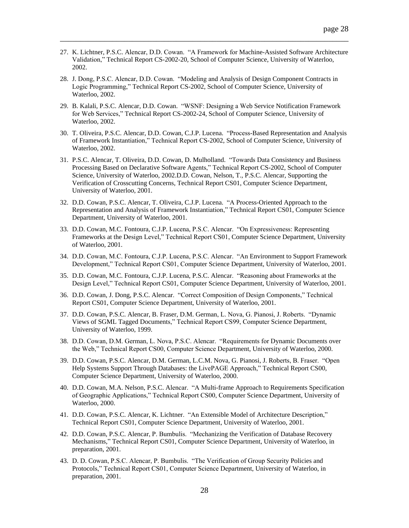27. K. Lichtner, P.S.C. Alencar, D.D. Cowan. "A Framework for Machine-Assisted Software Architecture Validation," Technical Report CS-2002-20, School of Computer Science, University of Waterloo, 2002.

- 28. J. Dong, P.S.C. Alencar, D.D. Cowan. "Modeling and Analysis of Design Component Contracts in Logic Programming," Technical Report CS-2002, School of Computer Science, University of Waterloo, 2002.
- 29. B. Kalali, P.S.C. Alencar, D.D. Cowan. "WSNF: Designing a Web Service Notification Framework for Web Services," Technical Report CS-2002-24, School of Computer Science, University of Waterloo, 2002.
- 30. T. Oliveira, P.S.C. Alencar, D.D. Cowan, C.J.P. Lucena. "Process-Based Representation and Analysis of Framework Instantiation," Technical Report CS-2002, School of Computer Science, University of Waterloo, 2002.
- 31. P.S.C. Alencar, T. Oliveira, D.D. Cowan, D. Mulholland. "Towards Data Consistency and Business Processing Based on Declarative Software Agents," Technical Report CS-2002, School of Computer Science, University of Waterloo, 2002.D.D. Cowan, Nelson, T., P.S.C. Alencar, Supporting the Verification of Crosscutting Concerns, Technical Report CS01, Computer Science Department, University of Waterloo, 2001.
- 32. D.D. Cowan, P.S.C. Alencar, T. Oliveira, C.J.P. Lucena. "A Process-Oriented Approach to the Representation and Analysis of Framework Instantiation," Technical Report CS01, Computer Science Department, University of Waterloo, 2001.
- 33. D.D. Cowan, M.C. Fontoura, C.J.P. Lucena, P.S.C. Alencar. "On Expressiveness: Representing Frameworks at the Design Level," Technical Report CS01, Computer Science Department, University of Waterloo, 2001.
- 34. D.D. Cowan, M.C. Fontoura, C.J.P. Lucena, P.S.C. Alencar. "An Environment to Support Framework Development," Technical Report CS01, Computer Science Department, University of Waterloo, 2001.
- 35. D.D. Cowan, M.C. Fontoura, C.J.P. Lucena, P.S.C. Alencar. "Reasoning about Frameworks at the Design Level," Technical Report CS01, Computer Science Department, University of Waterloo, 2001.
- 36. D.D. Cowan, J. Dong, P.S.C. Alencar. "Correct Composition of Design Components," Technical Report CS01, Computer Science Department, University of Waterloo, 2001.
- 37. D.D. Cowan, P.S.C. Alencar, B. Fraser, D.M. German, L. Nova, G. Pianosi, J. Roberts. "Dynamic Views of SGML Tagged Documents," Technical Report CS99, Computer Science Department, University of Waterloo, 1999.
- 38. D.D. Cowan, D.M. German, L. Nova, P.S.C. Alencar. "Requirements for Dynamic Documents over the Web," Technical Report CS00, Computer Science Department, University of Waterloo, 2000.
- 39. D.D. Cowan, P.S.C. Alencar, D.M. German, L.C.M. Nova, G. Pianosi, J. Roberts, B. Fraser. "Open Help Systems Support Through Databases: the LivePAGE Approach," Technical Report CS00, Computer Science Department, University of Waterloo, 2000.
- 40. D.D. Cowan, M.A. Nelson, P.S.C. Alencar. "A Multi-frame Approach to Requirements Specification of Geographic Applications," Technical Report CS00, Computer Science Department, University of Waterloo, 2000.
- 41. D.D. Cowan, P.S.C. Alencar, K. Lichtner. "An Extensible Model of Architecture Description," Technical Report CS01, Computer Science Department, University of Waterloo, 2001.
- 42. D.D. Cowan, P.S.C. Alencar, P. Bumbulis. "Mechanizing the Verification of Database Recovery Mechanisms," Technical Report CS01, Computer Science Department, University of Waterloo, in preparation, 2001.
- 43. D. D. Cowan, P.S.C. Alencar, P. Bumbulis. "The Verification of Group Security Policies and Protocols," Technical Report CS01, Computer Science Department, University of Waterloo, in preparation, 2001.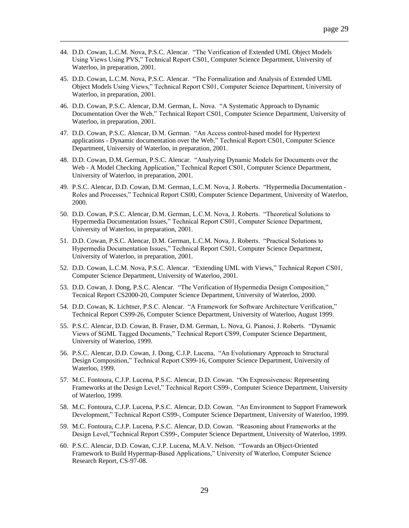44. D.D. Cowan, L.C.M. Nova, P.S.C. Alencar. "The Verification of Extended UML Object Models Using Views Using PVS," Technical Report CS01, Computer Science Department, University of Waterloo, in preparation, 2001.

- 45. D.D. Cowan, L.C.M. Nova, P.S.C. Alencar. "The Formalization and Analysis of Extended UML Object Models Using Views," Technical Report CS01, Computer Science Department, University of Waterloo, in preparation, 2001.
- 46. D.D. Cowan, P.S.C. Alencar, D.M. German, L. Nova. "A Systematic Approach to Dynamic Documentation Over the Web," Technical Report CS01, Computer Science Department, University of Waterloo, in preparation, 2001.
- 47. D.D. Cowan, P.S.C. Alencar, D.M. German. "An Access control-based model for Hypertext applications - Dynamic documentation over the Web," Technical Report CS01, Computer Science Department, University of Waterloo, in preparation, 2001.
- 48. D.D. Cowan, D.M. German, P.S.C. Alencar. "Analyzing Dynamic Models for Documents over the Web - A Model Checking Application," Technical Report CS01, Computer Science Department, University of Waterloo, in preparation, 2001.
- 49. P.S.C. Alencar, D.D. Cowan, D.M. German, L.C.M. Nova, J. Roberts. "Hypermedia Documentation Roles and Processes," Technical Report CS00, Computer Science Department, University of Waterloo, 2000.
- 50. D.D. Cowan, P.S.C. Alencar, D.M. German, L.C.M. Nova, J. Roberts. "Theoretical Solutions to Hypermedia Documentation Issues," Technical Report CS01, Computer Science Department, University of Waterloo, in preparation, 2001.
- 51. D.D. Cowan, P.S.C. Alencar, D.M. German, L.C.M. Nova, J. Roberts. "Practical Solutions to Hypermedia Documentation Issues," Technical Report CS01, Computer Science Department, University of Waterloo, in preparation, 2001.
- 52. D.D. Cowan, L.C.M. Nova, P.S.C. Alencar. "Extending UML with Views," Technical Report CS01, Computer Science Department, University of Waterloo, 2001.
- 53. D.D. Cowan, J. Dong, P.S.C. Alencar. "The Verification of Hypermedia Design Composition," Tecnical Report CS2000-20, Computer Science Department, University of Waterloo, 2000.
- 54. D.D. Cowan, K. Lichtner, P.S.C. Alencar. "A Framework for Software Architecture Verification," Technical Report CS99-26, Computer Science Department, University of Waterloo, August 1999.
- 55. P.S.C. Alencar, D.D. Cowan, B. Fraser, D.M. German, L. Nova, G. Pianosi, J. Roberts. "Dynamic Views of SGML Tagged Documents," Technical Report CS99, Computer Science Department, University of Waterloo, 1999.
- 56. P.S.C. Alencar, D.D. Cowan, J. Dong, C.J.P. Lucena, "An Evolutionary Approach to Structural Design Composition," Technical Report CS99-16, Computer Science Department, University of Waterloo, 1999.
- 57. M.C. Fontoura, C.J.P. Lucena, P.S.C. Alencar, D.D. Cowan. "On Expressiveness: Representing Frameworks at the Design Level," Technical Report CS99-, Computer Science Department, University of Waterloo, 1999.
- 58. M.C. Fontoura, C.J.P. Lucena, P.S.C. Alencar, D.D. Cowan. "An Environment to Support Framework Development," Technical Report CS99-, Computer Science Department, University of Waterloo, 1999.
- 59. M.C. Fontoura, C.J.P. Lucena, P.S.C. Alencar, D.D. Cowan. "Reasoning about Frameworks at the Design Level,"Technical Report CS99-, Computer Science Department, University of Waterloo, 1999.
- 60. P.S.C. Alencar, D.D. Cowan, C.J.P. Lucena, M.A.V. Nelson. "Towards an Object-Oriented Framework to Build Hypermap-Based Applications," University of Waterloo, Computer Science Research Report, CS-97-08.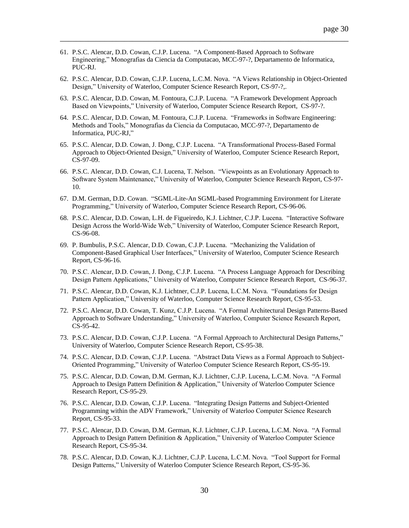- 61. P.S.C. Alencar, D.D. Cowan, C.J.P. Lucena. "A Component-Based Approach to Software Engineering," Monografias da Ciencia da Computacao, MCC-97-?, Departamento de Informatica, PUC-RJ.
- 62. P.S.C. Alencar, D.D. Cowan, C.J.P. Lucena, L.C.M. Nova. "A Views Relationship in Object-Oriented Design," University of Waterloo, Computer Science Research Report, CS-97-?,.

- 63. P.S.C. Alencar, D.D. Cowan, M. Fontoura, C.J.P. Lucena. "A Framework Development Approach Based on Viewpoints," University of Waterloo, Computer Science Research Report, CS-97-?.
- 64. P.S.C. Alencar, D.D. Cowan, M. Fontoura, C.J.P. Lucena. "Frameworks in Software Engineering: Methods and Tools," Monografias da Ciencia da Computacao, MCC-97-?, Departamento de Informatica, PUC-RJ,"
- 65. P.S.C. Alencar, D.D. Cowan, J. Dong, C.J.P. Lucena. "A Transformational Process-Based Formal Approach to Object-Oriented Design," University of Waterloo, Computer Science Research Report, CS-97-09.
- 66. P.S.C. Alencar, D.D. Cowan, C.J. Lucena, T. Nelson. "Viewpoints as an Evolutionary Approach to Software System Maintenance," University of Waterloo, Computer Science Research Report, CS-97- 10.
- 67. D.M. German, D.D. Cowan. "SGML-Lite-An SGML-based Programming Environment for Literate Programming," University of Waterloo, Computer Science Research Report, CS-96-06.
- 68. P.S.C. Alencar, D.D. Cowan, L.H. de Figueiredo, K.J. Lichtner, C.J.P. Lucena. "Interactive Software Design Across the World-Wide Web," University of Waterloo, Computer Science Research Report, CS-96-08.
- 69. P. Bumbulis, P.S.C. Alencar, D.D. Cowan, C.J.P. Lucena. "Mechanizing the Validation of Component-Based Graphical User Interfaces," University of Waterloo, Computer Science Research Report, CS-96-16.
- 70. P.S.C. Alencar, D.D. Cowan, J. Dong, C.J.P. Lucena. "A Process Language Approach for Describing Design Pattern Applications," University of Waterloo, Computer Science Research Report, CS-96-37.
- 71. P.S.C. Alencar, D.D. Cowan, K.J. Lichtner, C.J.P. Lucena, L.C.M. Nova. "Foundations for Design Pattern Application," University of Waterloo, Computer Science Research Report, CS-95-53.
- 72. P.S.C. Alencar, D.D. Cowan, T. Kunz, C.J.P. Lucena. "A Formal Architectural Design Patterns-Based Approach to Software Understanding," University of Waterloo, Computer Science Research Report, CS-95-42.
- 73. P.S.C. Alencar, D.D. Cowan, C.J.P. Lucena. "A Formal Approach to Architectural Design Patterns," University of Waterloo, Computer Science Research Report, CS-95-38.
- 74. P.S.C. Alencar, D.D. Cowan, C.J.P. Lucena. "Abstract Data Views as a Formal Approach to Subject-Oriented Programming," University of Waterloo Computer Science Research Report, CS-95-19.
- 75. P.S.C. Alencar, D.D. Cowan, D.M. German, K.J. Lichtner, C.J.P. Lucena, L.C.M. Nova. "A Formal Approach to Design Pattern Definition & Application," University of Waterloo Computer Science Research Report, CS-95-29.
- 76. P.S.C. Alencar, D.D. Cowan, C.J.P. Lucena. "Integrating Design Patterns and Subject-Oriented Programming within the ADV Framework," University of Waterloo Computer Science Research Report, CS-95-33.
- 77. P.S.C. Alencar, D.D. Cowan, D.M. German, K.J. Lichtner, C.J.P. Lucena, L.C.M. Nova. "A Formal Approach to Design Pattern Definition & Application," University of Waterloo Computer Science Research Report, CS-95-34.
- 78. P.S.C. Alencar, D.D. Cowan, K.J. Lichtner, C.J.P. Lucena, L.C.M. Nova. "Tool Support for Formal Design Patterns," University of Waterloo Computer Science Research Report, CS-95-36.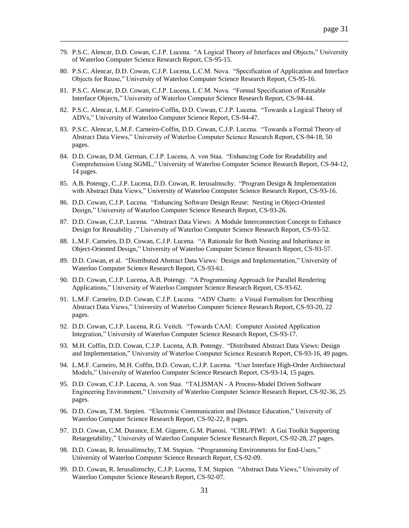79. P.S.C. Alencar, D.D. Cowan, C.J.P. Lucena. "A Logical Theory of Interfaces and Objects," University of Waterloo Computer Science Research Report, CS-95-15.

- 80. P.S.C. Alencar, D.D. Cowan, C.J.P. Lucena, L.C.M. Nova. "Specification of Application and Interface Objects for Reuse," University of Waterloo Computer Science Research Report, CS-95-16.
- 81. P.S.C. Alencar, D.D. Cowan, C.J.P. Lucena, L.C.M. Nova. "Formal Specification of Reusable Interface Objects," University of Waterloo Computer Science Research Report, CS-94-44.
- 82. P.S.C. Alencar, L.M.F. Carneiro-Coffin, D.D. Cowan, C.J.P. Lucena. "Towards a Logical Theory of ADVs," University of Waterloo Computer Science Report, CS-94-47.
- 83. P.S.C. Alencar, L.M.F. Carneiro-Coffin, D.D. Cowan, C.J.P. Lucena. "Towards a Formal Theory of Abstract Data Views," University of Waterloo Computer Science Research Report, CS-94-18, 50 pages.
- 84. D.D. Cowan, D.M. German, C.J.P. Lucena, A. von Staa. "Enhancing Code for Readability and Comprehension Using SGML," University of Waterloo Computer Science Research Report, CS-94-12, 14 pages.
- 85. A.B. Potengy, C..J.P. Lucena, D.D. Cowan, R. Ierusalmschy. "Program Design & Implementation with Abstract Data Views," University of Waterloo Computer Science Research Report, CS-93-16.
- 86. D.D. Cowan, C.J.P. Lucena. "Enhancing Software Design Reuse: Nesting in Object-Oriented Design," University of Waterloo Computer Science Research Report, CS-93-26.
- 87. D.D. Cowan, C.J.P. Lucena. "Abstract Data Views: A Module Interconnection Concept to Enhance Design for Reusability ," University of Waterloo Computer Science Research Report, CS-93-52.
- 88. L.M.F. Carneiro, D.D. Cowan, C.J.P. Lucena. "A Rationale for Both Nesting and Inheritance in Object-Oriented Design," University of Waterloo Computer Science Research Report, CS-93-57.
- 89. D.D. Cowan, et al. "Distributed Abstract Data Views: Design and Implementation," University of Waterloo Computer Science Research Report, CS-93-61.
- 90. D.D. Cowan, C.J.P. Lucena, A.B. Potengy. "A Programming Approach for Parallel Rendering Applications," University of Waterloo Computer Science Research Report, CS-93-62.
- 91. L.M.F. Carneiro, D.D. Cowan, C.J.P. Lucena. "ADV Charts: a Visual Formalism for Describing Abstract Data Views," University of Waterloo Computer Science Research Report, CS-93-20, 22 pages.
- 92. D.D. Cowan, C.J.P. Lucena, R.G. Veitch. "Towards CAAI: Computer Assisted Application Integration," University of Waterloo Computer Science Research Report, CS-93-17.
- 93. M.H. Coffin, D.D. Cowan, C.J.P. Lucena, A.B. Potengy. "Distributed Abstract Data Views: Design and Implementation," University of Waterloo Computer Science Research Report, CS-93-16, 49 pages.
- 94. L.M.F. Carneiro, M.H. Coffin, D.D. Cowan, C.J.P. Lucena. "User Interface High-Order Architectural Models," University of Waterloo Computer Science Research Report, CS-93-14, 15 pages.
- 95. D.D. Cowan, C.J.P. Lucena, A. von Staa. "TALISMAN A Process-Model Driven Software Engineering Environment," University of Waterloo Computer Science Research Report, CS-92-36, 25 pages.
- 96. D.D. Cowan, T.M. Stepien. "Electronic Communication and Distance Education," University of Waterloo Computer Science Research Report, CS-92-22, 8 pages.
- 97. D.D. Cowan, C.M. Durance, E.M. Giguere, G.M. Pianosi. "CIRL/PIWI: A Gui Toolkit Supporting Retargetability," University of Waterloo Computer Science Research Report, CS-92-28, 27 pages.
- 98. D.D. Cowan, R. Ierusalimschy, T.M. Stepien. "Programming Environments for End-Users," University of Waterloo Computer Science Research Report, CS-92-09.
- 99. D.D. Cowan, R. Ierusalimschy, C.J.P. Lucena, T.M. Stepien. "Abstract Data Views," University of Waterloo Computer Science Research Report, CS-92-07.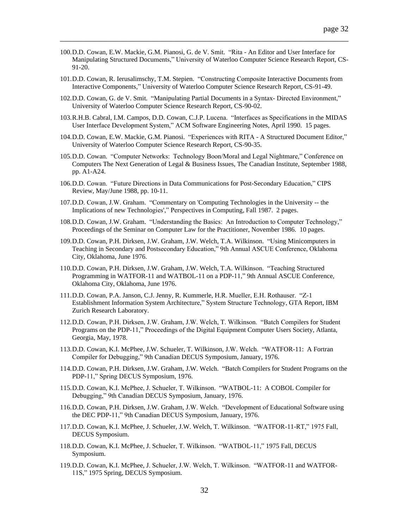100.D.D. Cowan, E.W. Mackie, G.M. Pianosi, G. de V. Smit. "Rita - An Editor and User Interface for Manipulating Structured Documents," University of Waterloo Computer Science Research Report, CS-91-20.

- 101.D.D. Cowan, R. Ierusalimschy, T.M. Stepien. "Constructing Composite Interactive Documents from Interactive Components," University of Waterloo Computer Science Research Report, CS-91-49.
- 102.D.D. Cowan, G. de V. Smit. "Manipulating Partial Documents in a Syntax- Directed Environment," University of Waterloo Computer Science Research Report, CS-90-02.
- 103.R.H.B. Cabral, I.M. Campos, D.D. Cowan, C.J.P. Lucena. "Interfaces as Specifications in the MIDAS User Interface Development System," ACM Software Engineering Notes, April 1990. 15 pages.
- 104.D.D. Cowan, E.W. Mackie, G.M. Pianosi. "Experiences with RITA A Structured Document Editor," University of Waterloo Computer Science Research Report, CS-90-35.
- 105.D.D. Cowan. "Computer Networks: Technology Boon/Moral and Legal Nightmare," Conference on Computers The Next Generation of Legal & Business Issues, The Canadian Institute, September 1988, pp. A1-A24.
- 106.D.D. Cowan. "Future Directions in Data Communications for Post-Secondary Education," CIPS Review, May/June 1988, pp. 10-11.
- 107.D.D. Cowan, J.W. Graham. "Commentary on 'Computing Technologies in the University -- the Implications of new Technologies'," Perspectives in Computing, Fall 1987. 2 pages.
- 108.D.D. Cowan, J.W. Graham. "Understanding the Basics: An Introduction to Computer Technology," Proceedings of the Seminar on Computer Law for the Practitioner, November 1986. 10 pages.
- 109.D.D. Cowan, P.H. Dirksen, J.W. Graham, J.W. Welch, T.A. Wilkinson. "Using Minicomputers in Teaching in Secondary and Postsecondary Education," 9th Annual ASCUE Conference, Oklahoma City, Oklahoma, June 1976.
- 110.D.D. Cowan, P.H. Dirksen, J.W. Graham, J.W. Welch, T.A. Wilkinson. "Teaching Structured Programming in WATFOR-11 and WATBOL-11 on a PDP-11," 9th Annual ASCUE Conference, Oklahoma City, Oklahoma, June 1976.
- 111.D.D. Cowan, P.A. Janson, C.J. Jenny, R. Kummerle, H.R. Mueller, E.H. Rothauser. "Z-1 Establishment Information System Architecture," System Structure Technology, GTA Report, IBM Zurich Research Laboratory.
- 112.D.D. Cowan, P.H. Dirksen, J.W. Graham, J.W. Welch, T. Wilkinson. "Batch Compilers for Student Programs on the PDP-11," Proceedings of the Digital Equipment Computer Users Society, Atlanta, Georgia, May, 1978.
- 113.D.D. Cowan, K.I. McPhee, J.W. Schueler, T. Wilkinson, J.W. Welch. "WATFOR-11: A Fortran Compiler for Debugging," 9th Canadian DECUS Symposium, January, 1976.
- 114.D.D. Cowan, P.H. Dirksen, J.W. Graham, J.W. Welch. "Batch Compilers for Student Programs on the PDP-11," Spring DECUS Symposium, 1976.
- 115.D.D. Cowan, K.I. McPhee, J. Schueler, T. Wilkinson. "WATBOL-11: A COBOL Compiler for Debugging," 9th Canadian DECUS Symposium, January, 1976.
- 116.D.D. Cowan, P.H. Dirksen, J.W. Graham, J.W. Welch. "Development of Educational Software using the DEC PDP-11," 9th Canadian DECUS Symposium, January, 1976.
- 117.D.D. Cowan, K.I. McPhee, J. Schueler, J.W. Welch, T. Wilkinson. "WATFOR-11-RT," 1975 Fall, DECUS Symposium.
- 118.D.D. Cowan, K.I. McPhee, J. Schueler, T. Wilkinson. "WATBOL-11," 1975 Fall, DECUS Symposium.
- 119.D.D. Cowan, K.I. McPhee, J. Schueler, J.W. Welch, T. Wilkinson. "WATFOR-11 and WATFOR-11S," 1975 Spring, DECUS Symposium.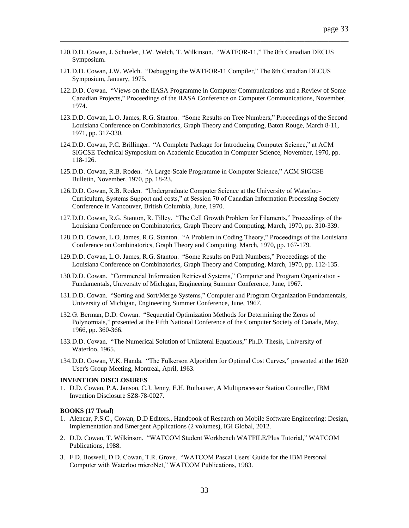120.D.D. Cowan, J. Schueler, J.W. Welch, T. Wilkinson. "WATFOR-11," The 8th Canadian DECUS Symposium.

\_\_\_\_\_\_\_\_\_\_\_\_\_\_\_\_\_\_\_\_\_\_\_\_\_\_\_\_\_\_\_\_\_\_\_\_\_\_\_\_\_\_\_\_\_\_\_\_\_\_\_\_\_\_\_\_\_\_\_\_\_\_\_\_\_\_\_\_\_\_\_\_

- 121.D.D. Cowan, J.W. Welch. "Debugging the WATFOR-11 Compiler," The 8th Canadian DECUS Symposium, January, 1975.
- 122.D.D. Cowan. "Views on the IIASA Programme in Computer Communications and a Review of Some Canadian Projects," Proceedings of the IIASA Conference on Computer Communications, November, 1974.
- 123.D.D. Cowan, L.O. James, R.G. Stanton. "Some Results on Tree Numbers," Proceedings of the Second Louisiana Conference on Combinatorics, Graph Theory and Computing, Baton Rouge, March 8-11, 1971, pp. 317-330.
- 124.D.D. Cowan, P.C. Brillinger. "A Complete Package for Introducing Computer Science," at ACM SIGCSE Technical Symposium on Academic Education in Computer Science, November, 1970, pp. 118-126.
- 125.D.D. Cowan, R.B. Roden. "A Large-Scale Programme in Computer Science," ACM SIGCSE Bulletin, November, 1970, pp. 18-23.
- 126.D.D. Cowan, R.B. Roden. "Undergraduate Computer Science at the University of Waterloo-Curriculum, Systems Support and costs," at Session 70 of Canadian Information Processing Society Conference in Vancouver, British Columbia, June, 1970.
- 127.D.D. Cowan, R.G. Stanton, R. Tilley. "The Cell Growth Problem for Filaments," Proceedings of the Louisiana Conference on Combinatorics, Graph Theory and Computing, March, 1970, pp. 310-339.
- 128.D.D. Cowan, L.O. James, R.G. Stanton. "A Problem in Coding Theory," Proceedings of the Louisiana Conference on Combinatorics, Graph Theory and Computing, March, 1970, pp. 167-179.
- 129.D.D. Cowan, L.O. James, R.G. Stanton. "Some Results on Path Numbers," Proceedings of the Louisiana Conference on Combinatorics, Graph Theory and Computing, March, 1970, pp. 112-135.
- 130.D.D. Cowan. "Commercial Information Retrieval Systems," Computer and Program Organization Fundamentals, University of Michigan, Engineering Summer Conference, June, 1967.
- 131.D.D. Cowan. "Sorting and Sort/Merge Systems," Computer and Program Organization Fundamentals, University of Michigan, Engineering Summer Conference, June, 1967.
- 132.G. Berman, D.D. Cowan. "Sequential Optimization Methods for Determining the Zeros of Polynomials," presented at the Fifth National Conference of the Computer Society of Canada, May, 1966, pp. 360-366.
- 133.D.D. Cowan. "The Numerical Solution of Unilateral Equations," Ph.D. Thesis, University of Waterloo, 1965.
- 134.D.D. Cowan, V.K. Handa. "The Fulkerson Algorithm for Optimal Cost Curves," presented at the 1620 User's Group Meeting, Montreal, April, 1963.

#### **INVENTION DISCLOSURES**

1. D.D. Cowan, P.A. Janson, C.J. Jenny, E.H. Rothauser, A Multiprocessor Station Controller, IBM Invention Disclosure SZ8-78-0027.

#### **BOOKS [\(17](#page-33-0) Total)**

- 1. Alencar, P.S.C., Cowan, D.D Editors., Handbook of Research on Mobile Software Engineering: Design, Implementation and Emergent Applications (2 volumes), IGI Global, 2012.
- 2. D.D. Cowan, T. Wilkinson. "WATCOM Student Workbench WATFILE/Plus Tutorial," WATCOM Publications, 1988.
- 3. F.D. Boswell, D.D. Cowan, T.R. Grove. "WATCOM Pascal Users' Guide for the IBM Personal Computer with Waterloo microNet," WATCOM Publications, 1983.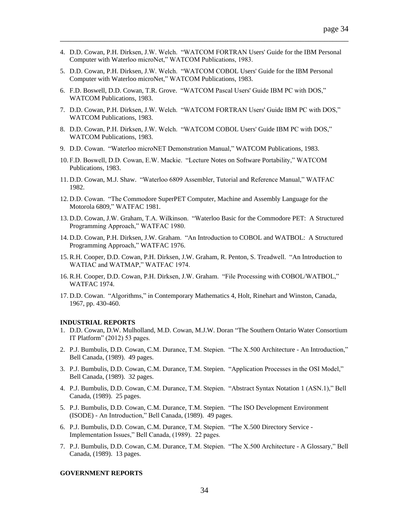4. D.D. Cowan, P.H. Dirksen, J.W. Welch. "WATCOM FORTRAN Users' Guide for the IBM Personal Computer with Waterloo microNet," WATCOM Publications, 1983.

\_\_\_\_\_\_\_\_\_\_\_\_\_\_\_\_\_\_\_\_\_\_\_\_\_\_\_\_\_\_\_\_\_\_\_\_\_\_\_\_\_\_\_\_\_\_\_\_\_\_\_\_\_\_\_\_\_\_\_\_\_\_\_\_\_\_\_\_\_\_\_\_

- 5. D.D. Cowan, P.H. Dirksen, J.W. Welch. "WATCOM COBOL Users' Guide for the IBM Personal Computer with Waterloo microNet," WATCOM Publications, 1983.
- 6. F.D. Boswell, D.D. Cowan, T.R. Grove. "WATCOM Pascal Users' Guide IBM PC with DOS," WATCOM Publications, 1983.
- 7. D.D. Cowan, P.H. Dirksen, J.W. Welch. "WATCOM FORTRAN Users' Guide IBM PC with DOS," WATCOM Publications, 1983.
- 8. D.D. Cowan, P.H. Dirksen, J.W. Welch. "WATCOM COBOL Users' Guide IBM PC with DOS," WATCOM Publications, 1983.
- 9. D.D. Cowan. "Waterloo microNET Demonstration Manual," WATCOM Publications, 1983.
- 10. F.D. Boswell, D.D. Cowan, E.W. Mackie. "Lecture Notes on Software Portability," WATCOM Publications, 1983.
- 11. D.D. Cowan, M.J. Shaw. "Waterloo 6809 Assembler, Tutorial and Reference Manual," WATFAC 1982.
- 12. D.D. Cowan. "The Commodore SuperPET Computer, Machine and Assembly Language for the Motorola 6809," WATFAC 1981.
- 13. D.D. Cowan, J.W. Graham, T.A. Wilkinson. "Waterloo Basic for the Commodore PET: A Structured Programming Approach," WATFAC 1980.
- 14. D.D. Cowan, P.H. Dirksen, J.W. Graham. "An Introduction to COBOL and WATBOL: A Structured Programming Approach," WATFAC 1976.
- 15. R.H. Cooper, D.D. Cowan, P.H. Dirksen, J.W. Graham, R. Penton, S. Treadwell. "An Introduction to WATIAC and WATMAP," WATFAC 1974.
- 16. R.H. Cooper, D.D. Cowan, P.H. Dirksen, J.W. Graham. "File Processing with COBOL/WATBOL," WATFAC 1974.
- <span id="page-33-0"></span>17. D.D. Cowan. "Algorithms," in Contemporary Mathematics 4, Holt, Rinehart and Winston, Canada, 1967, pp. 430-460.

#### **INDUSTRIAL REPORTS**

- 1. D.D. Cowan, D.W. Mulholland, M.D. Cowan, M.J.W. Doran "The Southern Ontario Water Consortium IT Platform" (2012) 53 pages.
- 2. P.J. Bumbulis, D.D. Cowan, C.M. Durance, T.M. Stepien. "The X.500 Architecture An Introduction," Bell Canada, (1989). 49 pages.
- 3. P.J. Bumbulis, D.D. Cowan, C.M. Durance, T.M. Stepien. "Application Processes in the OSI Model," Bell Canada, (1989). 32 pages.
- 4. P.J. Bumbulis, D.D. Cowan, C.M. Durance, T.M. Stepien. "Abstract Syntax Notation 1 (ASN.1)," Bell Canada, (1989). 25 pages.
- 5. P.J. Bumbulis, D.D. Cowan, C.M. Durance, T.M. Stepien. "The ISO Development Environment (ISODE) - An Introduction," Bell Canada, (1989). 49 pages.
- 6. P.J. Bumbulis, D.D. Cowan, C.M. Durance, T.M. Stepien. "The X.500 Directory Service Implementation Issues," Bell Canada, (1989). 22 pages.
- 7. P.J. Bumbulis, D.D. Cowan, C.M. Durance, T.M. Stepien. "The X.500 Architecture A Glossary," Bell Canada, (1989). 13 pages.

#### **GOVERNMENT REPORTS**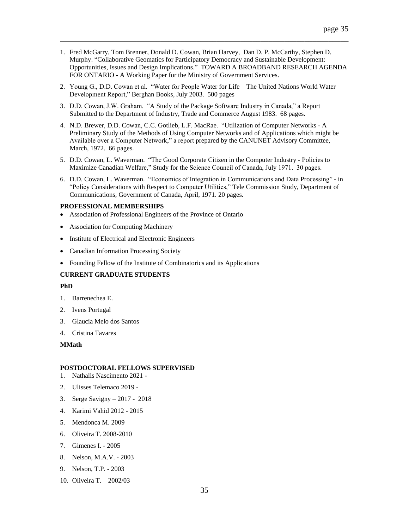1. Fred McGarry, Tom Brenner, Donald D. Cowan, Brian Harvey, Dan D. P. McCarthy, Stephen D. Murphy. "Collaborative Geomatics for Participatory Democracy and Sustainable Development: Opportunities, Issues and Design Implications." TOWARD A BROADBAND RESEARCH AGENDA FOR ONTARIO - A Working Paper for the Ministry of Government Services.

\_\_\_\_\_\_\_\_\_\_\_\_\_\_\_\_\_\_\_\_\_\_\_\_\_\_\_\_\_\_\_\_\_\_\_\_\_\_\_\_\_\_\_\_\_\_\_\_\_\_\_\_\_\_\_\_\_\_\_\_\_\_\_\_\_\_\_\_\_\_\_\_

- 2. Young G., D.D. Cowan et al. "Water for People Water for Life The United Nations World Water Development Report," Berghan Books, July 2003. 500 pages
- 3. D.D. Cowan, J.W. Graham. "A Study of the Package Software Industry in Canada," a Report Submitted to the Department of Industry, Trade and Commerce August 1983. 68 pages.
- 4. N.D. Brewer, D.D. Cowan, C.C. Gotlieb, L.F. MacRae. "Utilization of Computer Networks A Preliminary Study of the Methods of Using Computer Networks and of Applications which might be Available over a Computer Network," a report prepared by the CANUNET Advisory Committee, March, 1972. 66 pages.
- 5. D.D. Cowan, L. Waverman. "The Good Corporate Citizen in the Computer Industry Policies to Maximize Canadian Welfare," Study for the Science Council of Canada, July 1971. 30 pages.
- 6. D.D. Cowan, L. Waverman. "Economics of Integration in Communications and Data Processing" in "Policy Considerations with Respect to Computer Utilities," Tele Commission Study, Department of Communications, Government of Canada, April, 1971. 20 pages.

## **PROFESSIONAL MEMBERSHIPS**

- Association of Professional Engineers of the Province of Ontario
- Association for Computing Machinery
- Institute of Electrical and Electronic Engineers
- Canadian Information Processing Society
- Founding Fellow of the Institute of Combinatorics and its Applications

# **CURRENT GRADUATE STUDENTS**

### **PhD**

- 1. Barrenechea E.
- 2. Ivens Portugal
- 3. Glaucia Melo dos Santos
- 4. Cristina Tavares

# **MMath**

#### **POSTDOCTORAL FELLOWS SUPERVISED**

- 1. Nathalis Nascimento 2021 -
- 2. Ulisses Telemaco 2019 -
- 3. Serge Savigny 2017 2018
- 4. Karimi Vahid 2012 2015
- 5. Mendonca M. 2009
- 6. Oliveira T. 2008-2010
- 7. Gimenes I. 2005
- 8. Nelson, M.A.V. 2003
- 9. Nelson, T.P. 2003
- 10. Oliveira T. 2002/03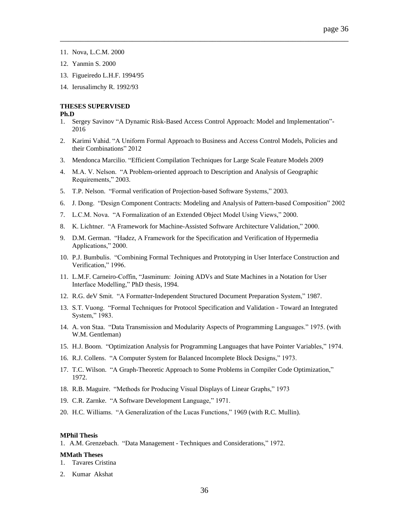- 11. Nova, L.C.M. 2000
- 12. Yanmin S. 2000
- 13. Figueiredo L.H.F. 1994/95
- 14. Ierusalimchy R. 1992/93

# **THESES SUPERVISED**

#### **Ph.D**

1. Sergey Savinov "A Dynamic Risk-Based Access Control Approach: Model and Implementation"- 2016

\_\_\_\_\_\_\_\_\_\_\_\_\_\_\_\_\_\_\_\_\_\_\_\_\_\_\_\_\_\_\_\_\_\_\_\_\_\_\_\_\_\_\_\_\_\_\_\_\_\_\_\_\_\_\_\_\_\_\_\_\_\_\_\_\_\_\_\_\_\_\_\_

- 2. Karimi Vahid. "A Uniform Formal Approach to Business and Access Control Models, Policies and their Combinations" 2012
- 3. Mendonca Marcilio. "Efficient Compilation Techniques for Large Scale Feature Models 2009
- 4. M.A. V. Nelson. "A Problem-oriented approach to Description and Analysis of Geographic Requirements," 2003.
- 5. T.P. Nelson. "Formal verification of Projection-based Software Systems," 2003.
- 6. J. Dong. "Design Component Contracts: Modeling and Analysis of Pattern-based Composition" 2002
- 7. L.C.M. Nova. "A Formalization of an Extended Object Model Using Views," 2000.
- 8. K. Lichtner. "A Framework for Machine-Assisted Software Architecture Validation," 2000.
- 9. D.M. German. "Hadez, A Framework for the Specification and Verification of Hypermedia Applications," 2000.
- 10. P.J. Bumbulis. "Combining Formal Techniques and Prototyping in User Interface Construction and Verification," 1996.
- 11. L.M.F. Carneiro-Coffin, "Jasminum: Joining ADVs and State Machines in a Notation for User Interface Modelling," PhD thesis, 1994.
- 12. R.G. deV Smit. "A Formatter-Independent Structured Document Preparation System," 1987.
- 13. S.T. Vuong. "Formal Techniques for Protocol Specification and Validation Toward an Integrated System," 1983.
- 14. A. von Staa. "Data Transmission and Modularity Aspects of Programming Languages." 1975. (with W.M. Gentleman)
- 15. H.J. Boom. "Optimization Analysis for Programming Languages that have Pointer Variables," 1974.
- 16. R.J. Collens. "A Computer System for Balanced Incomplete Block Designs," 1973.
- 17. T.C. Wilson. "A Graph-Theoretic Approach to Some Problems in Compiler Code Optimization," 1972.
- 18. R.B. Maguire. "Methods for Producing Visual Displays of Linear Graphs," 1973
- 19. C.R. Zarnke. "A Software Development Language," 1971.
- 20. H.C. Williams. "A Generalization of the Lucas Functions," 1969 (with R.C. Mullin).

#### **MPhil Thesis**

1. A.M. Grenzebach. "Data Management - Techniques and Considerations," 1972.

### **MMath Theses**

- 1. Tavares Cristina
- 2. Kumar Akshat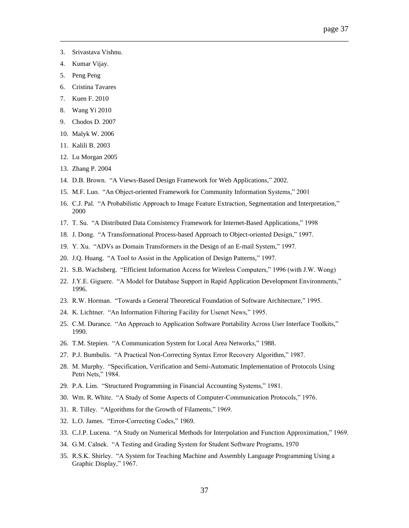- 3. Srivastava Vishnu.
- 4. Kumar Vijay.
- 5. Peng Peng
- 6. Cristina Tavares
- 7. Kuen F. 2010
- 8. Wang Yi 2010
- 9. Chodos D. 2007
- 10. Malyk W. 2006
- 11. Kalili B. 2003
- 12. Lu Morgan 2005
- 13. Zhang P. 2004
- 14. D.B. Brown. "A Views-Based Design Framework for Web Applications," 2002.
- 15. M.F. Luo. "An Object-oriented Framework for Community Information Systems," 2001
- 16. C.J. Pal. "A Probabilistic Approach to Image Feature Extraction, Segmentation and Interpretation," 2000

- 17. T. Su. "A Distributed Data Consistency Framework for Internet-Based Applications," 1998
- 18. J. Dong. "A Transformational Process-based Approach to Object-oriented Design," 1997.
- 19. Y. Xu. "ADVs as Domain Transformers in the Design of an E-mail System," 1997.
- 20. J.Q. Huang. "A Tool to Assist in the Application of Design Patterns," 1997.
- 21. S.B. Wachsberg. "Efficient Information Access for Wireless Computers," 1996 (with J.W. Wong)
- 22. J.Y.E. Giguere. "A Model for Database Support in Rapid Application Development Environments," 1996.
- 23. R.W. Horman. "Towards a General Theoretical Foundation of Software Architecture," 1995.
- 24. K. Lichtner. "An Information Filtering Facility for Usenet News," 1995.
- 25. C.M. Durance. "An Approach to Application Software Portability Across User Interface Toolkits," 1990.
- 26. T.M. Stepien. "A Communication System for Local Area Networks," 1988.
- 27. P.J. Bumbulis. "A Practical Non-Correcting Syntax Error Recovery Algorithm," 1987.
- 28. M. Murphy. "Specification, Verification and Semi-Automatic Implementation of Protocols Using Petri Nets," 1984.
- 29. P.A. Lim. "Structured Programming in Financial Accounting Systems," 1981.
- 30. Wm. R. White. "A Study of Some Aspects of Computer-Communication Protocols," 1976.
- 31. R. Tilley. "Algorithms for the Growth of Filaments," 1969.
- 32. L.O. James. "Error-Correcting Codes," 1969.
- 33. C.J.P. Lucena. "A Study on Numerical Methods for Interpolation and Function Approximation," 1969.
- 34. G.M. Calnek. "A Testing and Grading System for Student Software Programs, 1970
- 35. R.S.K. Shirley. "A System for Teaching Machine and Assembly Language Programming Using a Graphic Display," 1967.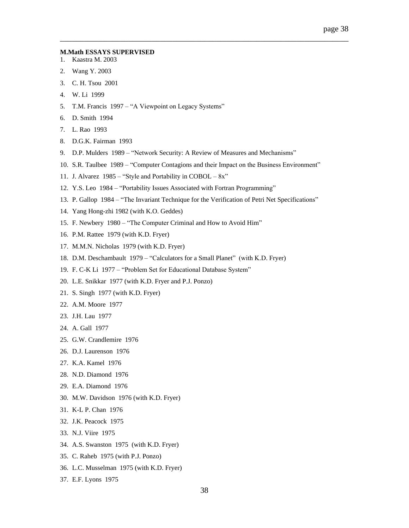#### **M.Math ESSAYS SUPERVISED**

- 1. Kaastra M. 2003
- 2. Wang Y. 2003
- 3. C. H. Tsou 2001
- 4. W. Li 1999
- 5. T.M. Francis 1997 "A Viewpoint on Legacy Systems"
- 6. D. Smith 1994
- 7. L. Rao 1993
- 8. D.G.K. Fairman 1993
- 9. D.P. Mulders 1989 "Network Security: A Review of Measures and Mechanisms"
- 10. S.R. Taulbee 1989 "Computer Contagions and their Impact on the Business Environment"

- 11. J. Alvarez 1985 "Style and Portability in COBOL 8x"
- 12. Y.S. Leo 1984 "Portability Issues Associated with Fortran Programming"
- 13. P. Gallop 1984 "The Invariant Technique for the Verification of Petri Net Specifications"
- 14. Yang Hong-zhi 1982 (with K.O. Geddes)
- 15. F. Newbery 1980 "The Computer Criminal and How to Avoid Him"
- 16. P.M. Rattee 1979 (with K.D. Fryer)
- 17. M.M.N. Nicholas 1979 (with K.D. Fryer)
- 18. D.M. Deschambault 1979 "Calculators for a Small Planet" (with K.D. Fryer)
- 19. F. C-K Li 1977 "Problem Set for Educational Database System"
- 20. L.E. Snikkar 1977 (with K.D. Fryer and P.J. Ponzo)
- 21. S. Singh 1977 (with K.D. Fryer)
- 22. A.M. Moore 1977
- 23. J.H. Lau 1977
- 24. A. Gall 1977
- 25. G.W. Crandlemire 1976
- 26. D.J. Laurenson 1976
- 27. K.A. Kamel 1976
- 28. N.D. Diamond 1976
- 29. E.A. Diamond 1976
- 30. M.W. Davidson 1976 (with K.D. Fryer)
- 31. K-L P. Chan 1976
- 32. J.K. Peacock 1975
- 33. N.J. Viire 1975
- 34. A.S. Swanston 1975 (with K.D. Fryer)
- 35. C. Raheb 1975 (with P.J. Ponzo)
- 36. L.C. Musselman 1975 (with K.D. Fryer)
- 37. E.F. Lyons 1975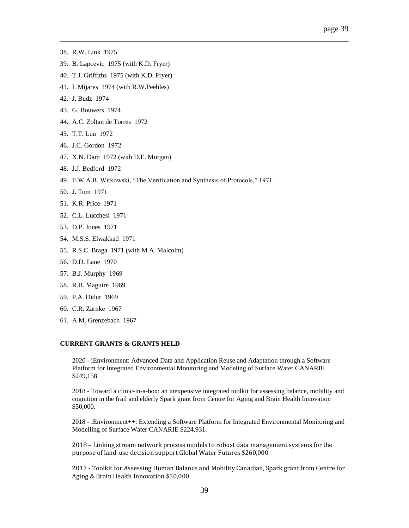- 38. R.W. Link 1975
- 39. B. Lapcevic 1975 (with K.D. Fryer)
- 40. T.J. Griffiths 1975 (with K.D. Fryer)
- 41. I. Mijares 1974 (with R.W.Peebles)
- 42. J. Budz 1974
- 43. G. Bouwers 1974
- 44. A.C. Zoltan de Torres 1972
- 45. T.T. Luu 1972
- 46. J.C. Gordon 1972
- 47. X.N. Dam 1972 (with D.E. Morgan)
- 48. J.J. Bedford 1972
- 49. E.W.A.B. Witkowski, "The Verification and Synthesis of Protocols," 1971.

\_\_\_\_\_\_\_\_\_\_\_\_\_\_\_\_\_\_\_\_\_\_\_\_\_\_\_\_\_\_\_\_\_\_\_\_\_\_\_\_\_\_\_\_\_\_\_\_\_\_\_\_\_\_\_\_\_\_\_\_\_\_\_\_\_\_\_\_\_\_\_\_

- 50. J. Tom 1971
- 51. K.R. Price 1971
- 52. C.L. Lucchesi 1971
- 53. D.P. Jones 1971
- 54. M.S.S. Elwakkad 1971
- 55. R.S.C. Braga 1971 (with M.A. Malcolm)
- 56. D.D. Lane 1970
- 57. B.J. Murphy 1969
- 58. R.B. Maguire 1969
- 59. P.A. Didur 1969
- 60. C.R. Zarnke 1967
- 61. A.M. Grenzebach 1967

# **CURRENT GRANTS & GRANTS HELD**

2020 - iEnvironment: Advanced Data and Application Reuse and Adaptation through a Software Platform for Integrated Environmental Monitoring and Modeling of Surface Water CANARIE \$249,158

2018 - Toward a clinic-in-a-box: an inexpensive integrated toolkit for assessing balance, mobility and cognition in the frail and elderly Spark grant from Centre for Aging and Brain Health Innovation \$50,000.

2018 - iEnvironment++: Extending a Software Platform for Integrated Environmental Monitoring and Modelling of Surface Water CANARIE \$224,931.

2018 – Linking stream network process models to robust data management systems for the purpose of land-use decision support Global Water Futures \$260,000

2017 - Toolkit for Assessing Human Balance and Mobility Canadian, Spark grant from Centre for Aging & Brain Health Innovation \$50,000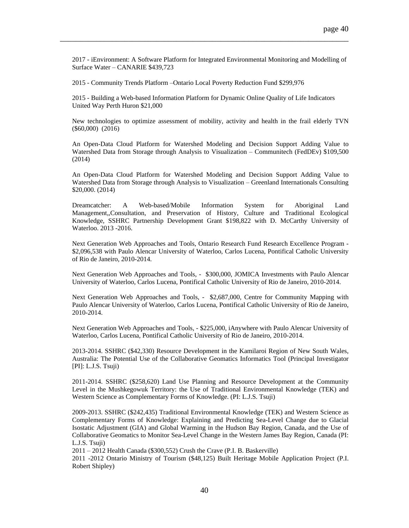2017 - iEnvironment: A Software Platform for Integrated Environmental Monitoring and Modelling of Surface Water – CANARIE \$439,723

\_\_\_\_\_\_\_\_\_\_\_\_\_\_\_\_\_\_\_\_\_\_\_\_\_\_\_\_\_\_\_\_\_\_\_\_\_\_\_\_\_\_\_\_\_\_\_\_\_\_\_\_\_\_\_\_\_\_\_\_\_\_\_\_\_\_\_\_\_\_\_\_

2015 - Community Trends Platform –Ontario Local Poverty Reduction Fund \$299,976

2015 - Building a Web-based Information Platform for Dynamic Online Quality of Life Indicators United Way Perth Huron \$21,000

New technologies to optimize assessment of mobility, activity and health in the frail elderly TVN (\$60,000) (2016)

An Open-Data Cloud Platform for Watershed Modeling and Decision Support Adding Value to Watershed Data from Storage through Analysis to Visualization – Communitech (FedDEv) \$109,500 (2014)

An Open-Data Cloud Platform for Watershed Modeling and Decision Support Adding Value to Watershed Data from Storage through Analysis to Visualization – Greenland Internationals Consulting \$20,000. (2014)

Dreamcatcher: A Web-based/Mobile Information System for Aboriginal Land Management,,Consultation, and Preservation of History, Culture and Traditional Ecological Knowledge, SSHRC Partnership Development Grant \$198,822 with D. McCarthy University of Waterloo. 2013 -2016.

Next Generation Web Approaches and Tools, Ontario Research Fund Research Excellence Program - \$2,096,538 with Paulo Alencar University of Waterloo, Carlos Lucena, Pontifical Catholic University of Rio de Janeiro, 2010-2014.

Next Generation Web Approaches and Tools, - \$300,000, JOMICA Investments with Paulo Alencar University of Waterloo, Carlos Lucena, Pontifical Catholic University of Rio de Janeiro, 2010-2014.

Next Generation Web Approaches and Tools, - \$2,687,000, Centre for Community Mapping with Paulo Alencar University of Waterloo, Carlos Lucena, Pontifical Catholic University of Rio de Janeiro, 2010-2014.

Next Generation Web Approaches and Tools, - \$225,000, iAnywhere with Paulo Alencar University of Waterloo, Carlos Lucena, Pontifical Catholic University of Rio de Janeiro, 2010-2014.

2013-2014. SSHRC (\$42,330) Resource Development in the Kamilaroi Region of New South Wales, Australia: The Potential Use of the Collaborative Geomatics Informatics Tool (Principal Investigator [PI]: L.J.S. Tsuji)

2011-2014. SSHRC (\$258,620) Land Use Planning and Resource Development at the Community Level in the Mushkegowuk Territory: the Use of Traditional Environmental Knowledge (TEK) and Western Science as Complementary Forms of Knowledge. (PI: L.J.S. Tsuji)

2009-2013. SSHRC (\$242,435) Traditional Environmental Knowledge (TEK) and Western Science as Complementary Forms of Knowledge: Explaining and Predicting Sea-Level Change due to Glacial Isostatic Adjustment (GIA) and Global Warming in the Hudson Bay Region, Canada, and the Use of Collaborative Geomatics to Monitor Sea-Level Change in the Western James Bay Region, Canada (PI: L.J.S. Tsuji)

2011 – 2012 Health Canada (\$300,552) Crush the Crave (P.I. B. Baskerville)

2011 -2012 Ontario Ministry of Tourism (\$48,125) Built Heritage Mobile Application Project (P.I. Robert Shipley)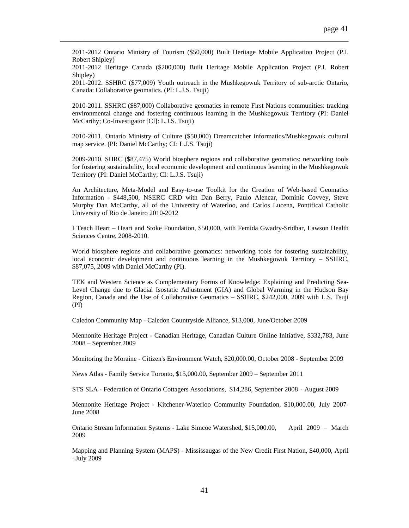2011-2012 Ontario Ministry of Tourism (\$50,000) Built Heritage Mobile Application Project (P.I. Robert Shipley)

\_\_\_\_\_\_\_\_\_\_\_\_\_\_\_\_\_\_\_\_\_\_\_\_\_\_\_\_\_\_\_\_\_\_\_\_\_\_\_\_\_\_\_\_\_\_\_\_\_\_\_\_\_\_\_\_\_\_\_\_\_\_\_\_\_\_\_\_\_\_\_\_

2011-2012 Heritage Canada (\$200,000) Built Heritage Mobile Application Project (P.I. Robert Shipley)

2011-2012. SSHRC (\$77,009) Youth outreach in the Mushkegowuk Territory of sub-arctic Ontario, Canada: Collaborative geomatics. (PI: L.J.S. Tsuji)

2010-2011. SSHRC (\$87,000) Collaborative geomatics in remote First Nations communities: tracking environmental change and fostering continuous learning in the Mushkegowuk Territory (PI: Daniel McCarthy; Co-Investigator [CI]: L.J.S. Tsuji)

2010-2011. Ontario Ministry of Culture (\$50,000) Dreamcatcher informatics/Mushkegowuk cultural map service. (PI: Daniel McCarthy; CI: L.J.S. Tsuji)

2009-2010. SHRC (\$87,475) World biosphere regions and collaborative geomatics: networking tools for fostering sustainability, local economic development and continuous learning in the Mushkegowuk Territory (PI: Daniel McCarthy; CI: L.J.S. Tsuji)

An Architecture, Meta-Model and Easy-to-use Toolkit for the Creation of Web-based Geomatics Information - \$448,500, NSERC CRD with Dan Berry, Paulo Alencar, Dominic Covvey, Steve Murphy Dan McCarthy, all of the University of Waterloo, and Carlos Lucena, Pontifical Catholic University of Rio de Janeiro 2010-2012

I Teach Heart – Heart and Stoke Foundation, \$50,000, with Femida Gwadry-Sridhar, Lawson Health Sciences Centre, 2008-2010.

World biosphere regions and collaborative geomatics: networking tools for fostering sustainability, local economic development and continuous learning in the Mushkegowuk Territory – SSHRC, \$87,075, 2009 with Daniel McCarthy (PI).

TEK and Western Science as Complementary Forms of Knowledge: Explaining and Predicting Sea-Level Change due to Glacial Isostatic Adjustment (GIA) and Global Warming in the Hudson Bay Region, Canada and the Use of Collaborative Geomatics – SSHRC, \$242,000, 2009 with L.S. Tsuji (PI)

Caledon Community Map - Caledon Countryside Alliance, \$13,000, June/October 2009

Mennonite Heritage Project - Canadian Heritage, Canadian Culture Online Initiative, \$332,783, June 2008 – September 2009

Monitoring the Moraine - Citizen's Environment Watch, \$20,000.00, October 2008 - September 2009

News Atlas - Family Service Toronto, \$15,000.00, September 2009 – September 2011

STS SLA - Federation of Ontario Cottagers Associations, \$14,286, September 2008 - August 2009

Mennonite Heritage Project - Kitchener-Waterloo Community Foundation, \$10,000.00, July 2007- June 2008

Ontario Stream Information Systems - Lake Simcoe Watershed, \$15,000.00, April 2009 – March 2009

Mapping and Planning System (MAPS) - Mississaugas of the New Credit First Nation, \$40,000, April –July 2009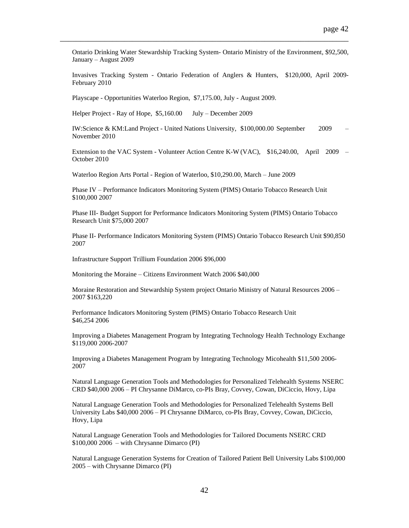Ontario Drinking Water Stewardship Tracking System- Ontario Ministry of the Environment, \$92,500, January – August 2009

\_\_\_\_\_\_\_\_\_\_\_\_\_\_\_\_\_\_\_\_\_\_\_\_\_\_\_\_\_\_\_\_\_\_\_\_\_\_\_\_\_\_\_\_\_\_\_\_\_\_\_\_\_\_\_\_\_\_\_\_\_\_\_\_\_\_\_\_\_\_\_\_

Invasives Tracking System - Ontario Federation of Anglers & Hunters, \$120,000, April 2009- February 2010

Playscape - Opportunities Waterloo Region, \$7,175.00, July - August 2009.

Helper Project - Ray of Hope, \$5,160.00 July – December 2009

IW:Science & KM:Land Project - United Nations University, \$100,000.00 September 2009 – November 2010

Extension to the VAC System - Volunteer Action Centre K-W (VAC), \$16,240.00, April 2009 – October 2010

Waterloo Region Arts Portal - Region of Waterloo, \$10,290.00, March – June 2009

Phase IV – Performance Indicators Monitoring System (PIMS) Ontario Tobacco Research Unit \$100,000 2007

Phase III- Budget Support for Performance Indicators Monitoring System (PIMS) Ontario Tobacco Research Unit \$75,000 2007

Phase II- Performance Indicators Monitoring System (PIMS) Ontario Tobacco Research Unit \$90,850 2007

Infrastructure Support Trillium Foundation 2006 \$96,000

Monitoring the Moraine – Citizens Environment Watch 2006 \$40,000

Moraine Restoration and Stewardship System project Ontario Ministry of Natural Resources 2006 – 2007 \$163,220

Performance Indicators Monitoring System (PIMS) Ontario Tobacco Research Unit \$46,254 2006

Improving a Diabetes Management Program by Integrating Technology Health Technology Exchange \$119,000 2006-2007

Improving a Diabetes Management Program by Integrating Technology Micohealth \$11,500 2006- 2007

Natural Language Generation Tools and Methodologies for Personalized Telehealth Systems NSERC CRD \$40,000 2006 – PI Chrysanne DiMarco, co-PIs Bray, Covvey, Cowan, DiCiccio, Hovy, Lipa

Natural Language Generation Tools and Methodologies for Personalized Telehealth Systems Bell University Labs \$40,000 2006 – PI Chrysanne DiMarco, co-PIs Bray, Covvey, Cowan, DiCiccio, Hovy, Lipa

Natural Language Generation Tools and Methodologies for Tailored Documents NSERC CRD \$100,000 2006 – with Chrysanne Dimarco (PI)

Natural Language Generation Systems for Creation of Tailored Patient Bell University Labs \$100,000 2005 – with Chrysanne Dimarco (PI)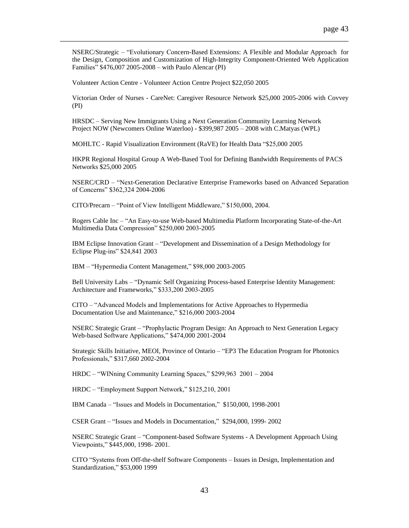NSERC/Strategic – "Evolutionary Concern-Based Extensions: A Flexible and Modular Approach for the Design, Composition and Customization of High-Integrity Component-Oriented Web Application Families" \$476,007 2005-2008 – with Paulo Alencar (PI)

\_\_\_\_\_\_\_\_\_\_\_\_\_\_\_\_\_\_\_\_\_\_\_\_\_\_\_\_\_\_\_\_\_\_\_\_\_\_\_\_\_\_\_\_\_\_\_\_\_\_\_\_\_\_\_\_\_\_\_\_\_\_\_\_\_\_\_\_\_\_\_\_

Volunteer Action Centre - Volunteer Action Centre Project \$22,050 2005

Victorian Order of Nurses - CareNet: Caregiver Resource Network \$25,000 2005-2006 with Covvey (PI)

HRSDC – Serving New Immigrants Using a Next Generation Community Learning Network Project NOW (Newcomers Online Waterloo) - \$399,987 2005 – 2008 with C.Matyas (WPL)

MOHLTC - Rapid Visualization Environment (RaVE) for Health Data "\$25,000 2005

HKPR Regional Hospital Group A Web-Based Tool for Defining Bandwidth Requirements of PACS Networks \$25,000 2005

NSERC/CRD – "Next-Generation Declarative Enterprise Frameworks based on Advanced Separation of Concerns" \$362,324 2004-2006

CITO/Precarn – "Point of View Intelligent Middleware," \$150,000, 2004.

Rogers Cable Inc – "An Easy-to-use Web-based Multimedia Platform Incorporating State-of-the-Art Multimedia Data Compression" \$250,000 2003-2005

IBM Eclipse Innovation Grant – "Development and Dissemination of a Design Methodology for Eclipse Plug-ins" \$24,841 2003

IBM – "Hypermedia Content Management," \$98,000 2003-2005

Bell University Labs – "Dynamic Self Organizing Process-based Enterprise Identity Management: Architecture and Frameworks," \$333,200 2003-2005

CITO – "Advanced Models and Implementations for Active Approaches to Hypermedia Documentation Use and Maintenance," \$216,000 2003-2004

NSERC Strategic Grant – "Prophylactic Program Design: An Approach to Next Generation Legacy Web-based Software Applications," \$474,000 2001-2004

Strategic Skills Initiative, MEOI, Province of Ontario – "EP3 The Education Program for Photonics Professionals," \$317,660 2002-2004

HRDC – "WINning Community Learning Spaces," \$299,963 2001 – 2004

HRDC – "Employment Support Network," \$125,210, 2001

IBM Canada – "Issues and Models in Documentation," \$150,000, 1998-2001

CSER Grant – "Issues and Models in Documentation," \$294,000, 1999- 2002

NSERC Strategic Grant – "Component-based Software Systems - A Development Approach Using Viewpoints," \$445,000, 1998- 2001.

CITO "Systems from Off-the-shelf Software Components – Issues in Design, Implementation and Standardization," \$53,000 1999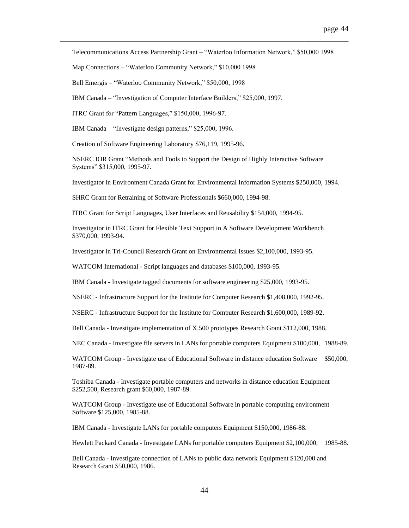Telecommunications Access Partnership Grant – "Waterloo Information Network," \$50,000 1998

\_\_\_\_\_\_\_\_\_\_\_\_\_\_\_\_\_\_\_\_\_\_\_\_\_\_\_\_\_\_\_\_\_\_\_\_\_\_\_\_\_\_\_\_\_\_\_\_\_\_\_\_\_\_\_\_\_\_\_\_\_\_\_\_\_\_\_\_\_\_\_\_

Map Connections – "Waterloo Community Network," \$10,000 1998

Bell Emergis – "Waterloo Community Network," \$50,000, 1998

IBM Canada – "Investigation of Computer Interface Builders," \$25,000, 1997.

ITRC Grant for "Pattern Languages," \$150,000, 1996-97.

IBM Canada – "Investigate design patterns," \$25,000, 1996.

Creation of Software Engineering Laboratory \$76,119, 1995-96.

NSERC IOR Grant "Methods and Tools to Support the Design of Highly Interactive Software Systems" \$315,000, 1995-97.

Investigator in Environment Canada Grant for Environmental Information Systems \$250,000, 1994.

SHRC Grant for Retraining of Software Professionals \$660,000, 1994-98.

ITRC Grant for Script Languages, User Interfaces and Reusability \$154,000, 1994-95.

Investigator in ITRC Grant for Flexible Text Support in A Software Development Workbench \$370,000, 1993-94.

Investigator in Tri-Council Research Grant on Environmental Issues \$2,100,000, 1993-95.

WATCOM International - Script languages and databases \$100,000, 1993-95.

IBM Canada - Investigate tagged documents for software engineering \$25,000, 1993-95.

NSERC - Infrastructure Support for the Institute for Computer Research \$1,408,000, 1992-95.

NSERC - Infrastructure Support for the Institute for Computer Research \$1,600,000, 1989-92.

Bell Canada - Investigate implementation of X.500 prototypes Research Grant \$112,000, 1988.

NEC Canada - Investigate file servers in LANs for portable computers Equipment \$100,000, 1988-89.

WATCOM Group - Investigate use of Educational Software in distance education Software \$50,000, 1987-89.

Toshiba Canada - Investigate portable computers and networks in distance education Equipment \$252,500, Research grant \$60,000, 1987-89.

WATCOM Group - Investigate use of Educational Software in portable computing environment Software \$125,000, 1985-88.

IBM Canada - Investigate LANs for portable computers Equipment \$150,000, 1986-88.

Hewlett Packard Canada - Investigate LANs for portable computers Equipment \$2,100,000, 1985-88.

Bell Canada - Investigate connection of LANs to public data network Equipment \$120,000 and Research Grant \$50,000, 1986.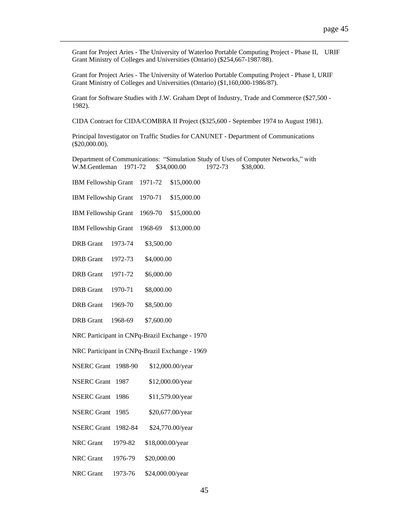Grant for Project Aries - The University of Waterloo Portable Computing Project - Phase II, URIF Grant Ministry of Colleges and Universities (Ontario) (\$254,667-1987/88).

\_\_\_\_\_\_\_\_\_\_\_\_\_\_\_\_\_\_\_\_\_\_\_\_\_\_\_\_\_\_\_\_\_\_\_\_\_\_\_\_\_\_\_\_\_\_\_\_\_\_\_\_\_\_\_\_\_\_\_\_\_\_\_\_\_\_\_\_\_\_\_\_

Grant for Project Aries - The University of Waterloo Portable Computing Project - Phase I, URIF Grant Ministry of Colleges and Universities (Ontario) (\$1,160,000-1986/87).

Grant for Software Studies with J.W. Graham Dept of Industry, Trade and Commerce (\$27,500 - 1982).

CIDA Contract for CIDA/COMBRA II Project (\$325,600 - September 1974 to August 1981).

Principal Investigator on Traffic Studies for CANUNET - Department of Communications (\$20,000.00).

Department of Communications: "Simulation Study of Uses of Computer Networks," with W.M.Gentleman 1971-72 \$34,000.00 1972-73 \$38,000.

| <b>IBM Fellowship Grant</b>                    | \$15,000.00<br>1971-72 |  |  |
|------------------------------------------------|------------------------|--|--|
| IBM Fellowship Grant                           | \$15,000.00<br>1970-71 |  |  |
| <b>IBM Fellowship Grant</b>                    | \$15,000.00<br>1969-70 |  |  |
| IBM Fellowship Grant                           | \$13,000.00<br>1968-69 |  |  |
| <b>DRB</b> Grant<br>1973-74                    | \$3,500.00             |  |  |
| <b>DRB</b> Grant<br>1972-73                    | \$4,000.00             |  |  |
| 1971-72<br><b>DRB</b> Grant                    | \$6,000.00             |  |  |
| 1970-71<br><b>DRB</b> Grant                    | \$8,000.00             |  |  |
| DRB Grant<br>1969-70                           | \$8,500.00             |  |  |
| <b>DRB</b> Grant<br>1968-69                    | \$7,600.00             |  |  |
| NRC Participant in CNPq-Brazil Exchange - 1970 |                        |  |  |
| NRC Participant in CNPq-Brazil Exchange - 1969 |                        |  |  |
| <b>NSERC Grant</b><br>1988-90                  | \$12,000.00/year       |  |  |
| <b>NSERC Grant</b><br>1987                     | \$12,000.00/year       |  |  |
| <b>NSERC Grant</b><br>1986                     | \$11,579.00/year       |  |  |
| <b>NSERC Grant</b><br>1985                     | \$20,677.00/year       |  |  |
| <b>NSERC Grant</b><br>1982-84                  | \$24,770.00/year       |  |  |
| <b>NRC</b> Grant<br>1979-82                    | \$18,000.00/year       |  |  |
| <b>NRC</b> Grant<br>1976-79                    | \$20,000.00            |  |  |
| NRC Grant<br>1973-76                           | \$24,000.00/year       |  |  |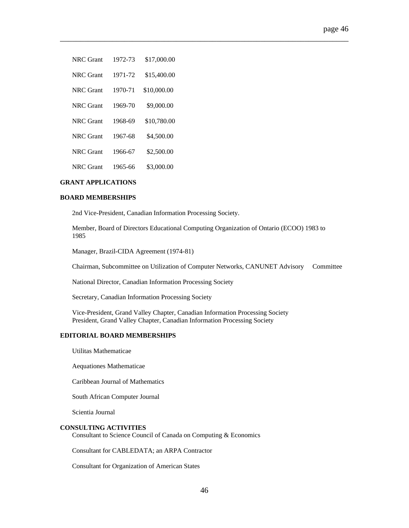| NRC Grant        | 1972-73 | \$17,000.00 |
|------------------|---------|-------------|
| NRC Grant        | 1971-72 | \$15,400.00 |
| <b>NRC</b> Grant | 1970-71 | \$10,000.00 |
| NRC Grant        | 1969-70 | \$9,000.00  |
| <b>NRC</b> Grant | 1968-69 | \$10,780.00 |
| NRC Grant        | 1967-68 | \$4,500.00  |
| NRC Grant        | 1966-67 | \$2,500.00  |
| NRC Grant        | 1965-66 | \$3,000.00  |
|                  |         |             |

# **GRANT APPLICATIONS**

### **BOARD MEMBERSHIPS**

2nd Vice-President, Canadian Information Processing Society.

Member, Board of Directors Educational Computing Organization of Ontario (ECOO) 1983 to 1985

\_\_\_\_\_\_\_\_\_\_\_\_\_\_\_\_\_\_\_\_\_\_\_\_\_\_\_\_\_\_\_\_\_\_\_\_\_\_\_\_\_\_\_\_\_\_\_\_\_\_\_\_\_\_\_\_\_\_\_\_\_\_\_\_\_\_\_\_\_\_\_\_

Manager, Brazil-CIDA Agreement (1974-81)

Chairman, Subcommittee on Utilization of Computer Networks, CANUNET Advisory Committee

National Director, Canadian Information Processing Society

Secretary, Canadian Information Processing Society

Vice-President, Grand Valley Chapter, Canadian Information Processing Society President, Grand Valley Chapter, Canadian Information Processing Society

# **EDITORIAL BOARD MEMBERSHIPS**

Utilitas Mathematicae

Aequationes Mathematicae

Caribbean Journal of Mathematics

South African Computer Journal

Scientia Journal

#### **CONSULTING ACTIVITIES**

Consultant to Science Council of Canada on Computing & Economics

Consultant for CABLEDATA; an ARPA Contractor

Consultant for Organization of American States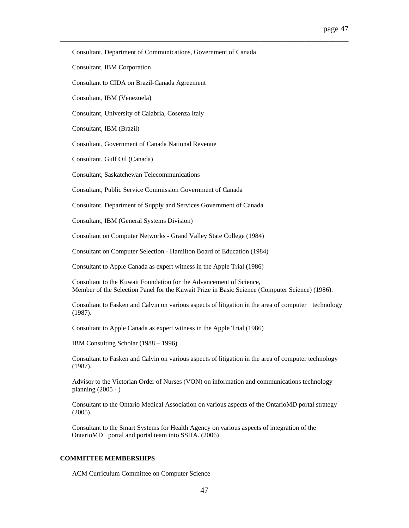Consultant, Department of Communications, Government of Canada

\_\_\_\_\_\_\_\_\_\_\_\_\_\_\_\_\_\_\_\_\_\_\_\_\_\_\_\_\_\_\_\_\_\_\_\_\_\_\_\_\_\_\_\_\_\_\_\_\_\_\_\_\_\_\_\_\_\_\_\_\_\_\_\_\_\_\_\_\_\_\_\_

Consultant, IBM Corporation

Consultant to CIDA on Brazil-Canada Agreement

Consultant, IBM (Venezuela)

Consultant, University of Calabria, Cosenza Italy

Consultant, IBM (Brazil)

Consultant, Government of Canada National Revenue

Consultant, Gulf Oil (Canada)

Consultant, Saskatchewan Telecommunications

Consultant, Public Service Commission Government of Canada

Consultant, Department of Supply and Services Government of Canada

Consultant, IBM (General Systems Division)

Consultant on Computer Networks - Grand Valley State College (1984)

Consultant on Computer Selection - Hamilton Board of Education (1984)

Consultant to Apple Canada as expert witness in the Apple Trial (1986)

Consultant to the Kuwait Foundation for the Advancement of Science, Member of the Selection Panel for the Kuwait Prize in Basic Science (Computer Science) (1986).

Consultant to Fasken and Calvin on various aspects of litigation in the area of computer technology (1987).

Consultant to Apple Canada as expert witness in the Apple Trial (1986)

IBM Consulting Scholar (1988 – 1996)

Consultant to Fasken and Calvin on various aspects of litigation in the area of computer technology (1987).

Advisor to the Victorian Order of Nurses (VON) on information and communications technology planning (2005 - )

Consultant to the Ontario Medical Association on various aspects of the OntarioMD portal strategy (2005).

Consultant to the Smart Systems for Health Agency on various aspects of integration of the OntarioMD portal and portal team into SSHA. (2006)

### **COMMITTEE MEMBERSHIPS**

ACM Curriculum Committee on Computer Science